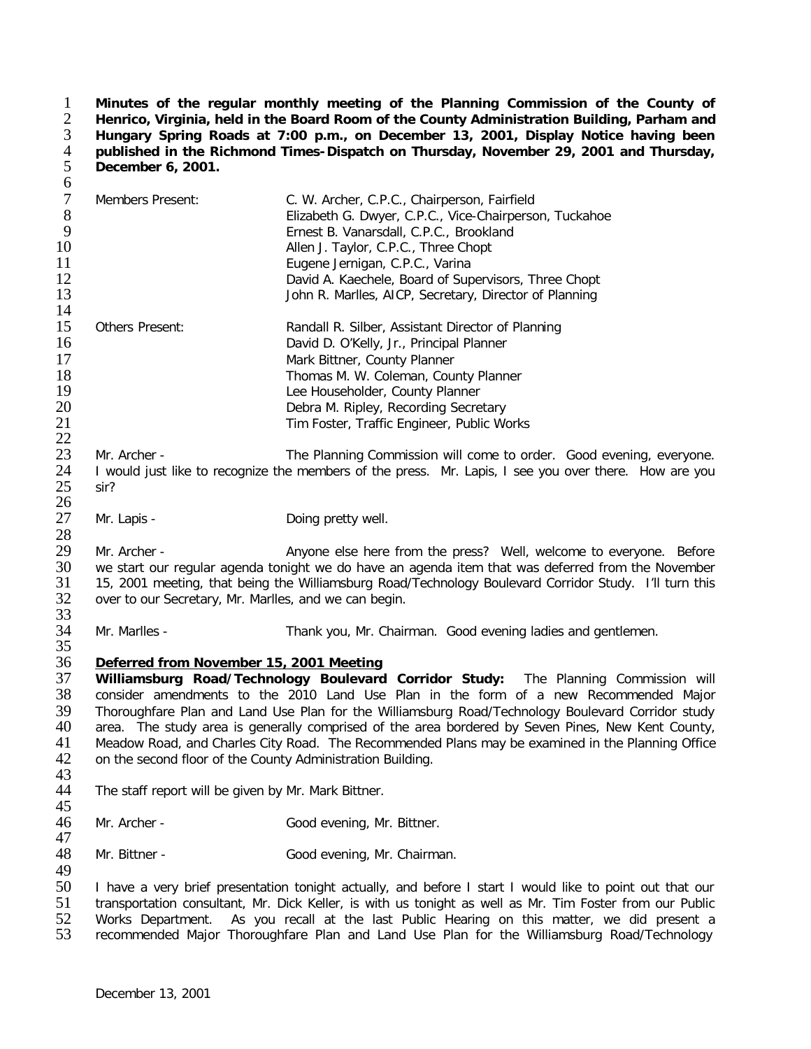**Minutes of the regular monthly meeting of the Planning Commission of the County of Henrico, Virginia, held in the Board Room of the County Administration Building, Parham and Hungary Spring Roads at 7:00 p.m., on December 13, 2001, Display Notice having been published in the Richmond Times-Dispatch on Thursday, November 29, 2001 and Thursday, December 6, 2001.**  $\frac{1}{2}$   $\frac{3}{4}$   $\frac{4}{5}$   $\frac{5}{6}$ 

| $\tau$<br>$8\phantom{1}$<br>9<br>10<br>11<br>12<br>13 | Members Present:                                                                                                                                                                                                                                                                                                                                                                                                                                                                                                                                                                                   | C. W. Archer, C.P.C., Chairperson, Fairfield<br>Elizabeth G. Dwyer, C.P.C., Vice-Chairperson, Tuckahoe<br>Ernest B. Vanarsdall, C.P.C., Brookland<br>Allen J. Taylor, C.P.C., Three Chopt<br>Eugene Jernigan, C.P.C., Varina<br>David A. Kaechele, Board of Supervisors, Three Chopt<br>John R. Marlles, AICP, Secretary, Director of Planning |  |
|-------------------------------------------------------|----------------------------------------------------------------------------------------------------------------------------------------------------------------------------------------------------------------------------------------------------------------------------------------------------------------------------------------------------------------------------------------------------------------------------------------------------------------------------------------------------------------------------------------------------------------------------------------------------|------------------------------------------------------------------------------------------------------------------------------------------------------------------------------------------------------------------------------------------------------------------------------------------------------------------------------------------------|--|
| 14<br>15<br>16<br>17<br>18<br>19<br>20<br>21<br>22    | Others Present:                                                                                                                                                                                                                                                                                                                                                                                                                                                                                                                                                                                    | Randall R. Silber, Assistant Director of Planning<br>David D. O'Kelly, Jr., Principal Planner<br>Mark Bittner, County Planner<br>Thomas M. W. Coleman, County Planner<br>Lee Householder, County Planner<br>Debra M. Ripley, Recording Secretary<br>Tim Foster, Traffic Engineer, Public Works                                                 |  |
| 23<br>24<br>25<br>26                                  | Mr. Archer -<br>The Planning Commission will come to order. Good evening, everyone.<br>I would just like to recognize the members of the press. Mr. Lapis, I see you over there. How are you<br>sir?                                                                                                                                                                                                                                                                                                                                                                                               |                                                                                                                                                                                                                                                                                                                                                |  |
| 27<br>28                                              | Mr. Lapis -                                                                                                                                                                                                                                                                                                                                                                                                                                                                                                                                                                                        | Doing pretty well.                                                                                                                                                                                                                                                                                                                             |  |
| 29<br>30<br>31<br>32<br>33                            | Mr. Archer -<br>Anyone else here from the press? Well, welcome to everyone. Before<br>we start our regular agenda tonight we do have an agenda item that was deferred from the November<br>15, 2001 meeting, that being the Williamsburg Road/Technology Boulevard Corridor Study. I'll turn this<br>over to our Secretary, Mr. Marlles, and we can begin.                                                                                                                                                                                                                                         |                                                                                                                                                                                                                                                                                                                                                |  |
| 34<br>35                                              | Mr. Marlles -                                                                                                                                                                                                                                                                                                                                                                                                                                                                                                                                                                                      | Thank you, Mr. Chairman. Good evening ladies and gentlemen.                                                                                                                                                                                                                                                                                    |  |
| 36<br>37<br>38<br>39<br>40<br>41<br>42<br>43          | Deferred from November 15, 2001 Meeting<br>Williamsburg Road/Technology Boulevard Corridor Study: The Planning Commission will<br>consider amendments to the 2010 Land Use Plan in the form of a new Recommended Major<br>Thoroughfare Plan and Land Use Plan for the Williamsburg Road/Technology Boulevard Corridor study<br>area. The study area is generally comprised of the area bordered by Seven Pines, New Kent County,<br>Meadow Road, and Charles City Road. The Recommended Plans may be examined in the Planning Office<br>on the second floor of the County Administration Building. |                                                                                                                                                                                                                                                                                                                                                |  |
| 44<br>45                                              | The staff report will be given by Mr. Mark Bittner.                                                                                                                                                                                                                                                                                                                                                                                                                                                                                                                                                |                                                                                                                                                                                                                                                                                                                                                |  |
| 46<br>47                                              | Mr. Archer -                                                                                                                                                                                                                                                                                                                                                                                                                                                                                                                                                                                       | Good evening, Mr. Bittner.                                                                                                                                                                                                                                                                                                                     |  |
| 48<br>49                                              | Mr. Bittner -                                                                                                                                                                                                                                                                                                                                                                                                                                                                                                                                                                                      | Good evening, Mr. Chairman.                                                                                                                                                                                                                                                                                                                    |  |
| 50<br>51<br>52<br>53                                  | I have a very brief presentation tonight actually, and before I start I would like to point out that our<br>transportation consultant, Mr. Dick Keller, is with us tonight as well as Mr. Tim Foster from our Public<br>Works Department.<br>As you recall at the last Public Hearing on this matter, we did present a<br>recommended Major Thoroughfare Plan and Land Use Plan for the Williamsburg Road/Technology                                                                                                                                                                               |                                                                                                                                                                                                                                                                                                                                                |  |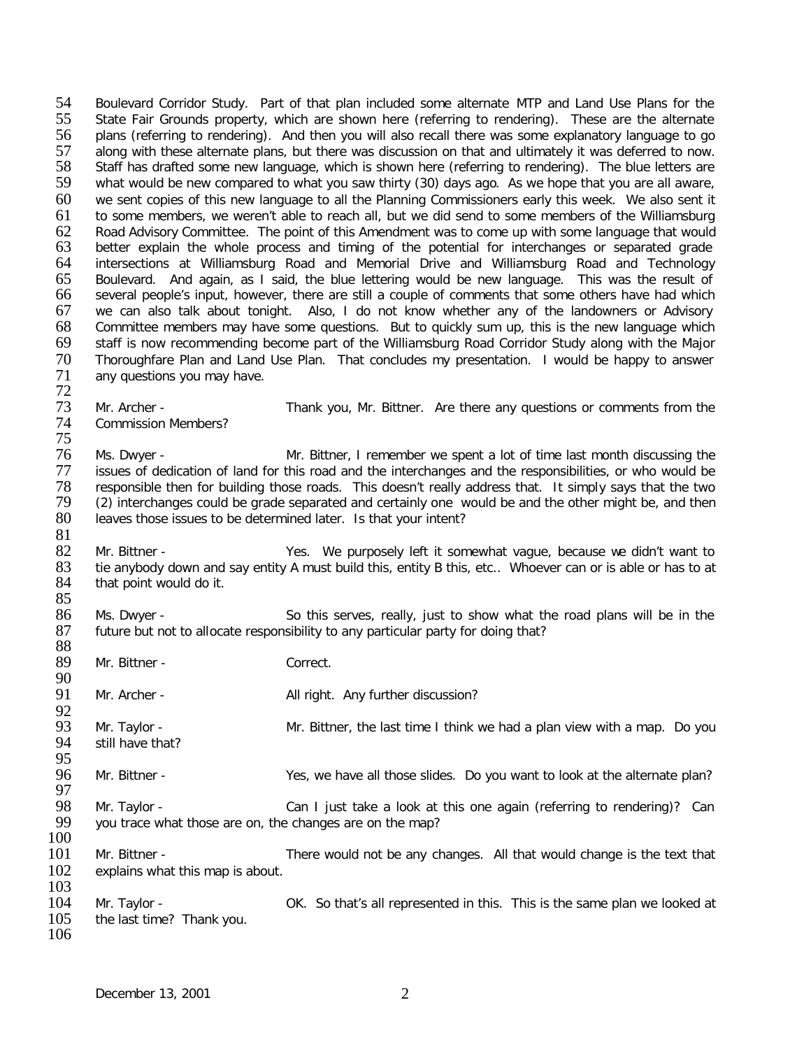54 Boulevard Corridor Study. Part of that plan included some alternate MTP and Land Use Plans for the<br>55 State Fair Grounds property, which are shown here (referring to rendering). These are the alternate 55 State Fair Grounds property, which are shown here (referring to rendering). These are the alternate 56 polo<br>56 plans (referring to rendering). And then you will also recall there was some explanatory language to go plans (referring to rendering). And then you will also recall there was some explanatory language to go 57 along with these alternate plans, but there was discussion on that and ultimately it was deferred to now.<br>58 Staff has drafted some new language, which is shown here (referring to rendering). The blue letters are 58 Staff has drafted some new language, which is shown here (referring to rendering). The blue letters are<br>59 what would be new compared to what you saw thirty (30) days ago. As we hope that you are all aware, what would be new compared to what you saw thirty (30) days ago. As we hope that you are all aware, 60 we sent copies of this new language to all the Planning Commissioners early this week. We also sent it 61 to some members, we weren't able to reach all, but we did send to some members of the Williamsburg 62 Road Advisory Committee. The point of this Amendment was to come up with some language that would<br>63 better explain the whole process and timing of the potential for interchanges or separated grade 63 better explain the whole process and timing of the potential for interchanges or separated grade<br>64 intersections at Williamsburg Road and Memorial Drive and Williamsburg Road and Technology 64 intersections at Williamsburg Road and Memorial Drive and Williamsburg Road and Technology<br>65 Boulevard. And again, as I said, the blue lettering would be new language. This was the result of 65 Boulevard. And again, as I said, the blue lettering would be new language. This was the result of 66 several people's input, however, there are still a couple of comments that some others have had which 67 we can also talk about tonight. Also, I do not know whether any of the landowners or Advisory<br>68 Committee members may have some questions. But to quickly sum up, this is the new language which 68 Committee members may have some questions. But to quickly sum up, this is the new language which<br>69 staff is now recommending become part of the Williamsburg Road Corridor Study along with the Maior 69 staff is now recommending become part of the Williamsburg Road Corridor Study along with the Major<br>70 Thoroughfare Plan and Land Use Plan. That concludes my presentation. I would be happy to answer 70 Thoroughfare Plan and Land Use Plan. That concludes my presentation. I would be happy to answer<br>71 any questions you may have. any questions you may have. 72 73 Mr. Archer - Thank you, Mr. Bittner. Are there any questions or comments from the 74 Commission Members? Commission Members? 75 76 Ms. Dwyer - Mr. Bittner, I remember we spent a lot of time last month discussing the<br>77 issues of dedication of land for this road and the interchanges and the responsibilities, or who would be issues of dedication of land for this road and the interchanges and the responsibilities, or who would be 78 responsible then for building those roads. This doesn't really address that. It simply says that the two 79 (2) interchanges could be grade separated and certainly one would be and then 79 (2) interchanges could be grade separated and certainly one would be and the other might be, and then<br>80 leaves those issues to be determined later. Is that your intent? leaves those issues to be determined later. Is that your intent?  $\frac{81}{82}$ 82 Mr. Bittner - Yes. We purposely left it somewhat vague, because we didn't want to S3 tie anybody down and say entity A must build this, entity B this, etc.. Whoever can or is able or has to at 83 tie anybody down and say entity A must build this, entity B this, etc.. Whoever can or is able or has to at 84 that point would do it. that point would do it. 85<br>86 Ms. Dwyer - So this serves, really, just to show what the road plans will be in the 87 future but not to allocate responsibility to any particular party for doing that? 88<br>89 Mr. Bittner - Correct. 90<br>91 Mr. Archer - All right. Any further discussion? 92<br>93 93 Mr. Taylor - Same Mr. Bittner, the last time I think we had a plan view with a map. Do you 94 still have that? still have that? 95<br>96 Mr. Bittner - Yes, we have all those slides. Do you want to look at the alternate plan? 97<br>98 98 Mr. Taylor - Can I just take a look at this one again (referring to rendering)? Can<br>99 vou trace what those are on, the changes are on the map? you trace what those are on, the changes are on the map?  $\frac{100}{101}$ Mr. Bittner - There would not be any changes. All that would change is the text that 102 explains what this map is about.  $\frac{103}{104}$ 104 Mr. Taylor - OK. So that's all represented in this. This is the same plan we looked at 105 the last time? Thank you. the last time? Thank you.

106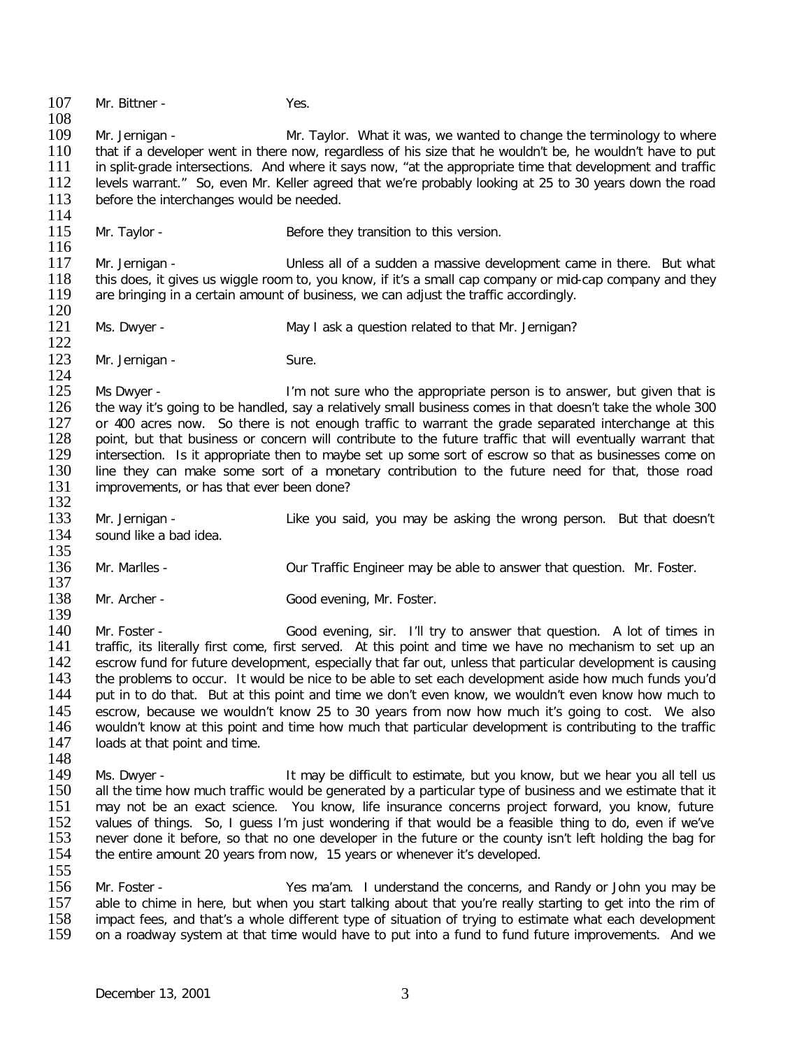107 Mr. Bittner - Yes.  $\frac{108}{109}$ 109 Mr. Jernigan - Mr. Taylor. What it was, we wanted to change the terminology to where<br>110 that if a developer went in there now, regardless of his size that he wouldn't be, he wouldn't have to put 110 that if a developer went in there now, regardless of his size that he wouldn't be, he wouldn't have to put<br>111 in split-grade intersections. And where it savs now, "at the appropriate time that development and traffic 111 in split-grade intersections. And where it says now, "at the appropriate time that development and traffic<br>112 levels warrant." So, even Mr. Keller agreed that we're probably looking at 25 to 30 years down the road 112 levels warrant." So, even Mr. Keller agreed that we're probably looking at 25 to 30 years down the road before the interchanges would be needed. before the interchanges would be needed.  $\frac{114}{115}$ Mr. Taylor - Before they transition to this version.  $\frac{116}{117}$ 117 Mr. Jernigan - Unless all of a sudden a massive development came in there. But what<br>118 this does, it gives us wiggle room to, you know, if it's a small cap company or mid-cap company and they 118 this does, it gives us wiggle room to, you know, if it's a small cap company or mid-cap company and they 19<br>119 are bringing in a certain amount of business, we can adiust the traffic accordingly. are bringing in a certain amount of business, we can adjust the traffic accordingly.  $\frac{120}{121}$ Ms. Dwyer - The May I ask a question related to that Mr. Jernigan?  $\frac{122}{123}$ Mr. Jernigan - Sure.  $\frac{124}{125}$ 125 Ms Dwyer - I'm not sure who the appropriate person is to answer, but given that is 126 the way it's going to be handled, say a relatively small business comes in that doesn't take the whole 300 126 the way it's going to be handled, say a relatively small business comes in that doesn't take the whole 300<br>127 or 400 acres now. So there is not enough traffic to warrant the grade separated interchange at this 127 or 400 acres now. So there is not enough traffic to warrant the grade separated interchange at this 128 point, but that business or concern will contribute to the future traffic that will eventually warrant that 128 point, but that business or concern will contribute to the future traffic that will eventually warrant that 129 intersection. Is it appropriate then to maybe set up some sort of escrow so that as businesses come on 129 intersection. Is it appropriate then to maybe set up some sort of escrow so that as businesses come on 130 ine they can make some sort of a monetary contribution to the future need for that, those road line they can make some sort of a monetary contribution to the future need for that, those road 131 improvements, or has that ever been done? 132<br>133 Mr. Jernigan - Like you said, you may be asking the wrong person. But that doesn't 134 sound like a bad idea.  $\frac{135}{136}$ Mr. Marlles - **Our Traffic Engineer may be able to answer that question.** Mr. Foster. 137<br>138 Mr. Archer - Good evening, Mr. Foster. 139<br>140 Mr. Foster - Good evening, sir. I'll try to answer that question. A lot of times in 141 traffic, its literally first come, first served. At this point and time we have no mechanism to set up an<br>142 escrow fund for future development, especially that far out, unless that particular development is causing 142 escrow fund for future development, especially that far out, unless that particular development is causing<br>143 the problems to occur. It would be nice to be able to set each development aside how much funds vou'd 143 the problems to occur. It would be nice to be able to set each development aside how much funds you'd<br>144 but in to do that. But at this point and time we don't even know, we wouldn't even know how much to put in to do that. But at this point and time we don't even know, we wouldn't even know how much to 145 escrow, because we wouldn't know 25 to 30 years from now how much it's going to cost. We also 146 wouldn't know at this point and time how much that particular development is contributing to the traffic<br>147 loads at that point and time. loads at that point and time. 148<br>149 Ms. Dwyer - The Music of the may be difficult to estimate, but you know, but we hear you all tell us 150 all the time how much traffic would be generated by a particular type of business and we estimate that it<br>151 and not be an exact science. You know, life insurance concerns project forward, you know, future 151 may not be an exact science. You know, life insurance concerns project forward, you know, future<br>152 values of things. So. I quess I'm just wondering if that would be a feasible thing to do, even if we've 152 values of things. So, I guess I'm just wondering if that would be a feasible thing to do, even if we've 153 never done it before, so that no one developer in the future or the county isn't left holding the bag for 153 never done it before, so that no one developer in the future or the county isn't left holding the bag for<br>154 the entire amount 20 years from now. 15 years or whenever it's developed. the entire amount 20 years from now, 15 years or whenever it's developed.  $\frac{155}{156}$ 156 Mr. Foster - Yes ma'am. I understand the concerns, and Randy or John you may be<br>157 able to chime in here, but when you start talking about that you're really starting to get into the rim of 157 able to chime in here, but when you start talking about that you're really starting to get into the rim of<br>158 impact fees, and that's a whole different type of situation of trying to estimate what each development 158 impact fees, and that's a whole different type of situation of trying to estimate what each development 159 on a roadway system at that time would have to put into a fund to fund future improvements. And we on a roadway system at that time would have to put into a fund to fund future improvements. And we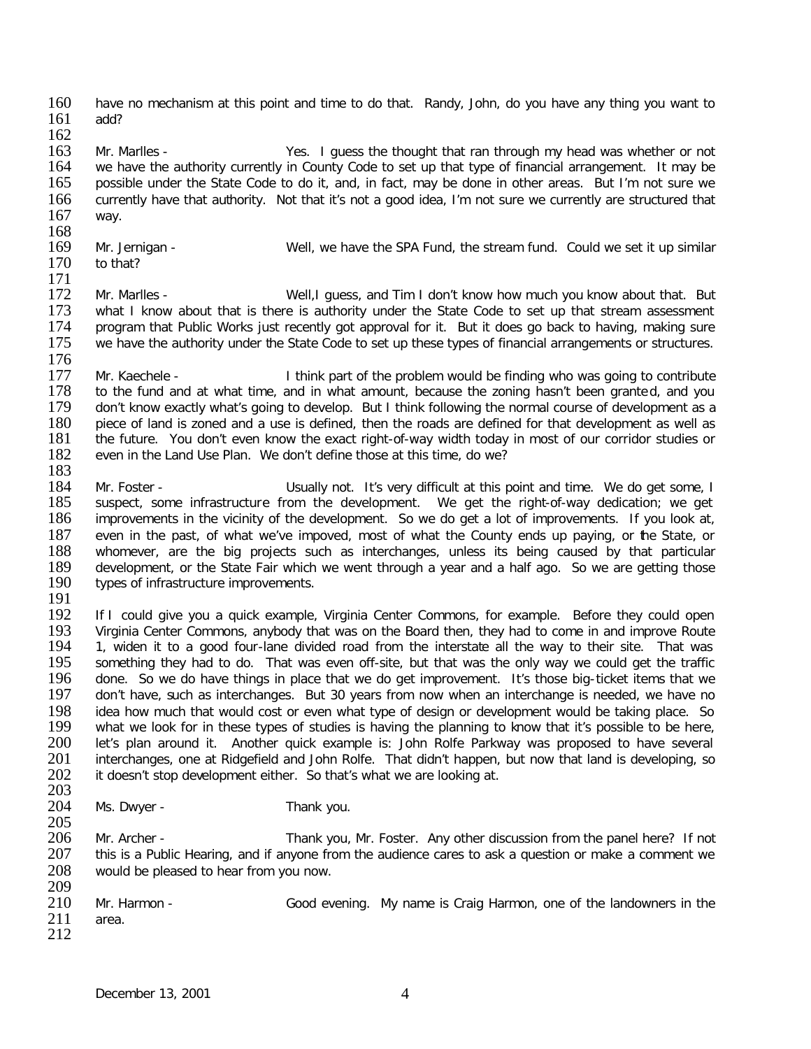160 have no mechanism at this point and time to do that. Randy, John, do you have any thing you want to 161 add?

 $\frac{162}{163}$ 163 Mr. Marlles - Yes. I guess the thought that ran through my head was whether or not we have the authority currently in County Code to set up that type of financial arrangement. It may be 164 we have the authority currently in County Code to set up that type of financial arrangement. It may be 165 possible under the State Code to do it, and, in fact, may be done in other areas. But I'm not sure we possible under the State Code to do it, and, in fact, may be done in other areas. But I'm not sure we 166 currently have that authority. Not that it's not a good idea, I'm not sure we currently are structured that 167 way. way.

- $\frac{168}{169}$
- to that?
- 169 Mr. Jernigan Well, we have the SPA Fund, the stream fund. Could we set it up similar 170 to that?
- $\frac{171}{172}$ 172 Mr. Marlles - Well, I guess, and Tim I don't know how much you know about that. But<br>173 what I know about that is there is authority under the State Code to set up that stream assessment 173 what I know about that is there is authority under the State Code to set up that stream assessment 174 program that Public Works just recently got approval for it. But it does go back to having, making sure 174 program that Public Works just recently got approval for it. But it does go back to having, making sure<br>175 we have the authority under the State Code to set up these types of financial arrangements or structures. we have the authority under the State Code to set up these types of financial arrangements or structures.
- 176<br>177 177 Mr. Kaechele - I think part of the problem would be finding who was going to contribute 178 to the fund and at what time, and in what amount, because the zoning hasn't been granted, and you 178 to the fund and at what time, and in what amount, because the zoning hasn't been granted, and you<br>179 don't know exactly what's going to develop. But I think following the normal course of development as a 179 don't know exactly what's going to develop. But I think following the normal course of development as a<br>180 piece of land is zoned and a use is defined, then the roads are defined for that development as well as 180 piece of land is zoned and a use is defined, then the roads are defined for that development as well as 181 the future. You don't even know the exact right-of-way width today in most of our corridor studies or 181 the future. You don't even know the exact right-of-way width today in most of our corridor studies or even in the Land Use Plan. We don't define those at this time, do we? even in the Land Use Plan. We don't define those at this time, do we?
- 183 184 Mr. Foster - Usually not. It's very difficult at this point and time. We do get some, I<br>185 suspect, some infrastructure from the development. We get the right-of-way dedication; we get 185 suspect, some infrastructure from the development. We get the right-of-way dedication; we get 186 improvements in the vicinity of the development. So we do get a lot of improvements. If you look at, improvements in the vicinity of the development. So we do get a lot of improvements. If you look at, 187 even in the past, of what we've impoved, most of what the County ends up paying, or the State, or 188 whomever, are the big projects such as interchanges, unless its being caused by that particular 188 whomever, are the big projects such as interchanges, unless its being caused by that particular 189 development, or the State Fair which we went through a vear and a half ago. So we are getting those 189 development, or the State Fair which we went through a year and a half ago. So we are getting those 190 types of infrastructure improvements. types of infrastructure improvements.
- 191<br>192

192 If I could give you a quick example, Virginia Center Commons, for example. Before they could open 193 Virginia Center Commons, anybody that was on the Board then, they had to come in and improve Route 193 Virginia Center Commons, anybody that was on the Board then, they had to come in and improve Route<br>194 1. widen it to a good four-lane divided road from the interstate all the way to their site. That was 194 1, widen it to a good four-lane divided road from the interstate all the way to their site. That was 195 something they had to do. That was even off-site, but that was the only way we could get the traffic 195 something they had to do. That was even off-site, but that was the only way we could get the traffic<br>196 done. So we do have things in place that we do get improvement. It's those big-ticket items that we 196 done. So we do have things in place that we do get improvement. It's those big-ticket items that we<br>197 don't have, such as interchanges. But 30 years from now when an interchange is needed, we have no don't have, such as interchanges. But 30 years from now when an interchange is needed, we have no 198 idea how much that would cost or even what type of design or development would be taking place. So<br>199 what we look for in these types of studies is having the planning to know that it's possible to be here. 199 what we look for in these types of studies is having the planning to know that it's possible to be here,<br>200 let's plan around it. Another quick example is: John Rolfe Parkway was proposed to have several 200 let's plan around it. Another quick example is: John Rolfe Parkway was proposed to have several<br>201 interchanges, one at Ridgefield and John Rolfe. That didn't happen, but now that land is developing, so 201 interchanges, one at Ridgefield and John Rolfe. That didn't happen, but now that land is developing, so 202 it doesn't stop development either. So that's what we are looking at. it doesn't stop development either. So that's what we are looking at.

- 203 Ms. Dwyer - Thank you.
- 205 206 Mr. Archer - Thank you, Mr. Foster. Any other discussion from the panel here? If not 207 this is a Public Hearing, and if anyone from the audience cares to ask a question or make a comment we this is a Public Hearing, and if anyone from the audience cares to ask a question or make a comment we 208 would be pleased to hear from you now.
- 209<br>210 Mr. Harmon - Good evening. My name is Craig Harmon, one of the landowners in the 211 area. 212
	- December 13, 2001 4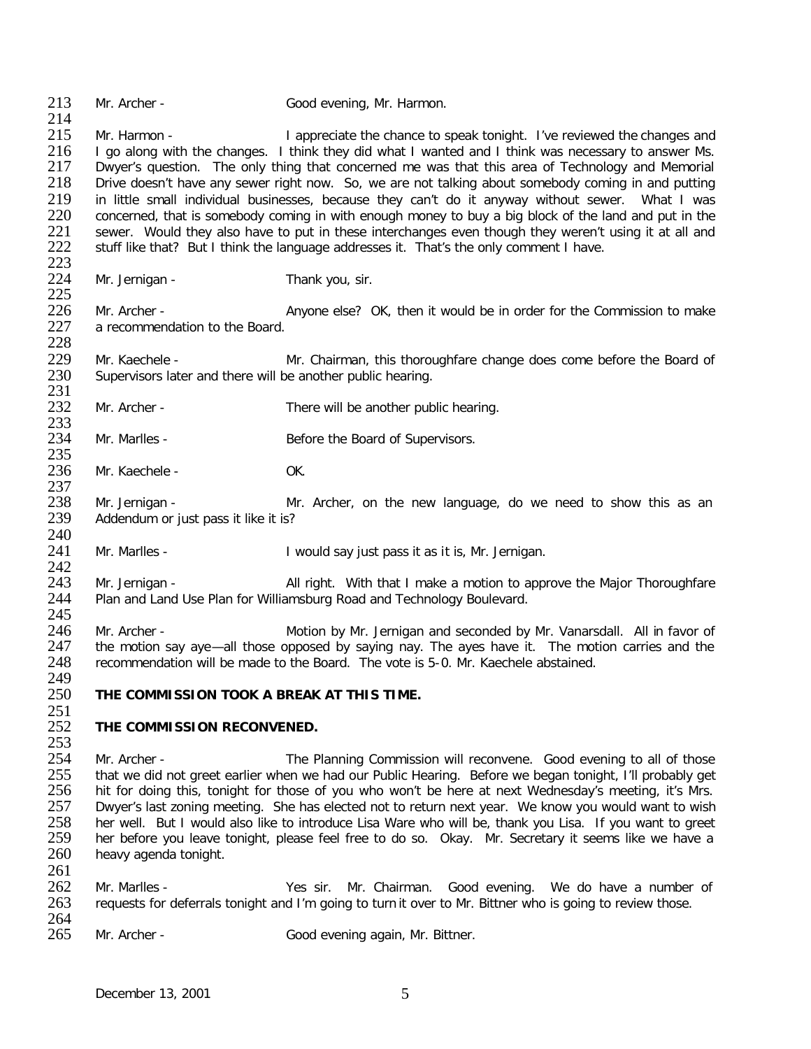213 Mr. Archer - Good evening, Mr. Harmon.  $\frac{214}{215}$ Mr. Harmon - The Suppreciate the chance to speak tonight. I've reviewed the changes and 216 I go along with the changes. I think they did what I wanted and I think was necessary to answer Ms.<br>217 Dwyer's question. The only thing that concerned me was that this area of Technology and Memorial 217 Dwyer's question. The only thing that concerned me was that this area of Technology and Memorial<br>218 Drive doesn't have any sewer right now. So, we are not talking about somebody coming in and putting Drive doesn't have any sewer right now. So, we are not talking about somebody coming in and putting 219 in little small individual businesses, because they can't do it anyway without sewer. What I was<br>220 concerned, that is somebody coming in with enough money to buy a big block of the land and put in the 220 concerned, that is somebody coming in with enough money to buy a big block of the land and put in the 221 sewer. Would they also have to put in these interchanges even though they weren't using it at all and 221 sewer. Would they also have to put in these interchanges even though they weren't using it at all and 222 stuff like that? But I think the language addresses it. That's the only comment I have. 222 stuff like that? But I think the language addresses it. That's the only comment I have.  $223$ <br> $224$ Mr. Jernigan - Thank you, sir.  $\frac{225}{226}$ 226 Mr. Archer - **Anyone else?** OK, then it would be in order for the Commission to make 227 a recommendation to the Board. a recommendation to the Board. 228<br>229 229 Mr. Kaechele - Mr. Chairman, this thoroughfare change does come before the Board of 230 Supervisors later and there will be another public hearing. Supervisors later and there will be another public hearing. 231<br>232 Mr. Archer - There will be another public hearing. 233<br>234 Mr. Marlles - Before the Board of Supervisors. 235<br>236 Mr. Kaechele - OK. 237<br>238 238 Mr. Jernigan - Mr. Archer, on the new language, do we need to show this as an 239 Addendum or just pass it like it is? Addendum or just pass it like it is?  $\frac{240}{241}$ Mr. Marlles - The Collection of I would say just pass it as it is, Mr. Jernigan.  $\frac{242}{243}$ 243 Mr. Jernigan - All right. With that I make a motion to approve the Major Thoroughfare<br>244 Plan and Land Use Plan for Williamsburg Road and Technology Boulevard. Plan and Land Use Plan for Williamsburg Road and Technology Boulevard. 245<br>246 Mr. Archer - **Motion by Mr. Jernigan and seconded by Mr. Vanarsdall.** All in favor of 247 the motion say aye—all those opposed by saying nay. The ayes have it. The motion carries and the 248 recommendation will be made to the Board. The vote is 5-0. Mr. Kaechele abstained. recommendation will be made to the Board. The vote is 5-0. Mr. Kaechele abstained. 249<br>250 THE COMMISSION TOOK A BREAK AT THIS TIME.  $\frac{251}{252}$ **THE COMMISSION RECONVENED.**  $\frac{253}{254}$ 254 Mr. Archer - The Planning Commission will reconvene. Good evening to all of those<br>255 that we did not greet earlier when we had our Public Hearing. Before we began tonight. I'll probably get 255 that we did not greet earlier when we had our Public Hearing. Before we began tonight, I'll probably get 256 hit for doing this, tonight for those of you who won't be here at next Wednesday's meeting, it's Mrs. 256 hit for doing this, tonight for those of you who won't be here at next Wednesday's meeting, it's Mrs.<br>257 Dwyer's last zoning meeting. She has elected not to return next year. We know you would want to wish 257 Dwyer's last zoning meeting. She has elected not to return next year. We know you would want to wish<br>258 Ther well. But I would also like to introduce Lisa Ware who will be, thank you Lisa. If you want to greet

- 258 her well. But I would also like to introduce Lisa Ware who will be, thank you Lisa. If you want to greet 259 her before you leave tonight, please feel free to do so. Okay. Mr. Secretary it seems like we have a 259 her before you leave tonight, please feel free to do so. Okay. Mr. Secretary it seems like we have a 260 heavy agenda tonight. heavy agenda tonight.
- $\frac{261}{262}$ 262 Mr. Marlles - Yes sir. Mr. Chairman. Good evening. We do have a number of 263 requests for deferrals tonight and I'm going to turn it over to Mr. Bittner who is going to review those. requests for deferrals tonight and I'm going to turn it over to Mr. Bittner who is going to review those.
- 264<br>265 Mr. Archer - Good evening again, Mr. Bittner.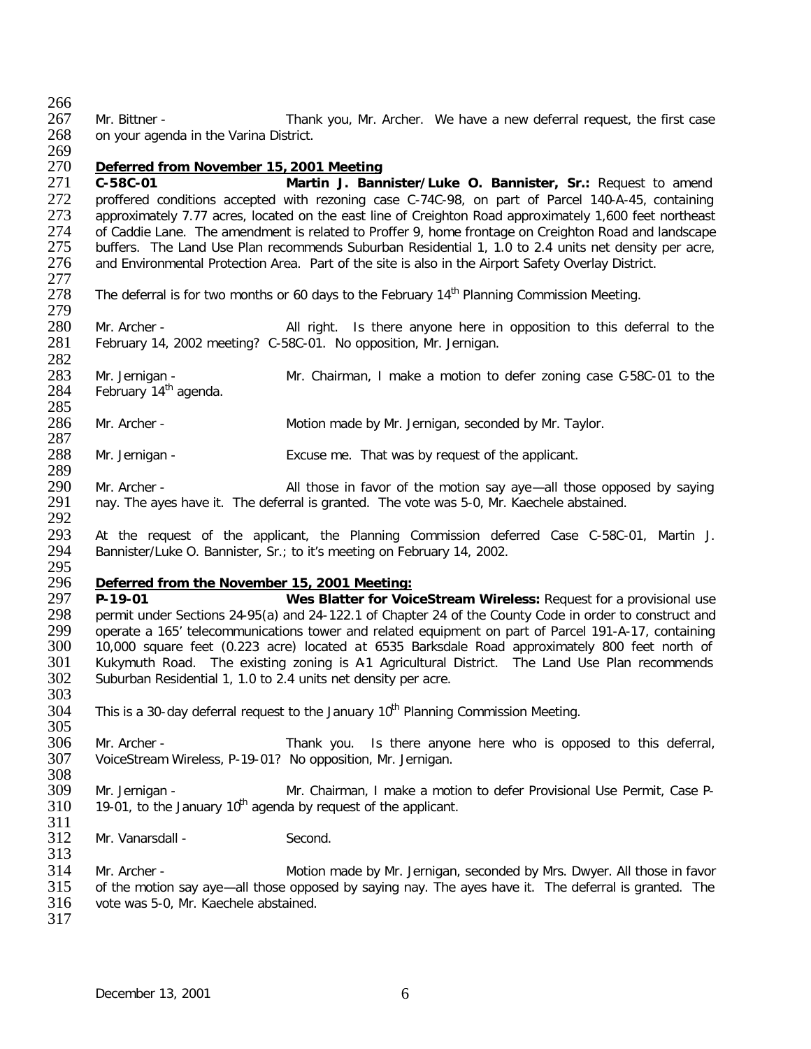266<br>267 267 Mr. Bittner - Thank you, Mr. Archer. We have a new deferral request, the first case<br>268 on vour agenda in the Varina District. on your agenda in the Varina District.

269<br>270

270 *Deferred from November 15, 2001 Meeting* 271 **C-58C-01 Martin J. Bannister/Luke O. Bannister, Sr.:** Request to amend 272 proffered conditions accepted with rezoning case C-74C-98, on part of Parcel 140-A-45, containing<br>273 approximately 7.77 acres, located on the east line of Creighton Road approximately 1,600 feet northeast 273 approximately 7.77 acres, located on the east line of Creighton Road approximately 1,600 feet northeast 274 of Caddie Lane. The amendment is related to Proffer 9, home frontage on Creighton Road and landscape 274 of Caddie Lane. The amendment is related to Proffer 9, home frontage on Creighton Road and landscape<br>275 buffers. The Land Use Plan recommends Suburban Residential 1, 1.0 to 2.4 units net density per acre, 275 buffers. The Land Use Plan recommends Suburban Residential 1, 1.0 to 2.4 units net density per acre,<br>276 and Environmental Protection Area. Part of the site is also in the Airport Safety Overlay District. and Environmental Protection Area. Part of the site is also in the Airport Safety Overlay District.

277<br>278 The deferral is for two months or 60 days to the February 14<sup>th</sup> Planning Commission Meeting.

279 280 Mr. Archer - All right. Is there anyone here in opposition to this deferral to the 281 February 14, 2002 meeting? C-58C-01. No opposition, Mr. Jernigan. February 14, 2002 meeting? C-58C-01. No opposition, Mr. Jernigan.

282<br>283 283 Mr. Jernigan - Mr. Chairman, I make a motion to defer zoning case C-58C-01 to the 284 February 14<sup>th</sup> agenda. February  $14<sup>th</sup>$  agenda.

285 Mr. Archer - **Motion made by Mr. Jernigan, seconded by Mr. Taylor.** 

 $\frac{287}{288}$ Mr. Jernigan - Excuse me. That was by request of the applicant.

289<br>290 290 Mr. Archer - All those in favor of the motion say aye—all those opposed by saying<br>291 nay. The ayes have it. The deferral is granted. The vote was 5-0, Mr. Kaechele abstained. nay. The ayes have it. The deferral is granted. The vote was 5-0, Mr. Kaechele abstained.

292<br>293 293 At the request of the applicant, the Planning Commission deferred Case C-58C-01, Martin J.<br>294 Bannister/Luke O. Bannister, Sr.; to it's meeting on February 14, 2002. Bannister/Luke O. Bannister, Sr.; to it's meeting on February 14, 2002.

## 295 296 *Deferred from the November 15, 2001 Meeting:*

297 **P-19-01 Wes Blatter for VoiceStream Wireless:** Request for a provisional use 298 permit under Sections 24-95(a) and 24-122.1 of Chapter 24 of the County Code in order to construct and <br>299 operate a 165' telecommunications tower and related equipment on part of Parcel 191-A-17, containing 299 operate a 165' telecommunications tower and related equipment on part of Parcel 191-A-17, containing<br>300 10.000 square feet (0.223 acre) located at 6535 Barksdale Road approximately 800 feet north of 300 10,000 square feet (0.223 acre) located at 6535 Barksdale Road approximately 800 feet north of 301 Kukymuth Road. The existing zoning is A1 Agricultural District. The Land Use Plan recommends 301 Kukymuth Road. The existing zoning is A1 Agricultural District. The Land Use Plan recommends 302 Suburban Residential 1, 1.0 to 2.4 units net density per acre. Suburban Residential 1, 1.0 to 2.4 units net density per acre. 303

- $304$  This is a 30-day deferral request to the January 10<sup>th</sup> Planning Commission Meeting.
- 305<br>306 306 Mr. Archer - Thank you. Is there anyone here who is opposed to this deferral, 307 VoiceStream Wireless, P-19-01? No opposition, Mr. Jernigan. VoiceStream Wireless, P-19-01? No opposition, Mr. Jernigan.
- 308<br>309 309 Mr. Jernigan - Mr. Chairman, I make a motion to defer Provisional Use Permit, Case P-<br>310 19-01, to the January 10<sup>th</sup> agenda by request of the applicant. 19-01, to the January  $10<sup>th</sup>$  agenda by request of the applicant.
- $\frac{311}{312}$ Mr. Vanarsdall - Second.
- 314 Mr. Archer Motion made by Mr. Jernigan, seconded by Mrs. Dwyer. All those in favor<br>315 of the motion say aye—all those opposed by saying nay. The ayes have it. The deferral is granted. The 315 of the motion say aye—all those opposed by saying nay. The ayes have it. The deferral is granted. The 316 vote was 5-0. Mr. Kaechele abstained. vote was 5-0, Mr. Kaechele abstained.
- 317

313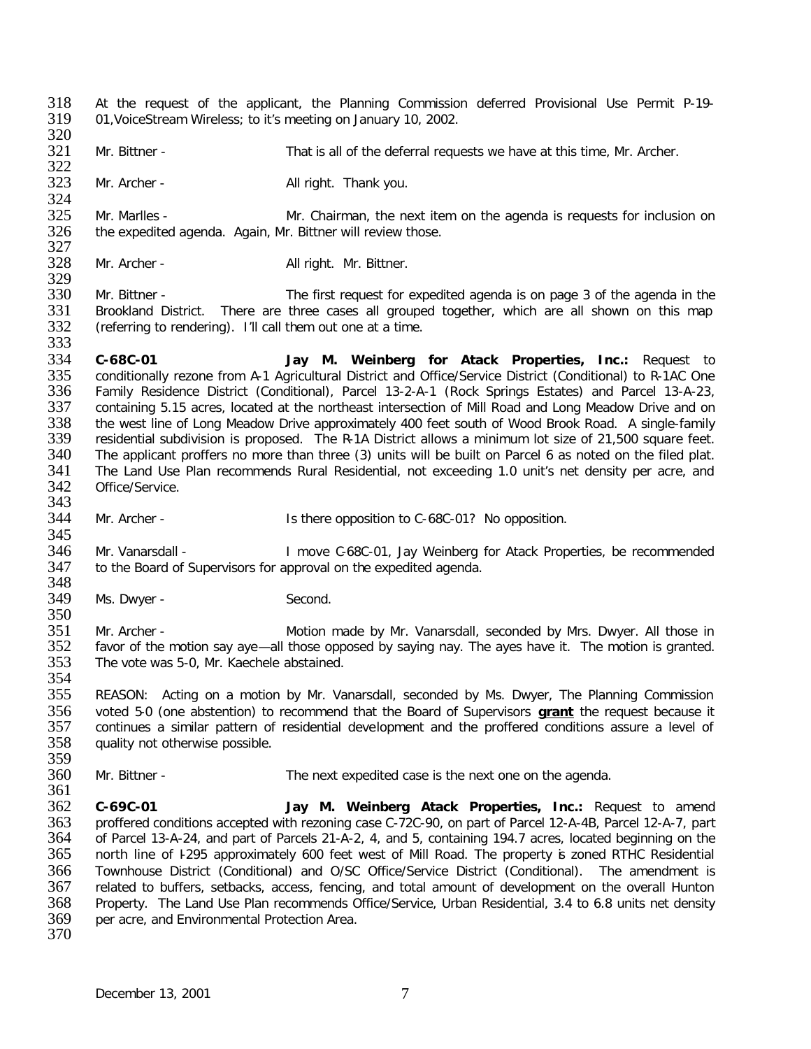- 318 At the request of the applicant, the Planning Commission deferred Provisional Use Permit P-19-<br>319 01.VoiceStream Wireless: to it's meeting on January 10, 2002. 319 01,VoiceStream Wireless; to it's meeting on January 10, 2002.
- 320<br>321 Mr. Bittner - That is all of the deferral requests we have at this time, Mr. Archer.
- 322<br>323 Mr. Archer - All right. Thank you.
- 324<br>325 325 Mr. Marlles - Mr. Chairman, the next item on the agenda is requests for inclusion on 326 the expedited agenda. Again, Mr. Bittner will review those. the expedited agenda. Again, Mr. Bittner will review those.
- 327<br>328 Mr. Archer - All right. Mr. Bittner.
- 329<br>330 330 Mr. Bittner - The first request for expedited agenda is on page 3 of the agenda in the 331 Brookland District. There are three cases all grouped together, which are all shown on this map 332 (referring to rendering). I'll call them out one at a time. (referring to rendering). I'll call them out one at a time.
- 333<br>334 334 **C-68C-01 Jay M. Weinberg for Atack Properties, Inc.:** Request to 335 conditionally rezone from A-1 Agricultural District and Office/Service District (Conditional) to R-1AC One 336 Family Residence District (Conditional), Parcel 13-2-A-1 (Rock Springs Estates) and Parcel 13-A-23, 337 containing 5.15 acres, located at the northeast intersection of Mill Road and Long Meadow Drive and on<br>338 the west line of Long Meadow Drive approximately 400 feet south of Wood Brook Road. A single-family 338 the west line of Long Meadow Drive approximately 400 feet south of Wood Brook Road. A single-family 339 residential subdivision is proposed. The R-1A District allows a minimum lot size of 21.500 square feet. 339 residential subdivision is proposed. The R-1A District allows a minimum lot size of 21,500 square feet.<br>340 The applicant proffers no more than three (3) units will be built on Parcel 6 as noted on the filed plat. 340 The applicant proffers no more than three (3) units will be built on Parcel 6 as noted on the filed plat.<br>341 The Land Use Plan recommends Rural Residential, not exceeding 1.0 unit's net density per acre, and The Land Use Plan recommends Rural Residential, not exceeding 1.0 unit's net density per acre, and 342 Office/Service.
- 343<br>344 Mr. Archer - The Is there opposition to C-68C-01? No opposition.
- 345<br>346 346 Mr. Vanarsdall - I move C-68C-01, Jay Weinberg for Atack Properties, be recommended 347 to the Board of Supervisors for approval on the expedited agenda. to the Board of Supervisors for approval on the expedited agenda.
- 348<br>349 Ms. Dwyer - Second.
- 351 Mr. Archer Motion made by Mr. Vanarsdall, seconded by Mrs. Dwyer. All those in 352 favor of the motion say aye—all those opposed by saying nay. The ayes have it. The motion is granted.<br>353 The vote was 5-0, Mr. Kaechele abstained. The vote was 5-0, Mr. Kaechele abstained.
- 354<br>355 355 REASON: Acting on a motion by Mr. Vanarsdall, seconded by Ms. Dwyer, The Planning Commission 356 voted 5-0 (one abstention) to recommend that the Board of Supervisors **grant** the request because it 357 continues a similar pattern of residential development and the proffered conditions assure a level of 358 quality not otherwise possible. quality not otherwise possible.
- 359<br>360 360 Mr. Bittner - The next expedited case is the next one on the agenda.
- 362 **C-69C-01 Jay M. Weinberg Atack Properties, Inc.:** Request to amend 363 proffered conditions accepted with rezoning case C-72C-90, on part of Parcel 12-A-4B, Parcel 12-A-7, part<br>364 of Parcel 13-A-24, and part of Parcels 21-A-2, 4, and 5, containing 194.7 acres, located beginning on the of Parcel 13-A-24, and part of Parcels 21-A-2, 4, and 5, containing 194.7 acres, located beginning on the 365 north line of I-295 approximately 600 feet west of Mill Road. The property is zoned RTHC Residential 366 Townhouse District (Conditional) and O/SC Office/Service District (Conditional). The amendment is 367 related to buffers, setbacks, access, fencing, and total amount of development on the overall Hunton<br>368 Property. The Land Use Plan recommends Office/Service. Urban Residential. 3.4 to 6.8 units net density 368 Property. The Land Use Plan recommends Office/Service, Urban Residential, 3.4 to 6.8 units net density 369 per acre, and Environmental Protection Area. per acre, and Environmental Protection Area.
- 370

361

350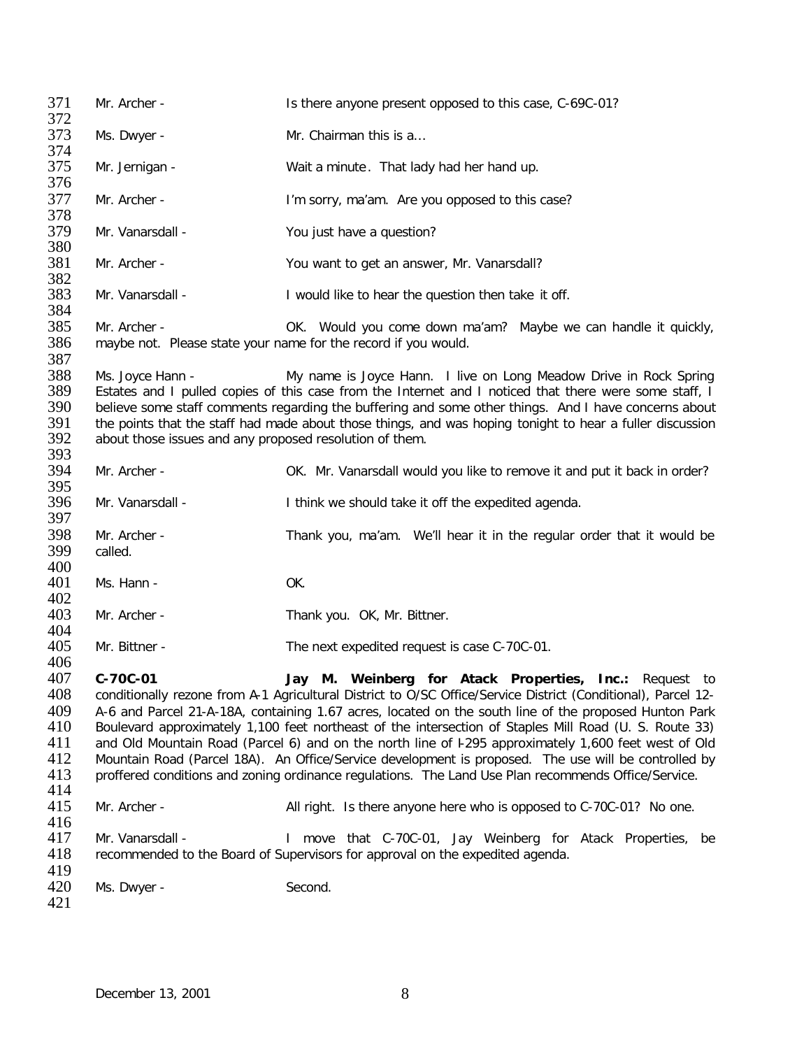371 Mr. Archer - Is there anyone present opposed to this case, C-69C-01? 372<br>373 Ms. Dwyer - Mr. Chairman this is a... 374<br>375 Mr. Jernigan - Wait a minute. That lady had her hand up. 376 377 Mr. Archer - I'm sorry, ma'am. Are you opposed to this case? 378<br>379 Mr. Vanarsdall - You just have a question? 380<br>381 Mr. Archer - You want to get an answer, Mr. Vanarsdall? 382<br>383 383 Mr. Vanarsdall - I would like to hear the question then take it off. 384<br>385 385 Mr. Archer - OK. Would you come down ma'am? Maybe we can handle it quickly, 386 maybe not. Please state your name for the record if you would. maybe not. Please state your name for the record if you would. 387<br>388 388 Ms. Joyce Hann - The My name is Joyce Hann. I live on Long Meadow Drive in Rock Spring<br>389 Estates and I pulled copies of this case from the Internet and I noticed that there were some staff. I 389 Estates and I pulled copies of this case from the Internet and I noticed that there were some staff, I<br>390 believe some staff comments regarding the buffering and some other things. And I have concerns about 390 believe some staff comments regarding the buffering and some other things. And I have concerns about 391 the points that the staff had made about those things, and was hoping tonight to hear a fuller discussion 391 the points that the staff had made about those things, and was hoping tonight to hear a fuller discussion 392 about those issues and any proposed resolution of them. about those issues and any proposed resolution of them. 393<br>394 Mr. Archer - **Section 2014** OK. Mr. Vanarsdall would you like to remove it and put it back in order? 395<br>396 Mr. Vanarsdall - Think we should take it off the expedited agenda. 397 398 Mr. Archer - Thank you, ma'am. We'll hear it in the regular order that it would be called. called. 400<br>401 Ms. Hann - OK. 402<br>403 Mr. Archer - Thank you. OK, Mr. Bittner. 404<br>405 Mr. Bittner - The next expedited request is case C-70C-01. 406<br>407 407 **C-70C-01 Jay M. Weinberg for Atack Properties, Inc.:** Request to 408 conditionally rezone from A-1 Agricultural District to O/SC Office/Service District (Conditional), Parcel 12- 409 A-6 and Parcel 21-A-18A, containing 1.67 acres, located on the south line of the proposed Hunton Park<br>410 Boulevard approximately 1.100 feet northeast of the intersection of Staples Mill Road (U. S. Route 33) 410 Boulevard approximately 1,100 feet northeast of the intersection of Staples Mill Road (U. S. Route 33)<br>411 and Old Mountain Road (Parcel 6) and on the north line of F295 approximately 1.600 feet west of Old 411 and Old Mountain Road (Parcel 6) and on the north line of I-295 approximately 1,600 feet west of Old 412 Mountain Road (Parcel 18A). An Office/Service development is proposed. The use will be controlled by 412 Mountain Road (Parcel 18A). An Office/Service development is proposed. The use will be controlled by 413 proffered conditions and zoning ordinance regulations. The Land Use Plan recommends Office/Service. 413 proffered conditions and zoning ordinance regulations. The Land Use Plan recommends Office/Service. 414<br>415 Mr. Archer - All right. Is there anyone here who is opposed to C-70C-01? No one. 416<br>417 417 Mr. Vanarsdall - I move that C-70C-01, Jay Weinberg for Atack Properties, be 418 recommended to the Board of Supervisors for approval on the expedited agenda. recommended to the Board of Supervisors for approval on the expedited agenda. 419<br>420 Ms. Dwyer - Second. 421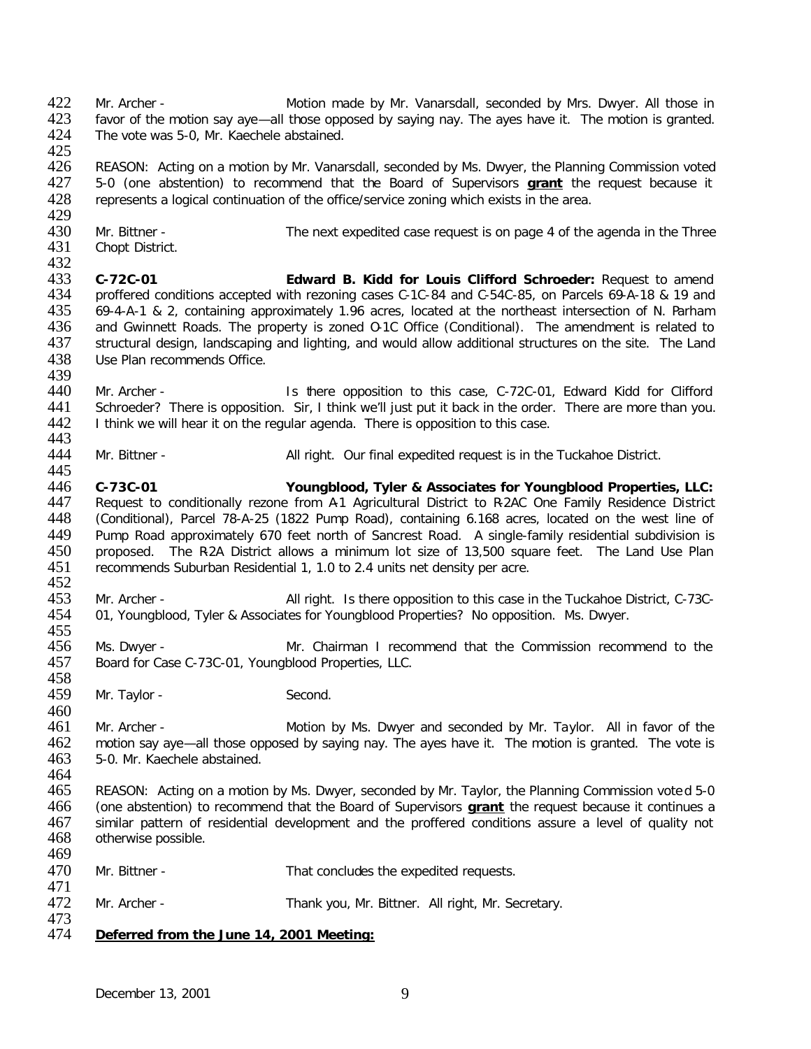422 Mr. Archer - Motion made by Mr. Vanarsdall, seconded by Mrs. Dwyer. All those in<br>423 favor of the motion say ave—all those opposed by saving nay. The aves have it. The motion is granted. 423 favor of the motion say aye—all those opposed by saying nay. The ayes have it. The motion is granted.<br>424 The vote was 5-0. Mr. Kaechele abstained. The vote was 5-0, Mr. Kaechele abstained.

425<br>426 426 REASON: Acting on a motion by Mr. Vanarsdall, seconded by Ms. Dwyer, the Planning Commission voted 427 5-0 (one abstention) to recommend that the Board of Supervisors **grant** the request because it 427 5-0 (one abstention) to recommend that the Board of Supervisors **grant** the request because it 428 represents a logical continuation of the office/service zoning which exists in the area. represents a logical continuation of the office/service zoning which exists in the area.

429<br>430 430 Mr. Bittner - The next expedited case request is on page 4 of the agenda in the Three<br>431 Chopt District.

Chopt District.

455

460

432<br>433 433 **C-72C-01 Edward B. Kidd for Louis Clifford Schroeder:** Request to amend 434 proffered conditions accepted with rezoning cases C-1C-84 and C-54C-85, on Parcels 69-A-18 & 19 and 435 69-4-A-1 & 2, containing approximately 1.96 acres, located at the northeast intersection of N. Parham<br>436 and Gwinnett Roads. The property is zoned O-1C Office (Conditional). The amendment is related to 436 and Gwinnett Roads. The property is zoned O-1C Office (Conditional). The amendment is related to 437 structural design. landscaping and lighting, and would allow additional structures on the site. The Land 437 structural design, landscaping and lighting, and would allow additional structures on the site. The Land 438 Use Plan recommends Office. Use Plan recommends Office.

- 439<br>440 440 Mr. Archer - Is there opposition to this case, C-72C-01, Edward Kidd for Clifford<br>441 Schroeder? There is opposition. Sir, I think we'll just put it back in the order. There are more than you. 441 Schroeder? There is opposition. Sir, I think we'll just put it back in the order. There are more than you.<br>442 I think we will hear it on the regular agenda. There is opposition to this case. 1 think we will hear it on the regular agenda. There is opposition to this case.
- 443<br>444 Mr. Bittner - All right. Our final expedited request is in the Tuckahoe District. 445

446 **C-73C-01 Youngblood, Tyler & Associates for Youngblood Properties, LLC:** 447 Request to conditionally rezone from A1 Agricultural District to R2AC One Family Residence District<br>448 (Conditional), Parcel 78-A-25 (1822 Pump Road), containing 6.168 acres, located on the west line of 448 (Conditional), Parcel 78-A-25 (1822 Pump Road), containing 6.168 acres, located on the west line of 449 Pump Road approximately 670 feet north of Sancrest Road. A single-family residential subdivision is 449 Pump Road approximately 670 feet north of Sancrest Road. A single-family residential subdivision is 450 proposed. The R2A District allows a minimum lot size of 13,500 square feet. The Land Use Plan<br>451 recommends Suburban Residential 1, 1.0 to 2.4 units net density per acre. recommends Suburban Residential 1, 1.0 to 2.4 units net density per acre.

- 452<br>453 453 Mr. Archer - All right. Is there opposition to this case in the Tuckahoe District, C-73C-<br>454 01. Youngblood. Tyler & Associates for Youngblood Properties? No opposition. Ms. Dwyer. 01, Youngblood, Tyler & Associates for Youngblood Properties? No opposition. Ms. Dwyer.
- 456 Ms. Dwyer Mr. Chairman I recommend that the Commission recommend to the 457 Board for Case C-73C-01, Youngblood Properties, LLC. Board for Case C-73C-01, Youngblood Properties, LLC.
- 458<br>459 Mr. Taylor - Second.
- 461 Mr. Archer **Motion by Ms. Dwyer and seconded by Mr. Taylor.** All in favor of the 462 motion say ave—all those opposed by saying nay. The aves have it. The motion is granted. The vote is 462 motion say aye—all those opposed by saying nay. The ayes have it. The motion is granted. The vote is 463 5-0. Mr. Kaechele abstained. 5-0. Mr. Kaechele abstained. 464
- 465 REASON: Acting on a motion by Ms. Dwyer, seconded by Mr. Taylor, the Planning Commission vote d 5-0 466 (one abstention) to recommend that the Board of Supervisors **grant** the request because it continues a 467 similar pattern of residential development and the proffered conditions assure a level of quality not 468 otherwise possible. otherwise possible. 469
- 470 Mr. Bittner That concludes the expedited requests. 471<br>472 Mr. Archer - Thank you, Mr. Bittner. All right, Mr. Secretary. 473<br>474

## 474 *Deferred from the June 14, 2001 Meeting:*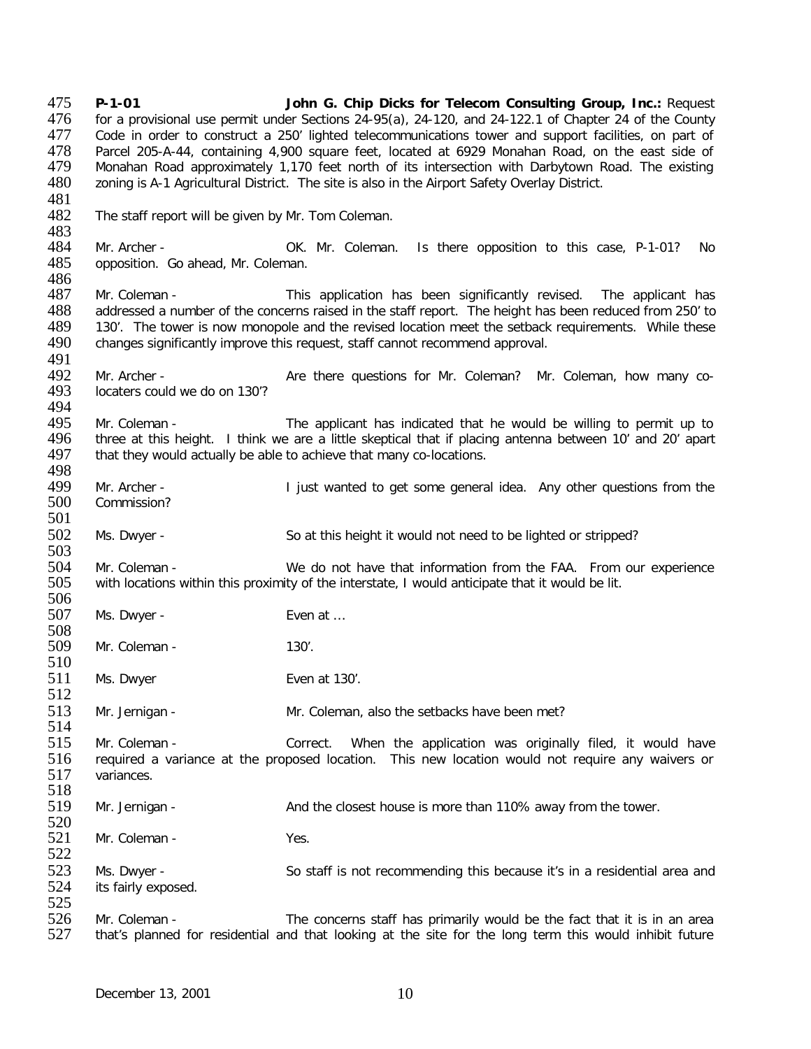475 **P-1-01 John G. Chip Dicks for Telecom Consulting Group, Inc.:** Request 476 for a provisional use permit under Sections 24-95(a), 24-120, and 24-122.1 of Chapter 24 of the County<br>477 Code in order to construct a 250' lighted telecommunications tower and support facilities, on part of Code in order to construct a 250' lighted telecommunications tower and support facilities, on part of 478 Parcel 205-A-44, containing 4,900 square feet, located at 6929 Monahan Road, on the east side of<br>479 Monahan Road approximately 1,170 feet north of its intersection with Darbytown Road. The existing 479 Monahan Road approximately 1,170 feet north of its intersection with Darbytown Road. The existing 480 zoning is A-1 Agricultural District. The site is also in the Airport Safety Overlay District. zoning is A-1 Agricultural District. The site is also in the Airport Safety Overlay District. 481<br>482 The staff report will be given by Mr. Tom Coleman. 483<br>484 484 Mr. Archer - OK. Mr. Coleman. Is there opposition to this case, P-1-01? No<br>485 opposition. Go ahead, Mr. Coleman. opposition. Go ahead, Mr. Coleman. 486<br>487 Mr. Coleman - This application has been significantly revised. The applicant has 488 addressed a number of the concerns raised in the staff report. The height has been reduced from 250' to 489 130'. The tower is now monopole and the revised location meet the setback requirements. While these 489 130'. The tower is now monopole and the revised location meet the setback requirements. While these 490 changes significantly improve this request, staff cannot recommend approval. changes significantly improve this request, staff cannot recommend approval. 491<br>492 492 Mr. Archer - <br>493 locaters could we do on 130'?<br>493 locaters could we do on 130'? locaters could we do on 130'? 494<br>495 495 Mr. Coleman - The applicant has indicated that he would be willing to permit up to<br>496 three at this height. I think we are a little skeptical that if placing antenna between 10' and 20' apart 496 three at this height. I think we are a little skeptical that if placing antenna between 10' and 20' apart 497 that they would actually be able to achieve that many co-locations. that they would actually be able to achieve that many co-locations. 498<br>499 499 Mr. Archer - I just wanted to get some general idea. Any other questions from the 490 Commission? Commission? 501 502 Ms. Dwyer - So at this height it would not need to be lighted or stripped? 503<br>504 504 Mr. Coleman - We do not have that information from the FAA. From our experience with locations within this proximity of the interstate, I would anticipate that it would be lit. with locations within this proximity of the interstate, I would anticipate that it would be lit. 506<br>507 Ms. Dwyer - Even at ... 508 Mr. Coleman - 130'.  $\frac{510}{511}$ Ms. Dwyer Even at 130'. 512 513 Mr. Jernigan - Mr. Coleman, also the setbacks have been met? 514<br>515 Mr. Coleman - Correct. When the application was originally filed, it would have 516 required a variance at the proposed location. This new location would not require any waivers or 517 variances. variances. 518<br>519 Mr. Jernigan - And the closest house is more than 110% away from the tower. 520<br>521 Mr. Coleman - Yes. 522 523 Ms. Dwyer - So staff is not recommending this because it's in a residential area and sale its fairly exposed. its fairly exposed. 525<br>526 526 Mr. Coleman - The concerns staff has primarily would be the fact that it is in an area<br>527 that's planned for residential and that looking at the site for the long term this would inhibit future that's planned for residential and that looking at the site for the long term this would inhibit future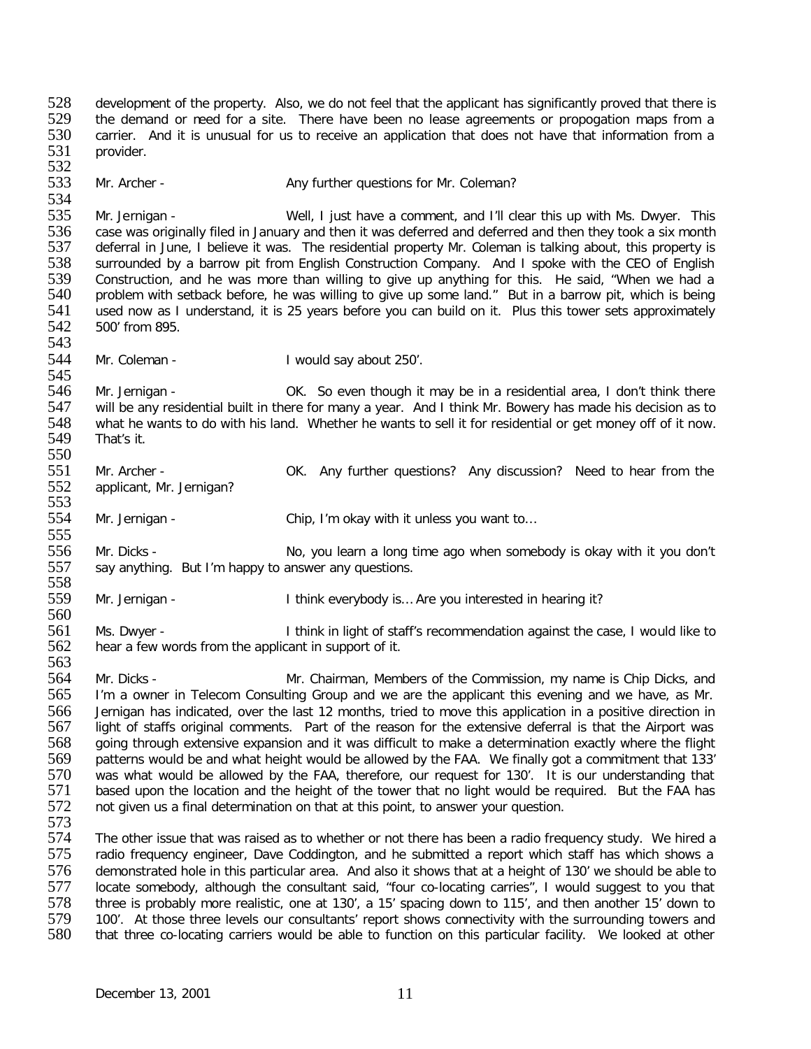528 development of the property. Also, we do not feel that the applicant has significantly proved that there is<br>529 the demand or need for a site. There have been no lease agreements or propogation maps from a 529 the demand or need for a site. There have been no lease agreements or propogation maps from a<br>530 carrier. And it is unusual for us to receive an application that does not have that information from a 530 carrier. And it is unusual for us to receive an application that does not have that information from a<br>531 provider. provider. 532<br>533 Mr. Archer - Any further questions for Mr. Coleman? 534<br>535 535 Mr. Jernigan - Well, I just have a comment, and I'll clear this up with Ms. Dwyer. This 536 case was originally filed in January and then it was deferred and deferred and then they took a six month 536 case was originally filed in January and then it was deferred and deferred and then they took a six month<br>537 deferral in June, I believe it was. The residential property Mr. Coleman is talking about, this property is 537 deferral in June, I believe it was. The residential property Mr. Coleman is talking about, this property is<br>538 surrounded by a barrow pit from English Construction Company. And I spoke with the CEO of English 538 surrounded by a barrow pit from English Construction Company. And I spoke with the CEO of English<br>539 Construction, and he was more than willing to give up anything for this. He said, "When we had a 539 Construction, and he was more than willing to give up anything for this. He said, "When we had a<br>540 problem with setback before, he was willing to give up some land." But in a barrow pit, which is being 540 problem with setback before, he was willing to give up some land." But in a barrow pit, which is being<br>541 used now as I understand, it is 25 vears before vou can build on it. Plus this tower sets approximately 541 used now as I understand, it is 25 years before you can build on it. Plus this tower sets approximately 542 500' from 895. 542 500' from 895. 543<br>544 Mr. Coleman - I would say about 250'. 545<br>546 546 Mr. Jernigan - OK. So even though it may be in a residential area, I don't think there<br>547 will be any residential built in there for many a year. And I think Mr. Bowery has made his decision as to 547 will be any residential built in there for many a year. And I think Mr. Bowery has made his decision as to<br>548 what he wants to do with his land. Whether he wants to sell it for residential or get money off of it now. 548 what he wants to do with his land. Whether he wants to sell it for residential or get money off of it now.<br>549 That's it. That's it. 550<br>551 Mr. Archer - **OK.** Any further questions? Any discussion? Need to hear from the 552 applicant, Mr. Jernigan? 553<br>554 Mr. Jernigan - Chip, I'm okay with it unless you want to... 555<br>556 556 Mr. Dicks - No, you learn a long time ago when somebody is okay with it you don't <br>557 say anything. But I'm happy to answer any questions. say anything. But I'm happy to answer any questions. 558<br>559 559 Mr. Jernigan - I think everybody is… Are you interested in hearing it? 560 561 Ms. Dwyer - I think in light of staff's recommendation against the case, I would like to 562 hear a few words from the applicant in support of it. 563<br>564 564 Mr. Dicks - Mr. Chairman, Members of the Commission, my name is Chip Dicks, and<br>565 I'm a owner in Telecom Consulting Group and we are the applicant this evening and we have, as Mr. I'm a owner in Telecom Consulting Group and we are the applicant this evening and we have, as Mr. 566 Jernigan has indicated, over the last 12 months, tried to move this application in a positive direction in<br>567 light of staffs original comments. Part of the reason for the extensive deferral is that the Airport was 567 light of staffs original comments. Part of the reason for the extensive deferral is that the Airport was<br>568 going through extensive expansion and it was difficult to make a determination exactly where the flight 568 going through extensive expansion and it was difficult to make a determination exactly where the flight 569 patterns would be and what height would be allowed by the FAA. We finally got a commitment that 133' 569 patterns would be and what height would be allowed by the FAA. We finally got a commitment that 133'<br>570 vas what would be allowed by the FAA, therefore, our request for 130'. It is our understanding that 570 was what would be allowed by the FAA, therefore, our request for 130'. It is our understanding that 571 based upon the location and the height of the tower that no light would be required. But the FAA has 571 based upon the location and the height of the tower that no light would be required. But the FAA has 572 not given us a final determination on that at this point, to answer your question. not given us a final determination on that at this point, to answer your question. 573<br>574 574 The other issue that was raised as to whether or not there has been a radio frequency study. We hired a<br>575 Fradio frequency engineer. Dave Coddington, and he submitted a report which staff has which shows a radio frequency engineer, Dave Coddington, and he submitted a report which staff has which shows a 576 demonstrated hole in this particular area. And also it shows that at a height of 130' we should be able to<br>577 locate somebody, although the consultant said, "four co-locating carries", I would suggest to you that 577 locate somebody, although the consultant said, "four co-locating carries", I would suggest to you that 578 three is probably more realistic, one at 130', a 15' spacing down to 115', and then another 15' down to 578 three is probably more realistic, one at 130', a 15' spacing down to 115', and then another 15' down to 579 100'. At those three levels our consultants' report shows connectivity with the surrounding towers and 579 100'. At those three levels our consultants' report shows connectivity with the surrounding towers and<br>580 that three co-locating carriers would be able to function on this particular facility. We looked at other that three co-locating carriers would be able to function on this particular facility. We looked at other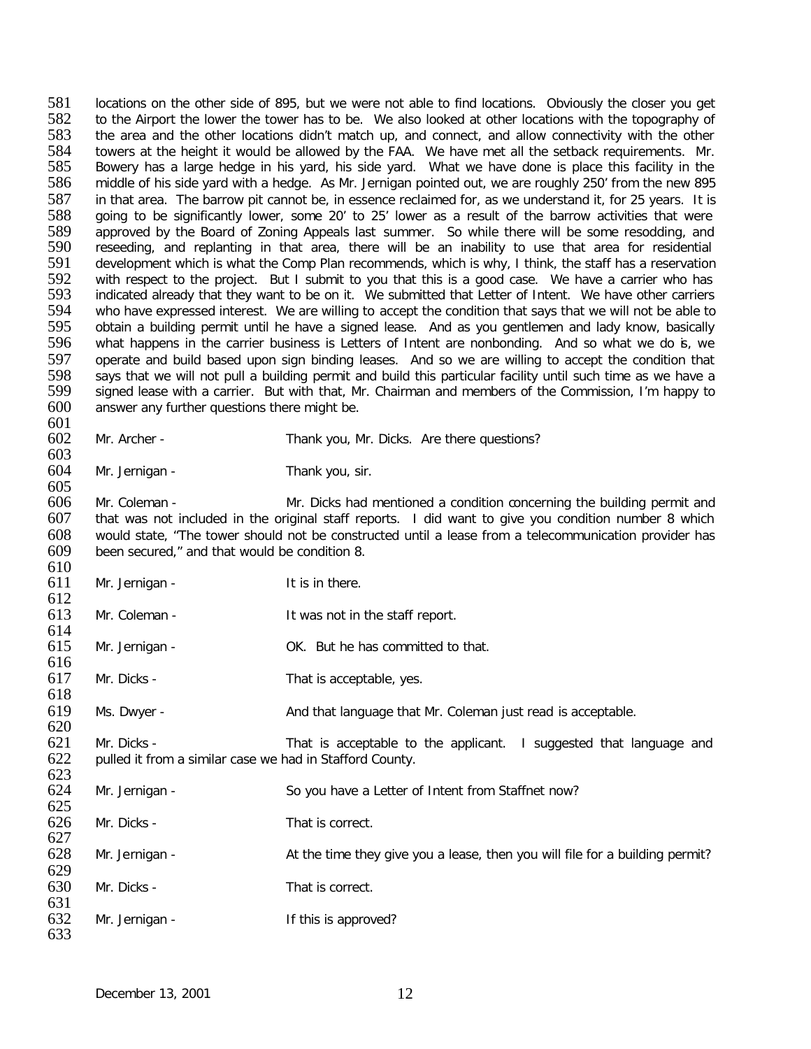581 locations on the other side of 895, but we were not able to find locations. Obviously the closer you get<br>582 to the Airport the lower the tower has to be. We also looked at other locations with the topography of 582 to the Airport the lower the tower has to be. We also looked at other locations with the topography of 583 the area and the other locations didn't match up, and connect, and allow connectivity with the other the area and the other locations didn't match up, and connect, and allow connectivity with the other 584 towers at the height it would be allowed by the FAA. We have met all the setback requirements. Mr.<br>585 Bowery has a large hedge in his yard, his side yard. What we have done is place this facility in the 585 Bowery has a large hedge in his yard, his side yard. What we have done is place this facility in the 586 middle of his side yard with a hedge. As Mr. Jernigan pointed out, we are roughly 250' from the new 895 586 middle of his side yard with a hedge. As Mr. Jernigan pointed out, we are roughly 250' from the new 895<br>587 in that area. The barrow pit cannot be, in essence reclaimed for, as we understand it, for 25 vears. It is 587 in that area. The barrow pit cannot be, in essence reclaimed for, as we understand it, for 25 years. It is<br>588 oping to be significantly lower, some 20' to 25' lower as a result of the barrow activities that were 588 going to be significantly lower, some 20' to 25' lower as a result of the barrow activities that were<br>589 approved by the Board of Zoning Appeals last summer. So while there will be some resodding, and 589 approved by the Board of Zoning Appeals last summer. So while there will be some resodding, and<br>590 reseeding, and replanting in that area, there will be an inability to use that area for residential 590 reseeding, and replanting in that area, there will be an inability to use that area for residential<br>591 development which is what the Comp Plan recommends, which is why. I think, the staff has a reservation 591 development which is what the Comp Plan recommends, which is why, I think, the staff has a reservation<br>592 with respect to the project. But I submit to you that this is a good case. We have a carrier who has 592 with respect to the project. But I submit to you that this is a good case. We have a carrier who has 593 indicated already that they want to be on it. We submitted that Letter of Intent. We have other carriers 593 indicated already that they want to be on it. We submitted that Letter of Intent. We have other carriers<br>594 who have expressed interest. We are willing to accept the condition that says that we will not be able to 594 who have expressed interest. We are willing to accept the condition that says that we will not be able to<br>595 obtain a building permit until he have a signed lease. And as you gentlemen and lady know, basically 595 obtain a building permit until he have a signed lease. And as you gentlemen and lady know, basically<br>596 what happens in the carrier business is Letters of Intent are nonbonding. And so what we do is, we 596 what happens in the carrier business is Letters of Intent are nonbonding. And so what we do is, we<br>597 operate and build based upon sign binding leases. And so we are willing to accept the condition that 597 operate and build based upon sign binding leases. And so we are willing to accept the condition that 598 says that we will not pull a building permit and build this particular facility until such time as we have a 598 says that we will not pull a building permit and build this particular facility until such time as we have a<br>599 signed lease with a carrier. But with that, Mr. Chairman and members of the Commission, I'm happy to 599 signed lease with a carrier. But with that, Mr. Chairman and members of the Commission, I'm happy to 600 answer any further questions there might be. answer any further questions there might be.

601<br>602 Mr. Archer - Thank you, Mr. Dicks. Are there questions?

603<br>604

Mr. Jernigan - Thank you, sir.

605<br>606 606 Mr. Coleman - Mr. Dicks had mentioned a condition concerning the building permit and 607 that was not included in the original staff reports. I did want to give you condition number 8 which that was not included in the original staff reports. I did want to give you condition number 8 which 608 would state, "The tower should not be constructed until a lease from a telecommunication provider has 609 been secured." and that would be condition 8. been secured," and that would be condition 8.

- $\frac{610}{611}$ Mr. Jernigan - The Mr. Jernigan - The Mr. Jernigan - The Mr. 2016
- $612$ <br> $613$ Mr. Coleman - The Staff report. 614
- 615 Mr. Jernigan OK. But he has committed to that.
- 616<br>617 Mr. Dicks - That is acceptable, yes. 618
- 619 Ms. Dwyer And that language that Mr. Coleman just read is acceptable.
- 620<br>621 621 Mr. Dicks - That is acceptable to the applicant. I suggested that language and 622 pulled it from a similar case we had in Stafford County. pulled it from a similar case we had in Stafford County. 623

| 624<br>625 | Mr. Jernigan - | So you have a Letter of Intent from Staffnet now?                            |
|------------|----------------|------------------------------------------------------------------------------|
| 626        | Mr. Dicks -    | That is correct.                                                             |
| 627<br>628 | Mr. Jernigan - | At the time they give you a lease, then you will file for a building permit? |
| 629        |                |                                                                              |
| 630<br>631 | Mr. Dicks -    | That is correct.                                                             |
| 632<br>633 | Mr. Jernigan - | If this is approved?                                                         |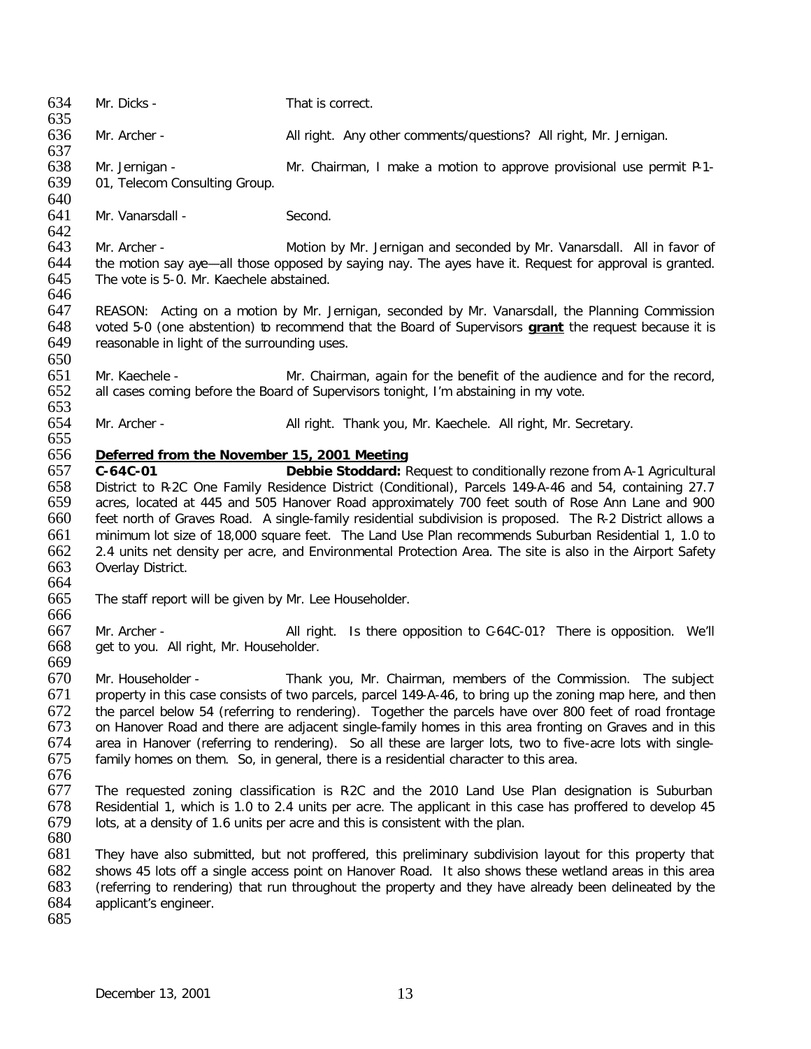634 Mr. Dicks - That is correct. 635<br>636 Mr. Archer - All right. Any other comments/questions? All right, Mr. Jernigan. 637<br>638 638 Mr. Jernigan - Mr. Chairman, I make a motion to approve provisional use permit P-1-<br>639 01, Telecom Consulting Group. 01, Telecom Consulting Group. 640<br>641 Mr. Vanarsdall - Second. 642<br>643 643 Mr. Archer - Motion by Mr. Jernigan and seconded by Mr. Vanarsdall. All in favor of 644 the motion say ave-all those opposed by saving nay. The aves have it. Request for approval is granted. 644 the motion say aye—all those opposed by saying nay. The ayes have it. Request for approval is granted.<br>645 The vote is 5-0. Mr. Kaechele abstained. The vote is 5-0. Mr. Kaechele abstained. 646 647 REASON: Acting on a motion by Mr. Jernigan, seconded by Mr. Vanarsdall, the Planning Commission<br>648 voted 5-0 (one abstention) to recommend that the Board of Supervisors **grant** the request because it is 648 voted 5-0 (one abstention) to recommend that the Board of Supervisors **grant** the request because it is reasonable in light of the surrounding uses. 650<br>651 Mr. Kaechele - Mr. Chairman, again for the benefit of the audience and for the record, 652 all cases coming before the Board of Supervisors tonight, I'm abstaining in my vote. 653<br>654 654 Mr. Archer - All right. Thank you, Mr. Kaechele. All right, Mr. Secretary. 655 656 *Deferred from the November 15, 2001 Meeting* 657 **C-64C-01 Debbie Stoddard:** Request to conditionally rezone from A-1 Agricultural 658 District to R-2C One Family Residence District (Conditional), Parcels 149-A-46 and 54, containing 27.7 acres, located at 445 and 505 Hanover Road approximately 700 feet south of Rose Ann Lane and 900 660 feet north of Graves Road. A single-family residential subdivision is proposed. The R-2 District allows a 661 minimum lot size of 18,000 square feet. The Land Use Plan recommends Suburban Residential 1, 1.0 to 662 2.4 units net density per acre, and Environmental Protection Area. The site is also in the Airport Safety<br>663 Overlav District. Overlay District. 664<br>665 The staff report will be given by Mr. Lee Householder. 666 667 Mr. Archer - All right. Is there opposition to C-64C-01? There is opposition. We'll 668 get to you. All right, Mr. Householder. 669<br>670 Mr. Householder - Thank you, Mr. Chairman, members of the Commission. The subject 671 property in this case consists of two parcels, parcel 149-A-46, to bring up the zoning map here, and then 672 the parcel below 54 (referring to rendering). Together the parcels have over 800 feet of road frontage 673 on Hanover Road and there are adjacent single-family homes in this area fronting on Graves and in this 674 area in Hanover (referring to rendering). So all these are larger lots, two to five-acre lots with single-674 area in Hanover (referring to rendering). So all these are larger lots, two to five-acre lots with single-<br>675 family homes on them. So, in general, there is a residential character to this area. family homes on them. So, in general, there is a residential character to this area. 676 677 The requested zoning classification is R-2C and the 2010 Land Use Plan designation is Suburban 678 Residential 1, which is 1.0 to 2.4 units per acre. The applicant in this case has proffered to develop 45<br>679 Iots, at a density of 1.6 units per acre and this is consistent with the plan. lots, at a density of 1.6 units per acre and this is consistent with the plan. 680 681 They have also submitted, but not proffered, this preliminary subdivision layout for this property that 682 shows 45 lots off a single access point on Hanover Road. It also shows these wetland areas in this area<br>683 (referring to rendering) that run throughout the property and they have already been delineated by the 683 (referring to rendering) that run throughout the property and they have already been delineated by the 684 applicant's engineer. applicant's engineer. 685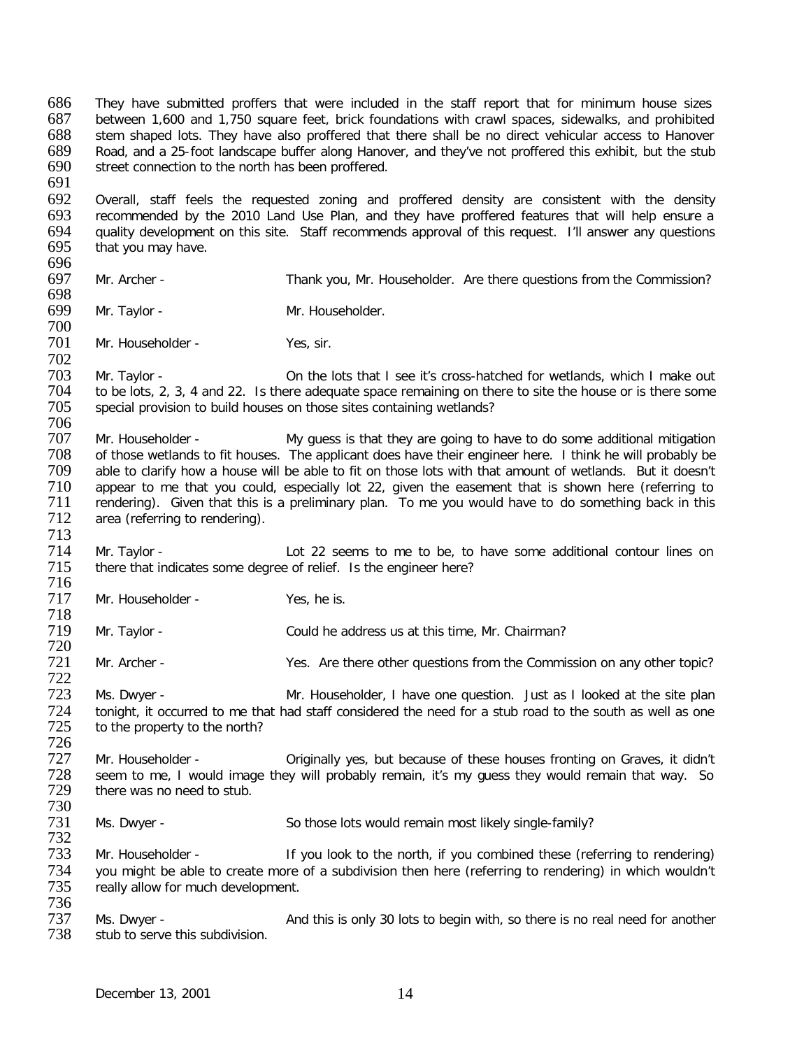686 They have submitted proffers that were included in the staff report that for minimum house sizes<br>687 between 1.600 and 1.750 square feet, brick foundations with crawl spaces, sidewalks, and prohibited 687 between 1,600 and 1,750 square feet, brick foundations with crawl spaces, sidewalks, and prohibited stem shaped lots. They have also proffered that there shall be no direct vehicular access to Hanover 689 Road, and a 25-foot landscape buffer along Hanover, and they've not proffered this exhibit, but the stub<br>690 street connection to the north has been proffered. street connection to the north has been proffered. 691

692 Overall, staff feels the requested zoning and proffered density are consistent with the density<br>693 recommended by the 2010 Land Use Plan, and they have proffered features that will help ensure a recommended by the 2010 Land Use Plan, and they have proffered features that will help ensure a 694 quality development on this site. Staff recommends approval of this request. I'll answer any questions 695 that you may have. that you may have.

696<br>697 Mr. Archer - Thank you, Mr. Householder. Are there questions from the Commission?

698 Mr. Taylor - Mr. Householder.

700 Mr. Householder - Yes, sir.

702<br>703 703 Mr. Taylor - On the lots that I see it's cross-hatched for wetlands, which I make out<br>704 to be lots. 2, 3, 4 and 22. Is there adequate space remaining on there to site the house or is there some 704 to be lots, 2, 3, 4 and 22. Is there adequate space remaining on there to site the house or is there some<br>705 special provision to build houses on those sites containing wetlands? special provision to build houses on those sites containing wetlands?

- 706 707 Mr. Householder - My guess is that they are going to have to do some additional mitigation<br>708 of those wetlands to fit houses. The applicant does have their engineer here. I think he will probably be 708 of those wetlands to fit houses. The applicant does have their engineer here. I think he will probably be<br>709 able to clarify how a house will be able to fit on those lots with that amount of wetlands. But it doesn't able to clarify how a house will be able to fit on those lots with that amount of wetlands. But it doesn't 710 appear to me that you could, especially lot 22, given the easement that is shown here (referring to 711 rendering). Given that this is a preliminary plan. To me you would have to do something back in this 711 rendering). Given that this is a preliminary plan. To me you would have to do something back in this 712 area (referring to rendering). area (referring to rendering).
- 713 Term 714 Mr. Taylor - The State 10to 22 seems to me to be, to have some additional contour lines on 715 there that indicates some degree of relief. Is the engineer here? there that indicates some degree of relief. Is the engineer here?
- 716<br>717 Mr. Householder - Yes, he is.

718<br>719 Mr. Taylor - Could he address us at this time, Mr. Chairman?

720 Mr. Archer - Yes. Are there other questions from the Commission on any other topic?

722 Ms. Dwyer - That Mr. Householder, I have one question. Just as I looked at the site plan 724 tonight, it occurred to me that had staff considered the need for a stub road to the south as well as one<br>725 to the property to the north? to the property to the north?

- 726 Term and the Criginally yes, but because of these houses fronting on Graves, it didn't<br>
Term to the entimation of the will probably remain, it's my quess they would remain that way. So 728 seem to me, I would image they will probably remain, it's my guess they would remain that way. So there was no need to stub. there was no need to stub.
- 730 Ms. Dwyer - So those lots would remain most likely single-family?

732<br>733 Mr. Householder - If you look to the north, if you combined these (referring to rendering) 734 you might be able to create more of a subdivision then here (referring to rendering) in which wouldn't<br>735 really allow for much development. really allow for much development.

736 737 Ms. Dwyer - <br>738 stub to serve this subdivision. stub to serve this subdivision.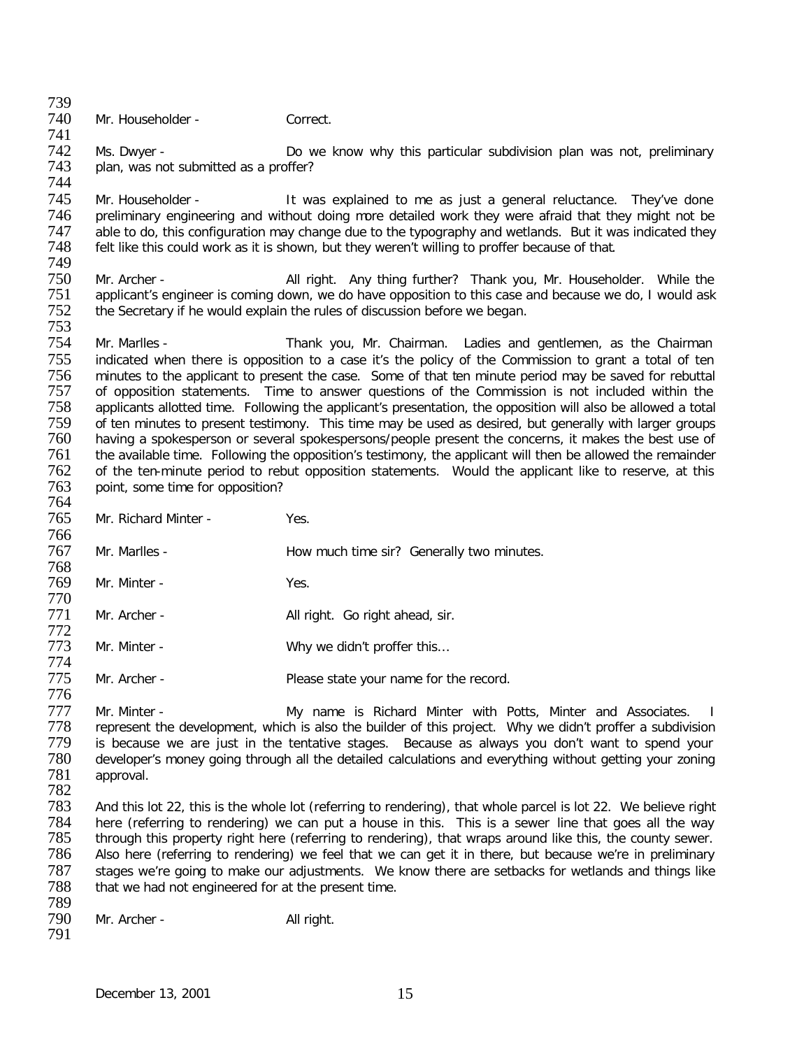739<br>740 Mr. Householder - Correct.

741 742 Ms. Dwyer - Do we know why this particular subdivision plan was not, preliminary<br>743 plan, was not submitted as a proffer? plan, was not submitted as a proffer?

744<br>745 745 Mr. Householder - It was explained to me as just a general reluctance. They've done<br>746 preliminary engineering and without doing more detailed work they were afraid that they might not be preliminary engineering and without doing more detailed work they were afraid that they might not be 747 able to do, this configuration may change due to the typography and wetlands. But it was indicated they 748 felt like this could work as it is shown, but they weren't willing to proffer because of that. felt like this could work as it is shown, but they weren't willing to proffer because of that.

749 750 Mr. Archer - **All right.** Any thing further? Thank you, Mr. Householder. While the 751 applicant's engineer is coming down, we do have opposition to this case and because we do. I would ask 751 applicant's engineer is coming down, we do have opposition to this case and because we do, I would ask 752 the Secretary if he would explain the rules of discussion before we began. the Secretary if he would explain the rules of discussion before we began.

753 Mr. Marlles - Thank you, Mr. Chairman. Ladies and gentlemen, as the Chairman 755 indicated when there is opposition to a case it's the policy of the Commission to grant a total of ten<br>756 minutes to the applicant to present the case. Some of that ten minute period may be saved for rebuttal 756 minutes to the applicant to present the case. Some of that ten minute period may be saved for rebuttal 757 of opposition statements. Time to answer questions of the Commission is not included within the 757 of opposition statements. Time to answer questions of the Commission is not included within the 758 applicants allotted time. Following the applicant's presentation, the opposition will also be allowed a total 758 applicants allotted time. Following the applicant's presentation, the opposition will also be allowed a total<br>759 of ten minutes to present testimony. This time may be used as desired, but generally with larger groups 759 of ten minutes to present testimony. This time may be used as desired, but generally with larger groups<br>760 having a spokesperson or several spokespersons/people present the concerns, it makes the best use of having a spokesperson or several spokespersons/people present the concerns, it makes the best use of 761 the available time. Following the opposition's testimony, the applicant will then be allowed the remainder<br>762 of the ten-minute period to rebut opposition statements. Would the applicant like to reserve, at this of the ten-minute period to rebut opposition statements. Would the applicant like to reserve, at this 763 point, some time for opposition?

- 764<br>765 Mr. Richard Minter - Yes.
- 766<br>767 Mr. Marlles - The Marles How much time sir? Generally two minutes.
- 768 Mr. Minter - Yes.
- 770 Mr. Archer - All right. Go right ahead, sir.
- 772 773 Mr. Minter - Why we didn't proffer this...
- 774 Mr. Archer - Please state your name for the record.

Mr. Minter - The My name is Richard Minter with Potts, Minter and Associates. I<br>The represent the development, which is also the builder of this proiect. Why we didn't proffer a subdivision 778 represent the development, which is also the builder of this project. Why we didn't proffer a subdivision<br>779 is because we are just in the tentative stages. Because as always you don't want to spend your 779 is because we are just in the tentative stages. Because as always you don't want to spend your<br>780 developer's money going through all the detailed calculations and everything without getting your zoning 780 developer's money going through all the detailed calculations and everything without getting your zoning<br>781 approval. approval. 782

- 783 And this lot 22, this is the whole lot (referring to rendering), that whole parcel is lot 22. We believe right 784 here (referring to rendering) we can put a house in this. This is a sewer line that goes all the way<br>785 through this property right here (referring to rendering), that wraps around like this, the county sewer. 785 through this property right here (referring to rendering), that wraps around like this, the county sewer.<br>786 Also here (referring to rendering) we feel that we can get it in there, but because we're in preliminary Also here (referring to rendering) we feel that we can get it in there, but because we're in preliminary 787 stages we're going to make our adjustments. We know there are setbacks for wetlands and things like 788 that we had not engineered for at the present time. that we had not engineered for at the present time.
- 789 791

776

Mr. Archer - All right.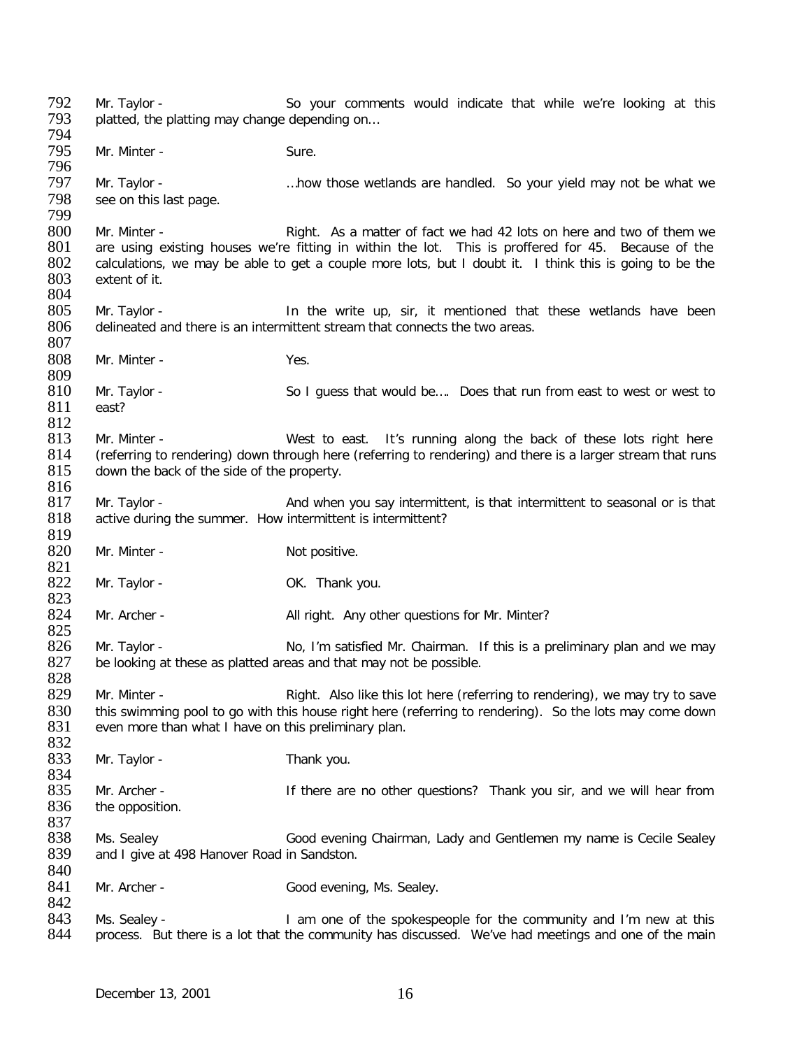792 Mr. Taylor - So your comments would indicate that while we're looking at this contained the platting may change depending on... platted, the platting may change depending on... 794<br>795 Mr. Minter - Sure. 796<br>797 Mr. Taylor - **EXADED AT A ME A** …how those wetlands are handled. So your yield may not be what we 798 see on this last page. 799 800 Mr. Minter - Right. As a matter of fact we had 42 lots on here and two of them we<br>801 are using existing houses we're fitting in within the lot. This is proffered for 45. Because of the 801 are using existing houses we're fitting in within the lot. This is proffered for 45. Because of the 802 calculations, we may be able to get a couple more lots, but I doubt it. I think this is going to be the 802 calculations, we may be able to get a couple more lots, but I doubt it. I think this is going to be the 803 extent of it. extent of it. 804<br>805 805 Mr. Taylor - In the write up, sir, it mentioned that these wetlands have been  $806$  delineated and there is an intermittent stream that connects the two areas. delineated and there is an intermittent stream that connects the two areas. 807 808 Mr. Minter - Yes. 809<br>810 810 Mr. Taylor - So I guess that would be.... Does that run from east to west or west to 811 east? east?  $\frac{812}{813}$ Mr. Minter - West to east. It's running along the back of these lots right here 814 (referring to rendering) down through here (referring to rendering) and there is a larger stream that runs 815 down the back of the side of the property.  $\frac{816}{817}$ 817 Mr. Taylor - And when you say intermittent, is that intermittent to seasonal or is that 818 active during the summer. How intermittent is intermittent? active during the summer. How intermittent is intermittent? 819<br>820 Mr. Minter - Not positive. 821<br>822 Mr. Taylor - Cassett Communication Communication Communication Communication Communication Communication Communication Communication Communication Communication Communication Communication Communication Communication Commu 823<br>824 Mr. Archer - All right. Any other questions for Mr. Minter? 825 826 Mr. Taylor - No, I'm satisfied Mr. Chairman. If this is a preliminary plan and we may be looking at these as platted areas and that may not be possible. be looking at these as platted areas and that may not be possible. 828<br>829 Mr. Minter - Right. Also like this lot here (referring to rendering), we may try to save 830 this swimming pool to go with this house right here (referring to rendering). So the lots may come down<br>831 even more than what I have on this preliminary plan. even more than what I have on this preliminary plan. 832<br>833 Mr. Taylor - Thank you. 834 835 Mr. Archer - If there are no other questions? Thank you sir, and we will hear from 836 the opposition. 837<br>838 838 Ms. Sealey Good evening Chairman, Lady and Gentlemen my name is Cecile Sealey<br>839 and Laive at 498 Hanover Road in Sandston. and I give at 498 Hanover Road in Sandston. 840<br>841 Mr. Archer - Good evening, Ms. Sealey. 842<br>843 843 Ms. Sealey - I am one of the spokespeople for the community and I'm new at this<br>844 process. But there is a lot that the community has discussed. We've had meetings and one of the main process. But there is a lot that the community has discussed. We've had meetings and one of the main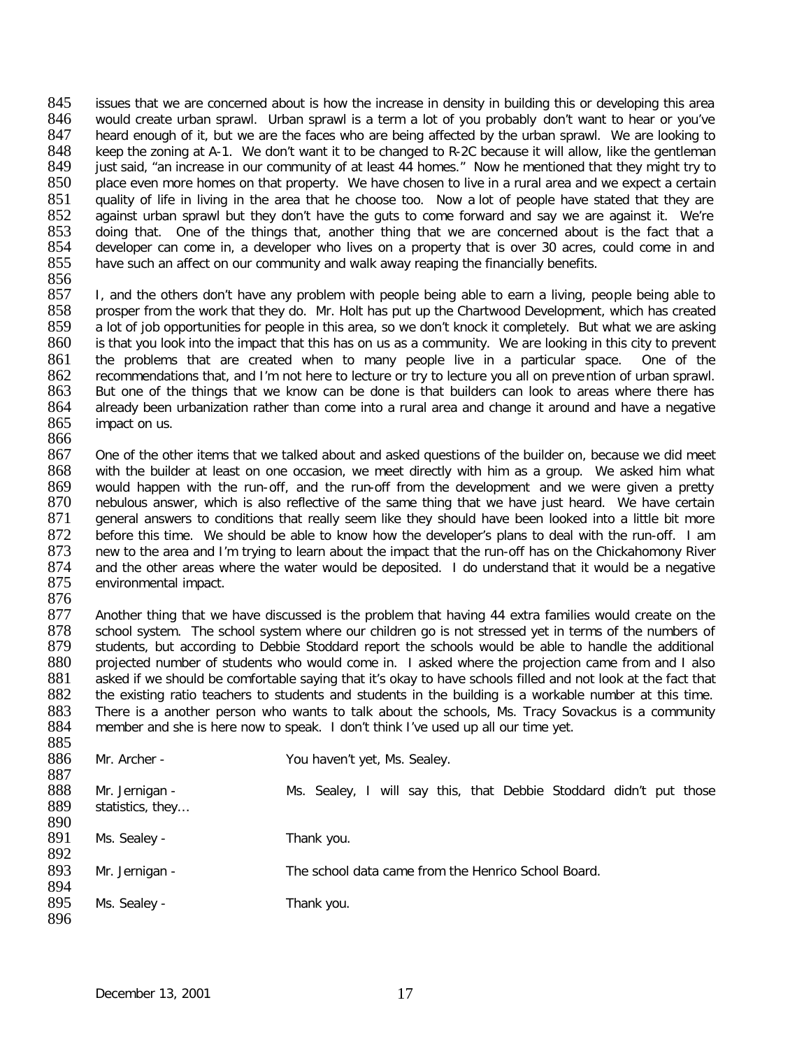845 issues that we are concerned about is how the increase in density in building this or developing this area<br>846 would create urban sprawl. Urban sprawl is a term a lot of you probably don't want to hear or you've 846 would create urban sprawl. Urban sprawl is a term a lot of you probably don't want to hear or you've 847 heard enough of it, but we are the faces who are being affected by the urban sprawl. We are looking to heard enough of it, but we are the faces who are being affected by the urban sprawl. We are looking to 848 keep the zoning at A-1. We don't want it to be changed to R-2C because it will allow, like the gentleman<br>849 iust said, "an increase in our community of at least 44 homes." Now he mentioned that they might try to 849 just said, "an increase in our community of at least 44 homes." Now he mentioned that they might try to 850 place even more homes on that property. We have chosen to live in a rural area and we expect a certain place even more homes on that property. We have chosen to live in a rural area and we expect a certain 851 quality of life in living in the area that he choose too. Now a lot of people have stated that they are<br>852 against urban sprawl but they don't have the guts to come forward and say we are against it. We're 852 against urban sprawl but they don't have the guts to come forward and say we are against it. We're 853 doing that. One of the things that, another thing that we are concerned about is the fact that a 853 doing that. One of the things that, another thing that we are concerned about is the fact that a<br>854 developer can come in, a developer who lives on a property that is over 30 acres, could come in and 854 developer can come in, a developer who lives on a property that is over 30 acres, could come in and 855 have such an affect on our community and walk away reaping the financially benefits. have such an affect on our community and walk away reaping the financially benefits.

856<br>857 857 I, and the others don't have any problem with people being able to earn a living, people being able to 858 prosper from the work that they do. Mr. Holt has put up the Chartwood Development, which has created 858 prosper from the work that they do. Mr. Holt has put up the Chartwood Development, which has created 859 a lot of job opportunities for people in this area, so we don't knock it completely. But what we are asking 859 a lot of job opportunities for people in this area, so we don't knock it completely. But what we are asking<br>860 is that you look into the impact that this has on us as a community. We are looking in this city to preven is that you look into the impact that this has on us as a community. We are looking in this city to prevent 861 the problems that are created when to many people live in a particular space. One of the 862 recommendations that and I'm not here to lecture or try to lecture you all on prevention of urban sprawl. 862 recommendations that, and I'm not here to lecture or try to lecture you all on prevention of urban sprawl.<br>863 But one of the things that we know can be done is that builders can look to areas where there has 863 But one of the things that we know can be done is that builders can look to areas where there has 864 already been urbanization rather than come into a rural area and change it around and have a negative 864 already been urbanization rather than come into a rural area and change it around and have a negative 865 impact on us. impact on us.

866<br>867 One of the other items that we talked about and asked questions of the builder on, because we did meet 868 with the builder at least on one occasion, we meet directly with him as a group. We asked him what 869 would happen with the run-off, and the run-off from the development and we were given a pretty<br>870 nebulous answer, which is also reflective of the same thing that we have just heard. We have certain 870 nebulous answer, which is also reflective of the same thing that we have just heard. We have certain 871 general answers to conditions that really seem like they should have been looked into a little bit more 871 general answers to conditions that really seem like they should have been looked into a little bit more<br>872 before this time. We should be able to know how the developer's plans to deal with the run-off. I am 872 before this time. We should be able to know how the developer's plans to deal with the run-off. I am<br>873 new to the area and I'm trying to learn about the impact that the run-off has on the Chickahomony River 873 new to the area and I'm trying to learn about the impact that the run-off has on the Chickahomony River<br>874 and the other areas where the water would be deposited. I do understand that it would be a negative 874 and the other areas where the water would be deposited. I do understand that it would be a negative 875 environmental impact. environmental impact.

876<br>877

877 Another thing that we have discussed is the problem that having 44 extra families would create on the 878 school system. The school system where our children go is not stressed yet in terms of the numbers of 878 school system. The school system where our children go is not stressed yet in terms of the numbers of 879 students, but according to Debbie Stoddard report the schools would be able to handle the additional 879 students, but according to Debbie Stoddard report the schools would be able to handle the additional 880 projected number of students who would come in. I asked where the projection came from and I also 880 projected number of students who would come in. I asked where the projection came from and I also<br>881 asked if we should be comfortable saying that it's okay to have schools filled and not look at the fact that 881 asked if we should be comfortable saying that it's okay to have schools filled and not look at the fact that 882 the existing ratio teachers to students and students in the building is a workable number at this time. the existing ratio teachers to students and students in the building is a workable number at this time. 883 There is a another person who wants to talk about the schools, Ms. Tracy Sovackus is a community 884 member and she is here now to speak. I don't think I've used up all our time vet. member and she is here now to speak. I don't think I've used up all our time yet. 885

| $\sim$ |                  |                                                                    |
|--------|------------------|--------------------------------------------------------------------|
| 886    | Mr. Archer -     | You haven't yet, Ms. Sealey.                                       |
| 887    |                  |                                                                    |
| 888    | Mr. Jernigan -   | Ms. Sealey, I will say this, that Debbie Stoddard didn't put those |
| 889    | statistics, they |                                                                    |
| 890    |                  |                                                                    |
| 891    | Ms. Sealey -     | Thank you.                                                         |
| 892    |                  |                                                                    |
| 893    | Mr. Jernigan -   | The school data came from the Henrico School Board.                |
| 894    |                  |                                                                    |
| 895    | Ms. Sealey -     | Thank you.                                                         |
| 896    |                  |                                                                    |
|        |                  |                                                                    |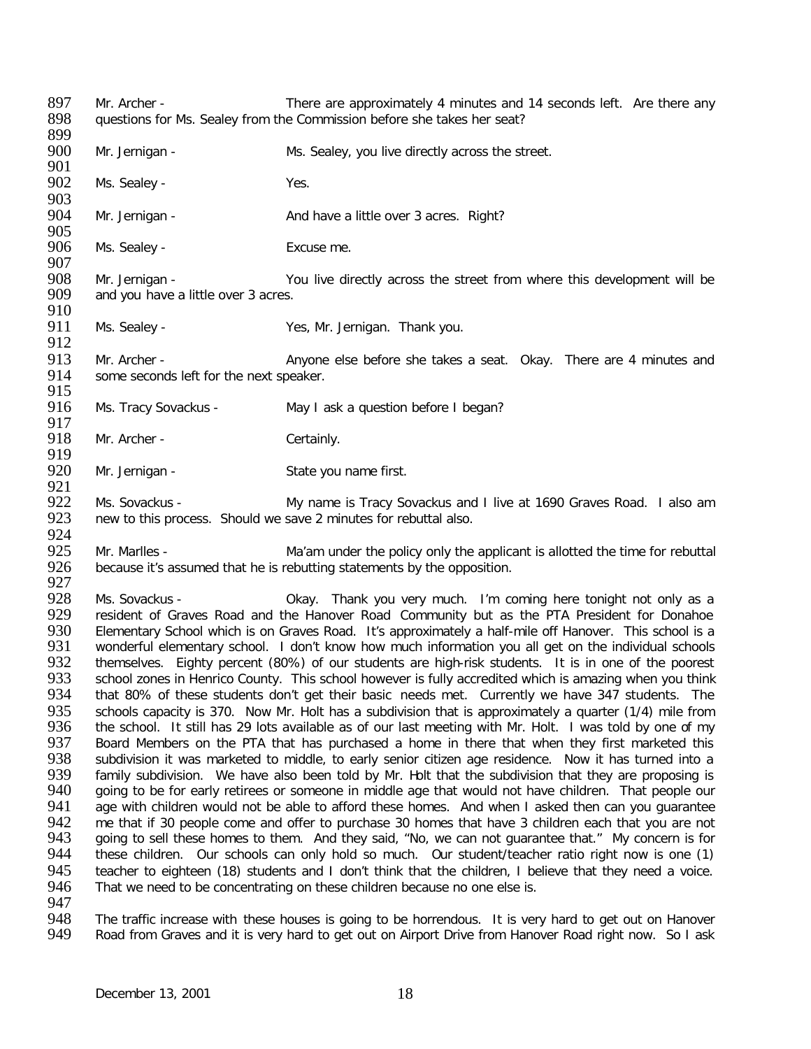897 Mr. Archer - There are approximately 4 minutes and 14 seconds left. Are there any<br>898 auestions for Ms. Sealev from the Commission before she takes her seat? guestions for Ms. Sealey from the Commission before she takes her seat? 899<br>900 Mr. Jernigan - Ms. Sealey, you live directly across the street. 901<br>902 Ms. Sealey - Yes. 903<br>904 Mr. Jernigan - And have a little over 3 acres. Right? 905<br>906 Ms. Sealey - Excuse me. 907<br>908 908 Mr. Jernigan - You live directly across the street from where this development will be 909 and you have a little over 3 acres. and you have a little over 3 acres. 910<br>911 Ms. Sealey - Yes, Mr. Jernigan. Thank you. 912<br>913 913 Mr. Archer - Anyone else before she takes a seat. Okay. There are 4 minutes and some seconds left for the next speaker. some seconds left for the next speaker. 915<br>916 Ms. Tracy Sovackus - May I ask a question before I began? 917<br>918 Mr. Archer - Certainly. 919<br>920 Mr. Jernigan - State you name first. 921<br>922 922 Ms. Sovackus - My name is Tracy Sovackus and I live at 1690 Graves Road. I also am<br>923 new to this process. Should we save 2 minutes for rebuttal also. new to this process. Should we save 2 minutes for rebuttal also. 924<br>925 925 Mr. Marlles - Ma'am under the policy only the applicant is allotted the time for rebuttal 926 because it's assumed that he is rebutting statements by the opposition. because it's assumed that he is rebutting statements by the opposition. 927<br>928 928 Ms. Sovackus - Okay. Thank you very much. I'm coming here tonight not only as a<br>929 Fresident of Graves Road and the Hanover Road Community but as the PTA President for Donahoe 929 Fesident of Graves Road and the Hanover Road Community but as the PTA President for Donahoe<br>930 Elementary School which is on Graves Road. It's approximately a half-mile off Hanover. This school is a 930 Elementary School which is on Graves Road. It's approximately a half-mile off Hanover. This school is a<br>931 Wonderful elementary school. I don't know how much information you all get on the individual schools 931 wonderful elementary school. I don't know how much information you all get on the individual schools<br>932 themselves. Eighty percent (80%) of our students are high-risk students. It is in one of the poorest 932 themselves. Eighty percent (80%) of our students are high-risk students. It is in one of the poorest school zones in Henrico County. This school however is fully accredited which is amazing when you think 933 school zones in Henrico County. This school however is fully accredited which is amazing when you think 934 that 80% of these students don't get their basic needs met. Currently we have 347 students. The 934 that 80% of these students don't get their basic needs met. Currently we have 347 students. The 935 schools capacity is 370. Now Mr. Holt has a subdivision that is approximately a quarter (1/4) mile from<br>936 the school. It still has 29 lots available as of our last meeting with Mr. Holt. I was told by one of my 936 the school. It still has 29 lots available as of our last meeting with Mr. Holt. I was told by one of my<br>937 Board Members on the PTA that has purchased a home in there that when they first marketed this 937 Board Members on the PTA that has purchased a home in there that when they first marketed this<br>938 subdivision it was marketed to middle, to early senior citizen age residence. Now it has turned into a 938 subdivision it was marketed to middle, to early senior citizen age residence. Now it has turned into a 939 family subdivision. We have also been told by Mr. Holt that the subdivision fising is 939 family subdivision. We have also been told by Mr. Holt that the subdivision that they are proposing is 940 oring to be for early retirees or someone in middle age that would not have children. That people our 940 going to be for early retirees or someone in middle age that would not have children. That people our 941 age with children would not be able to afford these homes. And when I asked then can vou quarantee 941 age with children would not be able to afford these homes. And when I asked then can you guarantee<br>942 be that if 30 people come and offer to purchase 30 homes that have 3 children each that you are not 942 me that if 30 people come and offer to purchase 30 homes that have 3 children each that you are not 943 going to sell these homes to them. And they said, "No, we can not quarantee that." My concern is for 943 going to sell these homes to them. And they said, "No, we can not guarantee that." My concern is for<br>944 these children. Our schools can only hold so much. Our student/teacher ratio right now is one (1) these children. Our schools can only hold so much. Our student/teacher ratio right now is one (1) 945 teacher to eighteen (18) students and I don't think that the children, I believe that they need a voice.<br>946 That we need to be concentrating on these children because no one else is. That we need to be concentrating on these children because no one else is. 947<br>948 948 The traffic increase with these houses is going to be horrendous. It is very hard to get out on Hanover<br>949 Road from Graves and it is very hard to get out on Airport Drive from Hanover Road right now. So I ask Road from Graves and it is very hard to get out on Airport Drive from Hanover Road right now. So I ask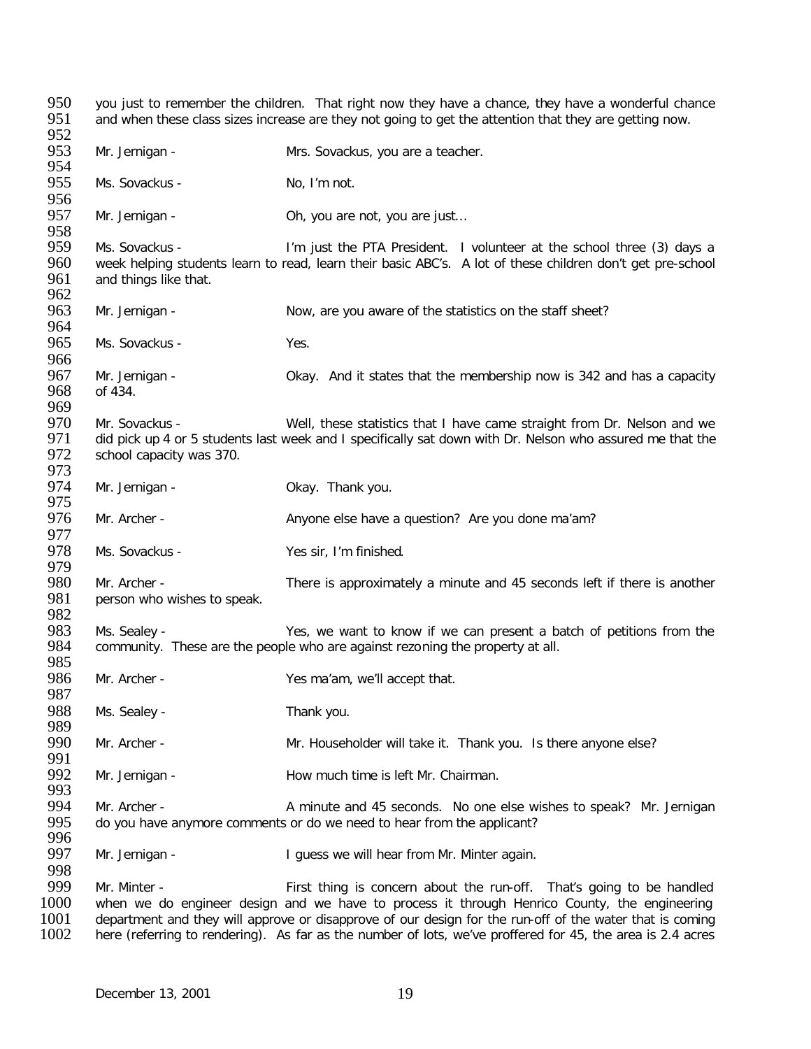950 you just to remember the children. That right now they have a chance, they have a wonderful chance<br>951 and when these class sizes increase are they not going to get the attention that they are getting now. and when these class sizes increase are they not going to get the attention that they are getting now. 952<br>953 Mr. Jernigan - Mrs. Sovackus, you are a teacher. 954<br>955 Ms. Sovackus - No, I'm not. 956<br>957 Mr. Jernigan - Oh, you are not, you are just... 958<br>959 959 Ms. Sovackus - I'm just the PTA President. I volunteer at the school three (3) days a<br>960 week helping students learn to read, learn their basic ABC's. A lot of these children don't get pre-school 960 week helping students learn to read, learn their basic ABC's. A lot of these children don't get pre-school<br>961 and things like that. and things like that. 962<br>963 Mr. Jernigan - Now, are you aware of the statistics on the staff sheet? 964<br>965 Ms. Sovackus - Yes. 966<br>967 967 Mr. Jernigan - Same Chay. And it states that the membership now is 342 and has a capacity 968 of 434. of 434. 969<br>970 970 Mr. Sovackus - Well, these statistics that I have came straight from Dr. Nelson and we<br>971 did pick up 4 or 5 students last week and I specifically sat down with Dr. Nelson who assured me that the 971 did pick up 4 or 5 students last week and I specifically sat down with Dr. Nelson who assured me that the 972 school capacity was 370. school capacity was 370. 973 974 Mr. Jernigan - Changel Charles Channes Okay. Thank you. 975<br>976 Mr. Archer - Anyone else have a question? Are you done ma'am? 977<br>978 Ms. Sovackus - Yes sir, I'm finished. 979<br>980 980 Mr. Archer - There is approximately a minute and 45 seconds left if there is another 981 person who wishes to speak. person who wishes to speak. 982<br>983 Ms. Sealey - Yes, we want to know if we can present a batch of petitions from the 984 community. These are the people who are against rezoning the property at all. 985<br>986 Mr. Archer - Yes ma'am, we'll accept that. 987 988 Ms. Sealey - Thank you. 989<br>990 Mr. Archer - Mr. Householder will take it. Thank you. Is there anyone else? 991<br>992 Mr. Jernigan -  $\qquad \qquad$  How much time is left Mr. Chairman. 993<br>994 994 Mr. Archer - **Antinute and 45 seconds.** No one else wishes to speak? Mr. Jernigan <br>995 do vou have anymore comments or do we need to hear from the applicant? do you have anymore comments or do we need to hear from the applicant? 996<br>997 Mr. Jernigan - I guess we will hear from Mr. Minter again. 998<br>999 999 Mr. Minter - First thing is concern about the run-off. That's going to be handled<br>1000 when we do engineer design and we have to process it through Henrico County, the engineering 1000 when we do engineer design and we have to process it through Henrico County, the engineering<br>1001 department and they will approve or disapprove of our design for the run-off of the water that is coming 1001 department and they will approve or disapprove of our design for the run-off of the water that is coming<br>1002 here (referring to rendering). As far as the number of lots, we've proffered for 45, the area is 2.4 acres here (referring to rendering). As far as the number of lots, we've proffered for 45, the area is 2.4 acres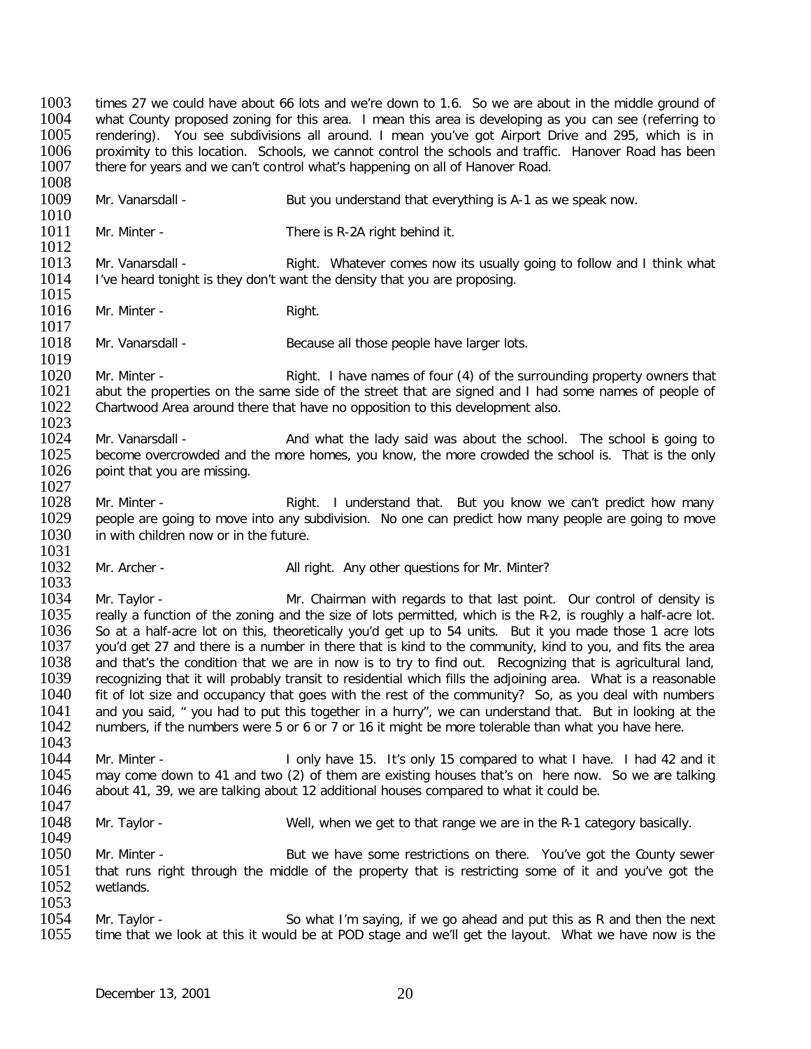1003 times 27 we could have about 66 lots and we're down to 1.6. So we are about in the middle ground of 1004 vhat County proposed zoning for this area. I mean this area is developing as you can see (referring to 1004 vhat County proposed zoning for this area. I mean this area is developing as you can see (referring to 1005 centering to 1005 centering to 1005 centering to 1005 centering to 1005 centering to 1005 rendering). You see subdivisions all around. I mean you've got Airport Drive and 295, which is in 1006 rendering and traffic. Hanover Road has been 1006 proximity to this location. Schools, we cannot control the schools and traffic. Hanover Road has been 1007 there for vears and we can't control what's happening on all of Hanover Road. there for years and we can't control what's happening on all of Hanover Road.

1008<br>1009 Mr. Vanarsdall - But you understand that everything is A-1 as we speak now.

- $\frac{1010}{1011}$ Mr. Minter - There is R-2A right behind it.
- $\frac{1012}{1013}$ 1013 Mr. Vanarsdall - Right. Whatever comes now its usually going to follow and I think what <br>1014 Live heard tonight is they don't want the density that you are proposing. I've heard tonight is they don't want the density that you are proposing.
- $\frac{1015}{1016}$ Mr. Minter - Right.
- $\frac{1017}{1018}$ Mr. Vanarsdall - Because all those people have larger lots.
- 1019<br>1020 1020 Mr. Minter - Right. I have names of four (4) of the surrounding property owners that 1021 abut the properties on the same side of the street that are signed and I had some names of people of 1021 abut the properties on the same side of the street that are signed and I had some names of people of 1022 Chartwood Area around there that have no opposition to this development also. Chartwood Area around there that have no opposition to this development also.
- 1023<br>1024 1024 Mr. Vanarsdall - And what the lady said was about the school. The school is going to 1025 become overcrowded and the more homes, you know, the more crowded the school is. That is the only 1025 become overcrowded and the more homes, you know, the more crowded the school is. That is the only 1026 point that you are missing. point that you are missing.
- 1027<br>1028 1028 Mr. Minter - Right. I understand that. But you know we can't predict how many<br>1029 beople are going to move into any subdivision. No one can predict how many people are going to move 1029 people are going to move into any subdivision. No one can predict how many people are going to move 1030 in with children now or in the future. in with children now or in the future.
- 1031<br>1032 Mr. Archer - All right. Any other questions for Mr. Minter?
- 1033<br>1034 1034 Mr. Taylor - Mr. Chairman with regards to that last point. Our control of density is<br>1035 Freally a function of the zoning and the size of lots permitted, which is the R-2, is roughly a half-acre 1035 really a function of the zoning and the size of lots permitted, which is the R-2, is roughly a half-acre lot.<br>1036 So at a half-acre lot on this, theoretically you'd get up to 54 units. But it you made those 1 acre lo 1036 So at a half-acre lot on this, theoretically you'd get up to 54 units. But it you made those 1 acre lots<br>1037 vou'd get 27 and there is a number in there that is kind to the community, kind to you, and fits the area 1037 you'd get 27 and there is a number in there that is kind to the community, kind to you, and fits the area<br>1038 and that's the condition that we are in now is to try to find out. Recognizing that is agricultural land. 1038 and that's the condition that we are in now is to try to find out. Recognizing that is agricultural land,<br>1039 recognizing that it will probably transit to residential which fills the adioining area. What is a reasona 1039 recognizing that it will probably transit to residential which fills the adjoining area. What is a reasonable<br>1040 fit of lot size and occupancy that goes with the rest of the community? So, as you deal with numbers fit of lot size and occupancy that goes with the rest of the community? So, as you deal with numbers 1041 and you said, " you had to put this together in a hurry", we can understand that. But in looking at the 1042 numbers, if the numbers were 5 or 6 or 7 or 16 it might be more tolerable than what you have here. numbers, if the numbers were 5 or 6 or 7 or 16 it might be more tolerable than what you have here.
- 1043<br>1044 1044 Mr. Minter - I only have 15. It's only 15 compared to what I have. I had 42 and it<br>1045 may come down to 41 and two (2) of them are existing houses that's on there now. So we are talking 1045 may come down to 41 and two (2) of them are existing houses that's on here now. So we are talking 1046 about 41, 39, we are talking about 12 additional houses compared to what it could be. about 41, 39, we are talking about 12 additional houses compared to what it could be.
- 1047<br>1048 Mr. Taylor - Well, when we get to that range we are in the R-1 category basically.
- 1049<br>1050 Mr. Minter - The Sut we have some restrictions on there. You've got the County sewer 1051 that runs right through the middle of the property that is restricting some of it and you've got the 1052 wetlands. wetlands.
- 1053<br>1054 1054 Mr. Taylor - So what I'm saying, if we go ahead and put this as R and then the next<br>1055 time that we look at this it would be at POD stage and we'll get the layout. What we have now is the time that we look at this it would be at POD stage and we'll get the layout. What we have now is the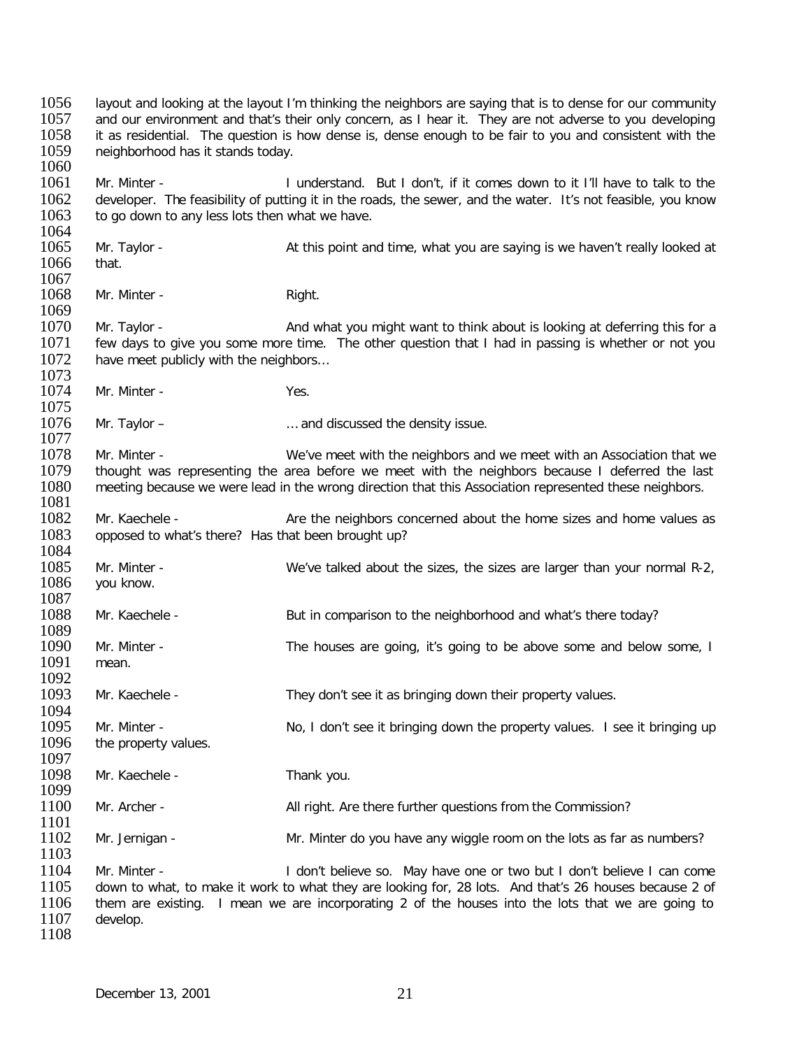1056 layout and looking at the layout I'm thinking the neighbors are saying that is to dense for our community<br>1057 and our environment and that's their only concern, as I hear it. They are not adverse to you developing 1057 and our environment and that's their only concern, as I hear it. They are not adverse to you developing<br>1058 it as residential. The question is how dense is, dense enough to be fair to you and consistent with the 1058 it as residential. The question is how dense is, dense enough to be fair to you and consistent with the 1059 neighborhood has it stands today. neighborhood has it stands today. 1060<br>1061 1061 Mr. Minter - I understand. But I don't, if it comes down to it I'll have to talk to the<br>1062 developer. The feasibility of putting it in the roads, the sewer, and the water. It's not feasible, you know 1062 developer. The feasibility of putting it in the roads, the sewer, and the water. It's not feasible, you know<br>1063 to go down to any less lots then what we have. to go down to any less lots then what we have. 1064<br>1065 Mr. Taylor - <br> **1065** At this point and time, what you are saying is we haven't really looked at<br>
that. 1066 1067<br>1068 Mr. Minter - The Right. 1069<br>1070 1070 Mr. Taylor - <br>1071 few days to give you some more time. The other question that I had in passing is whether or not you 1071 few days to give you some more time. The other question that I had in passing is whether or not you <br>1072 have meet publicly with the neighbors... have meet publicly with the neighbors... 1073<br>1074 Mr. Minter - Yes. 1075<br>1076 Mr. Taylor – **Example 2018** Mr. Taylor – **Mr.** Taylor – 1077<br>1078 1078 Mr. Minter - We've meet with the neighbors and we meet with an Association that we<br>1079 thought was representing the area before we meet with the neighbors because I deferred the last 1079 thought was representing the area before we meet with the neighbors because I deferred the last 1080 meeting because we were lead in the wrong direction that this Association represented these neighbors. meeting because we were lead in the wrong direction that this Association represented these neighbors. 1081<br>1082 1082 Mr. Kaechele - Are the neighbors concerned about the home sizes and home values as 1083 copposed to what's there? Has that been brought up? opposed to what's there? Has that been brought up? 1084<br>1085 1085 Mr. Minter - We've talked about the sizes, the sizes are larger than your normal R-2, 1086 vou know. you know. 1087<br>1088 Mr. Kaechele - But in comparison to the neighborhood and what's there today? 1089<br>1090 Mr. Minter - The houses are going, it's going to be above some and below some, I mean. 1091 1092<br>1093 Mr. Kaechele - They don't see it as bringing down their property values. 1094<br>1095 1095 Mr. Minter - No, I don't see it bringing down the property values. I see it bringing up<br>1096 the property values. the property values. 1097<br>1098 Mr. Kaechele - Thank you. 1099<br>1100 Mr. Archer - All right. Are there further questions from the Commission? 1101<br>1102 Mr. Jernigan - Mr. Minter do you have any wiggle room on the lots as far as numbers? 1103 1104 Mr. Minter - I don't believe so. May have one or two but I don't believe I can come<br>1105 down to what, to make it work to what they are looking for, 28 lots. And that's 26 houses because 2 of 1105 down to what, to make it work to what they are looking for, 28 lots. And that's 26 houses because 2 of 1106 them are existing. I mean we are incorporating 2 of the houses into the lots that we are going to 1106 them are existing. I mean we are incorporating 2 of the houses into the lots that we are going to 1107 develop. develop. 1108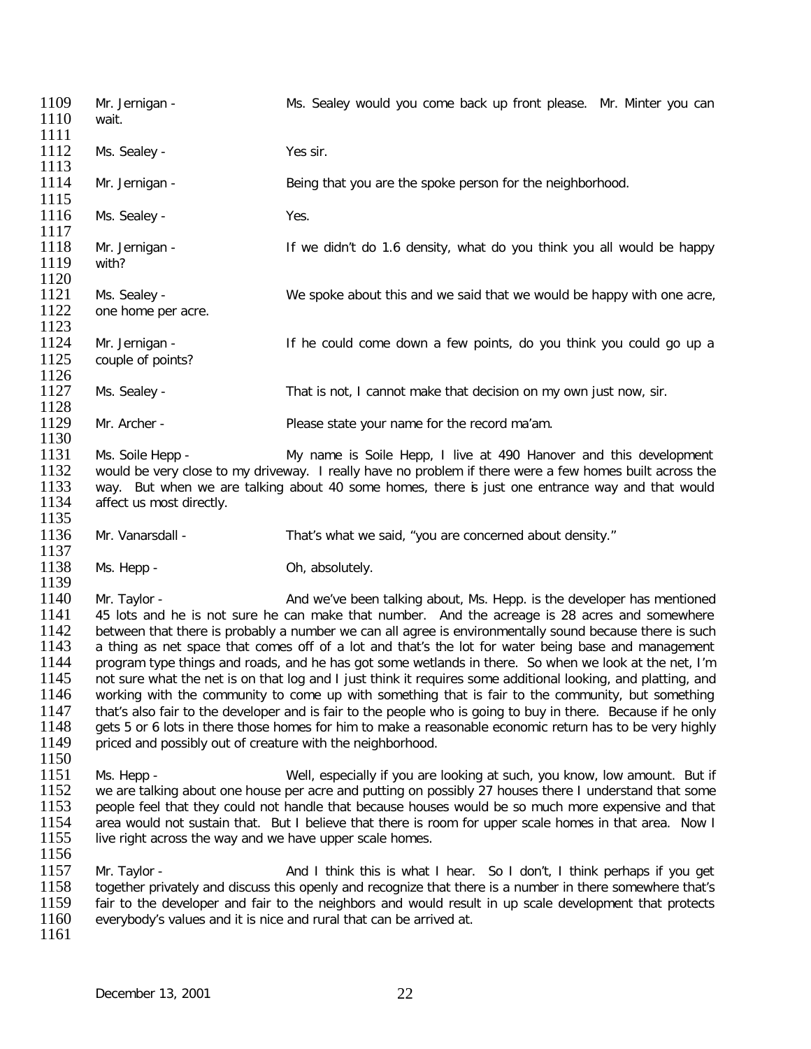1109 Mr. Jernigan - Ms. Sealey would you come back up front please. Mr. Minter you can 1110 wait. 1111<br>1112 Ms. Sealey - Yes sir. 1113<br>1114 Mr. Jernigan - Being that you are the spoke person for the neighborhood. 1115<br>1116 Ms. Sealey - Yes. 1117<br>1118 Mr. Jernigan - If we didn't do 1.6 density, what do you think you all would be happy with? 1119 1120<br>1121 1121 Ms. Sealey - We spoke about this and we said that we would be happy with one acre,<br>1122 one home per acre, one home per acre. 1123<br>1124 1124 Mr. Jernigan - If he could come down a few points, do you think you could go up a<br>1125 couple of points? couple of points? 1126<br>1127 Ms. Sealey - That is not, I cannot make that decision on my own just now, sir. 1128<br>1129 Mr. Archer - Please state your name for the record ma'am. 1130<br>1131 1131 Ms. Soile Hepp - My name is Soile Hepp, I live at 490 Hanover and this development 1132 would be very close to my driveway. I really have no problem if there were a few homes built across the 1132 would be very close to my driveway. I really have no problem if there were a few homes built across the<br>1133 way. But when we are talking about 40 some homes, there is just one entrance way and that would 1133 way. But when we are talking about 40 some homes, there is just one entrance way and that would 1134 affect us most directly. affect us most directly. 1135 1136 Mr. Vanarsdall - That's what we said, "you are concerned about density." 1137<br>1138 Ms. Hepp - Charles Controllers Controllers Controllers Manuscript Oh, absolutely. 1139<br>1140 1140 Mr. Taylor - And we've been talking about, Ms. Hepp. is the developer has mentioned 1141 45 lots and he is not sure he can make that number. And the acreage is 28 acres and somewhere 1141 45 lots and he is not sure he can make that number. And the acreage is 28 acres and somewhere<br>1142 between that there is probably a number we can all agree is environmentally sound because there is such 1142 between that there is probably a number we can all agree is environmentally sound because there is such 1143 a thing as net space that comes off of a lot and that's the lot for water being base and management 1143 a thing as net space that comes off of a lot and that's the lot for water being base and management 1144 program type things and roads, and he has got some wetlands in there. So when we look at the net, I'm 1144 program type things and roads, and he has got some wetlands in there. So when we look at the net, I'm<br>1145 not sure what the net is on that log and I just think it requires some additional looking, and platting, and 1145 not sure what the net is on that log and I just think it requires some additional looking, and platting, and<br>1146 vorking with the community to come up with something that is fair to the community, but something working with the community to come up with something that is fair to the community, but something 1147 that's also fair to the developer and is fair to the people who is going to buy in there. Because if he only<br>1148 est 5 or 6 lots in there those homes for him to make a reasonable economic return has to be very highly 1148 gets 5 or 6 lots in there those homes for him to make a reasonable economic return has to be very highly 1149 priced and possibly out of creature with the neighborhood. priced and possibly out of creature with the neighborhood.  $\frac{1150}{1151}$ 1151 Ms. Hepp - Well, especially if you are looking at such, you know, low amount. But if 1152 we are talking about one house per acre and putting on possibly 27 houses there I understand that some 1152 we are talking about one house per acre and putting on possibly 27 houses there I understand that some 153<br>1153 beople feel that they could not handle that because houses would be so much more expensive and that 1153 people feel that they could not handle that because houses would be so much more expensive and that 1154 area would not sustain that. But I believe that there is room for upper scale homes in that area. Now I 1154 area would not sustain that. But I believe that there is room for upper scale homes in that area. Now I<br>1155 live right across the way and we have upper scale homes. live right across the way and we have upper scale homes. 1156 1157 Mr. Taylor - And I think this is what I hear. So I don't, I think perhaps if you get 1158 together privately and discuss this openly and recognize that there is a number in there somewhere that's 1158 together privately and discuss this openly and recognize that there is a number in there somewhere that's<br>1159 fair to the developer and fair to the neighbors and would result in up scale development that protects 1159 fair to the developer and fair to the neighbors and would result in up scale development that protects 1160 everybody's values and it is nice and rural that can be arrived at. everybody's values and it is nice and rural that can be arrived at. 1161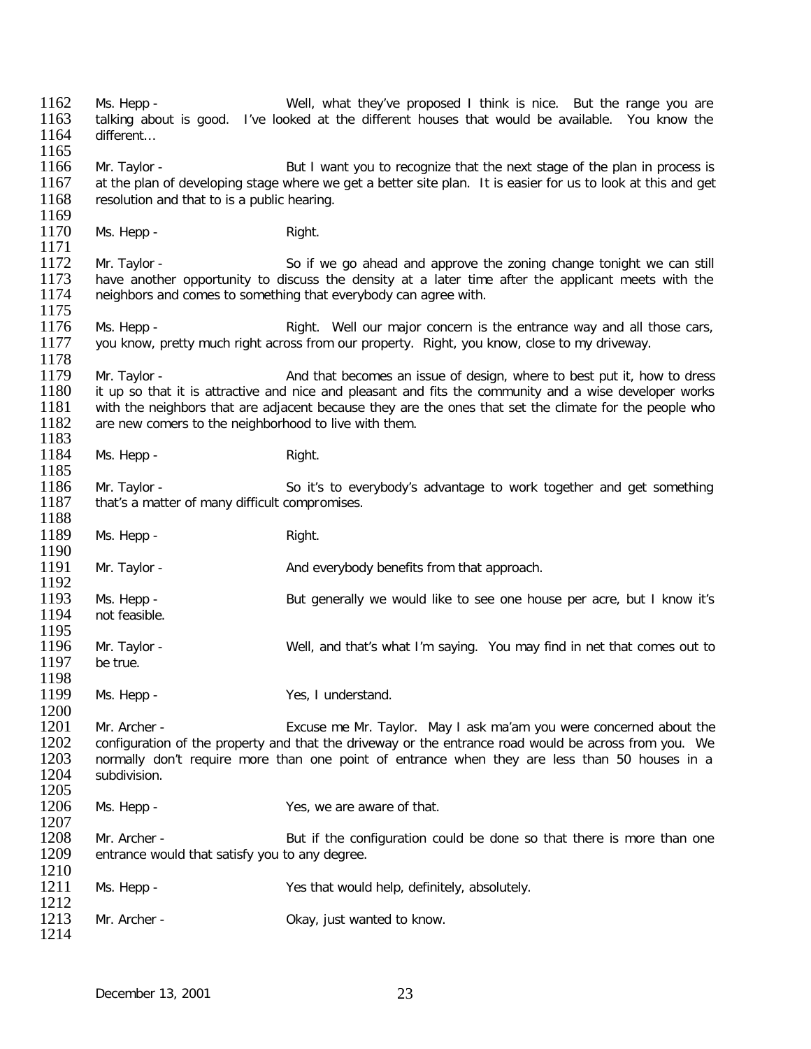1162 Ms. Hepp - Well, what they've proposed I think is nice. But the range you are<br>1163 talking about is good. I've looked at the different houses that would be available. You know the 1163 talking about is good. I've looked at the different houses that would be available. You know the 1164 different... different… 1165<br>1166 1166 Mr. Taylor - But I want you to recognize that the next stage of the plan in process is<br>1167 at the plan of developing stage where we get a better site plan. It is easier for us to look at this and get at the plan of developing stage where we get a better site plan. It is easier for us to look at this and get 1168 resolution and that to is a public hearing. 1169<br>1170 Ms. Hepp - Right. 1171<br>1172 1172 Mr. Taylor - So if we go ahead and approve the zoning change tonight we can still<br>1173 have another opportunity to discuss the density at a later time after the applicant meets with the 1173 have another opportunity to discuss the density at a later time after the applicant meets with the 1174 neighbors and comes to something that everybody can agree with. neighbors and comes to something that everybody can agree with. 1175<br>1176 1176 Ms. Hepp - Right. Well our major concern is the entrance way and all those cars,<br>1177 vou know, pretty much right across from our property. Right, you know, close to my driveway. you know, pretty much right across from our property. Right, you know, close to my driveway. 1178<br>1179 1179 Mr. Taylor - And that becomes an issue of design, where to best put it, how to dress<br>1180 it up so that it is attractive and nice and pleasant and fits the community and a wise developer works 1180 it up so that it is attractive and nice and pleasant and fits the community and a wise developer works<br>1181 with the neighbors that are adiacent because they are the ones that set the climate for the people who 1181 with the neighbors that are adjacent because they are the ones that set the climate for the people who 1182 are new comers to the neighborhood to live with them. are new comers to the neighborhood to live with them. 1183<br>1184 Ms. Hepp - Right. 1185<br>1186 1186 Mr. Taylor - So it's to everybody's advantage to work together and get something<br>1187 that's a matter of many difficult compromises. that's a matter of many difficult compromises. 1188<br>1189 Ms. Hepp - Right. 1190<br>1191 Mr. Taylor - And everybody benefits from that approach. 1192<br>1193 1193 Ms. Hepp - But generally we would like to see one house per acre, but I know it's 1194 not feasible. not feasible. 1195<br>1196 1196 Mr. Taylor - Well, and that's what I'm saying. You may find in net that comes out to 1197 be true. be true. 1198<br>1199 Ms. Hepp - Yes, I understand. 1200<br>1201 1201 Mr. Archer - Excuse me Mr. Taylor. May I ask ma'am you were concerned about the 1202 configuration of the property and that the driveway or the entrance road would be across from you. We 1202 configuration of the property and that the driveway or the entrance road would be across from you. We<br>1203 normally don't require more than one point of entrance when they are less than 50 houses in a 1203 normally don't require more than one point of entrance when they are less than 50 houses in a 1204 subdivision. subdivision. 1205<br>1206 Ms. Hepp - Yes, we are aware of that. 1207<br>1208 1208 Mr. Archer - But if the configuration could be done so that there is more than one 1209 entrance would that satisfy you to any degree. entrance would that satisfy you to any degree.  $\frac{1210}{1211}$ Ms. Hepp - Yes that would help, definitely, absolutely.  $\frac{1212}{1213}$ Mr. Archer - Changel Mr. Archer - Changel Mr. Archer - Okay, just wanted to know. 1214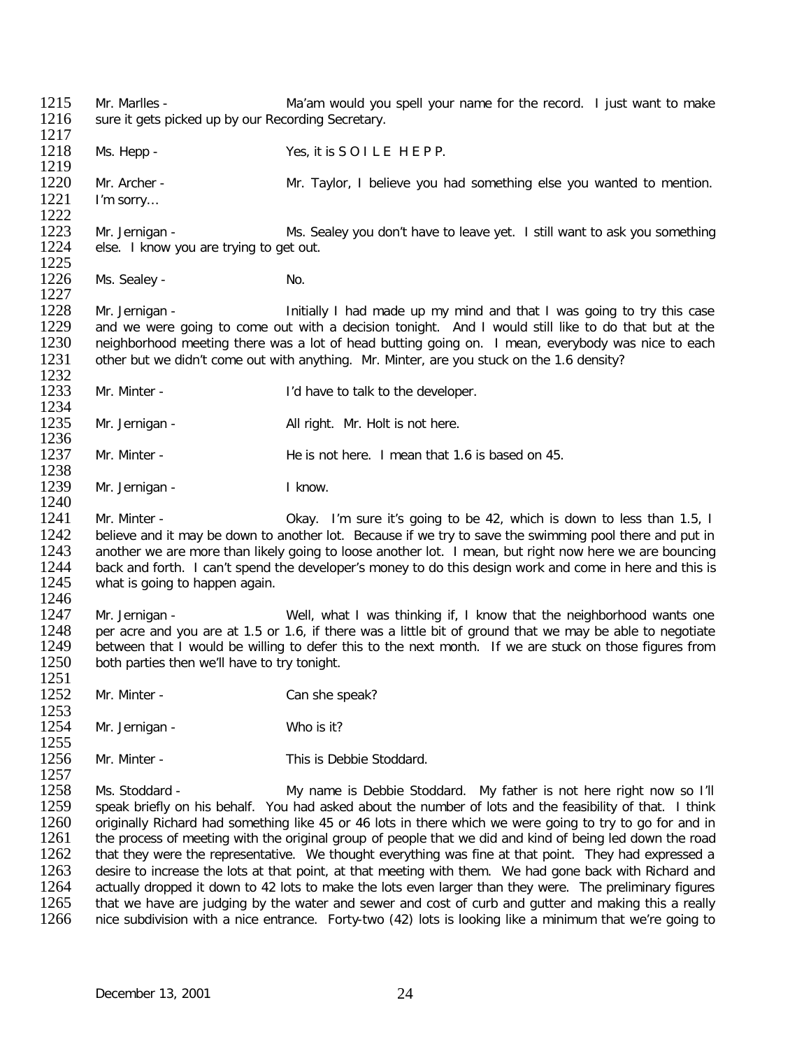1215 Mr. Marlles - Maiam would you spell your name for the record. I just want to make 1216 sure it gets picked up by our Recording Secretary. sure it gets picked up by our Recording Secretary.  $\frac{1217}{1218}$ Ms. Hepp - Yes, it is SOILE HEPP. 1219<br>1220 1220 Mr. Archer - Mr. Taylor, I believe you had something else you wanted to mention.<br>1221 I'm sorry... I'm sorry… 1222<br>1223 1223 Mr. Jernigan - Ms. Sealey you don't have to leave yet. I still want to ask you something 1224 else. I know you are trying to get out. else. I know you are trying to get out. 1225<br>1226 Ms. Sealey - No. 1227<br>1228 1228 Mr. Jernigan - Initially I had made up my mind and that I was going to try this case<br>1229 and we were going to come out with a decision tonight. And I would still like to do that but at the 1229 and we were going to come out with a decision tonight. And I would still like to do that but at the 1230 reighborhood meeting there was a lot of head butting going on. I mean, everybody was nice to each 1230 neighborhood meeting there was a lot of head butting going on. I mean, everybody was nice to each 1231 other but we didn't come out with anything. Mr. Minter, are you stuck on the 1.6 density? other but we didn't come out with anything. Mr. Minter, are you stuck on the 1.6 density? 1232<br>1233 Mr. Minter - The Muslim Community of the developer. 1234<br>1235 Mr. Jernigan - All right. Mr. Holt is not here. 1236<br>1237 Mr. Minter - The is not here. I mean that 1.6 is based on 45. 1238<br>1239 Mr. Jernigan - I know. 1240<br>1241 1241 Mr. Minter - Okay. I'm sure it's going to be 42, which is down to less than 1.5, I<br>1242 believe and it may be down to another lot. Because if we try to save the swimming pool there and put in 1242 believe and it may be down to another lot. Because if we try to save the swimming pool there and put in 1243 another we are more than likely going to losse another lot. I mean, but right now here we are bouncing 1243 another we are more than likely going to loose another lot. I mean, but right now here we are bouncing<br>1244 back and forth. I can't spend the developer's money to do this design work and come in here and this is 1244 back and forth. I can't spend the developer's money to do this design work and come in here and this is 1245 what is going to happen again. what is going to happen again. 1246<br>1247 1247 Mr. Jernigan - Well, what I was thinking if, I know that the neighborhood wants one<br>1248 per acre and you are at 1.5 or 1.6, if there was a little bit of ground that we may be able to negotiate 1248 per acre and you are at 1.5 or 1.6, if there was a little bit of ground that we may be able to negotiate 1249 between that I would be willing to defer this to the next month. If we are stuck on those flaures from 1249 between that I would be willing to defer this to the next month. If we are stuck on those figures from 1250 both parties then we'll have to try tonight. both parties then we'll have to try tonight. 1251<br>1252 Mr. Minter - Can she speak? 1253<br>1254 Mr. Jernigan - Who is it? 1255<br>1256 Mr. Minter - This is Debbie Stoddard. 1257<br>1258 1258 Ms. Stoddard - My name is Debbie Stoddard. My father is not here right now so I'll<br>1259 speak briefly on his behalf. You had asked about the number of lots and the feasibility of that. I think 1259 speak briefly on his behalf. You had asked about the number of lots and the feasibility of that. I think<br>1260 originally Richard had something like 45 or 46 lots in there which we were going to try to go for and in 1260 originally Richard had something like 45 or 46 lots in there which we were going to try to go for and in<br>1261 the process of meeting with the original group of people that we did and kind of being led down the road 1261 the process of meeting with the original group of people that we did and kind of being led down the road<br>1262 that they were the representative. We thought everything was fine at that point. They had expressed a that they were the representative. We thought everything was fine at that point. They had expressed a 1263 desire to increase the lots at that point, at that meeting with them. We had gone back with Richard and 1264 actually dropped it down to 42 lots to make the lots even larger than they were. The preliminary figures 1264 actually dropped it down to 42 lots to make the lots even larger than they were. The preliminary figures<br>1265 that we have are judging by the water and sewer and cost of curb and gutter and making this a really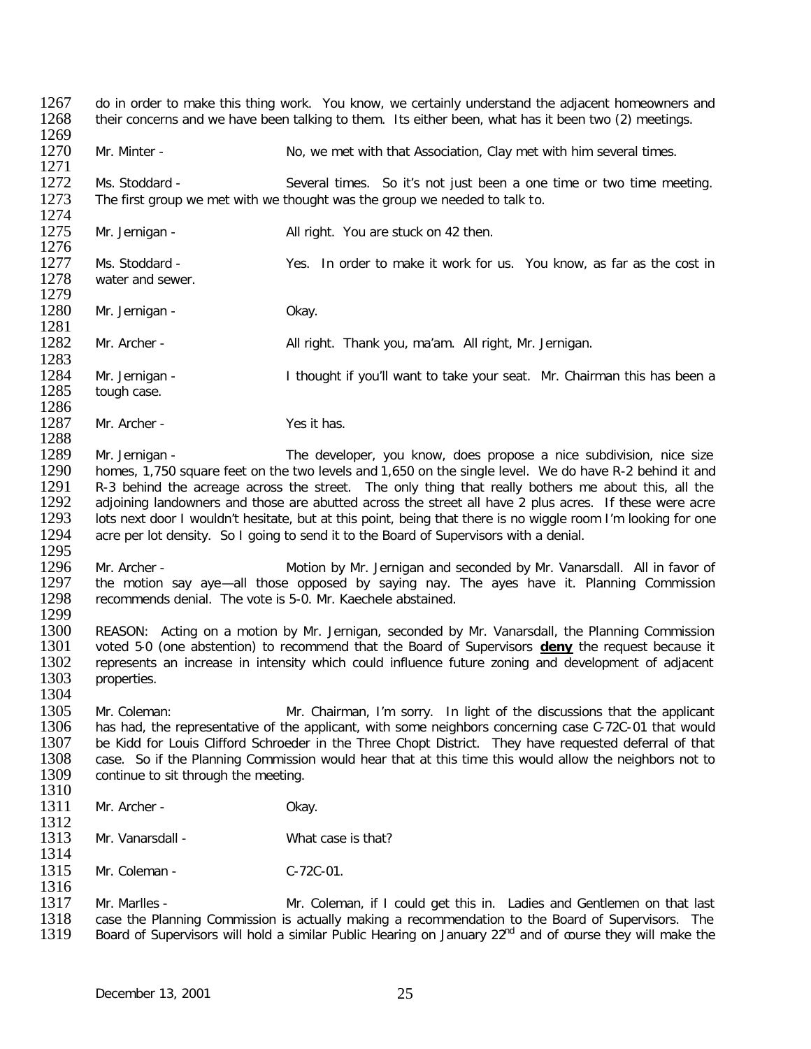1267 do in order to make this thing work. You know, we certainly understand the adjacent homeowners and 1268 their concerns and we have been talking to them. Its either been, what has it been two (2) meetings. their concerns and we have been talking to them. Its either been, what has it been two (2) meetings. 1269<br>1270 Mr. Minter - No, we met with that Association, Clay met with him several times. 1271<br>1272 1272 Ms. Stoddard - Several times. So it's not just been a one time or two time meeting.<br>1273 The first group we met with we thought was the group we needed to talk to. The first group we met with we thought was the group we needed to talk to. 1274<br>1275 Mr. Jernigan - All right. You are stuck on 42 then. 1276<br>1277 1277 Ms. Stoddard - Yes. In order to make it work for us. You know, as far as the cost in 1278 water and sewer. water and sewer. 1279<br>1280 Mr. Jernigan - Okay. 1281 Mr. Archer - All right. Thank you, ma'am. All right, Mr. Jernigan. 1283<br>1284 1284 Mr. Jernigan - I thought if you'll want to take your seat. Mr. Chairman this has been a 1285 tough case. tough case. 1286<br>1287 Mr. Archer - Yes it has. 1288<br>1289 1289 Mr. Jernigan - The developer, you know, does propose a nice subdivision, nice size<br>1290 homes, 1.750 square feet on the two levels and 1.650 on the single level. We do have R-2 behind it and 1290 homes, 1,750 square feet on the two levels and 1,650 on the single level. We do have R-2 behind it and 1291 R-3 behind the acreage across the street. The only thing that really bothers me about this, all the 1291 R-3 behind the acreage across the street. The only thing that really bothers me about this, all the 1292 adjoining landowners and those are abutted across the street all have 2 plus acres. If these were acre 1292 adjoining landowners and those are abutted across the street all have 2 plus acres. If these were acre<br>1293 lots next door I wouldn't hesitate, but at this point, being that there is no wiggle room I'm looking for one lots next door I wouldn't hesitate, but at this point, being that there is no wiggle room I'm looking for one 1294 acre per lot density. So I going to send it to the Board of Supervisors with a denial. 1295<br>1296 1296 Mr. Archer - Motion by Mr. Jernigan and seconded by Mr. Vanarsdall. All in favor of 1297 the motion say aye—all those opposed by saying nay. The ayes have it. Planning Commission 1297 the motion say aye—all those opposed by saying nay. The ayes have it. Planning Commission 1298 recommends denial. The vote is 5-0. Mr. Kaechele abstained. recommends denial. The vote is 5-0. Mr. Kaechele abstained. 1299<br>1300 1300 REASON: Acting on a motion by Mr. Jernigan, seconded by Mr. Vanarsdall, the Planning Commission<br>1301 voted 5-0 (one abstention) to recommend that the Board of Supervisors **deny** the request because it 1301 voted 5-0 (one abstention) to recommend that the Board of Supervisors **deny** the request because it 1302 represents an increase in intensity which could influence future zoning and development of adiacent 1302 represents an increase in intensity which could influence future zoning and development of adjacent 1303 properties. properties. 1304 1305 Mr. Coleman: Mr. Chairman, I'm sorry. In light of the discussions that the applicant 1306 has had, the representative of the applicant, with some neighbors concerning case C-72C-01 that would 1306 has had, the representative of the applicant, with some neighbors concerning case C-72C-01 that would 1307 be Kidd for Louis Clifford Schroeder in the Three Chopt District. They have requested deferral of that 1307 be Kidd for Louis Clifford Schroeder in the Three Chopt District. They have requested deferral of that 1308 case. So if the Planning Commission would hear that at this time this would allow the neighbors not to 1308 case. So if the Planning Commission would hear that at this time this would allow the neighbors not to 1309 continue to sit through the meeting. continue to sit through the meeting. 1310<br>1311 Mr. Archer - Okay. 1312<br>1313 Mr. Vanarsdall - What case is that? 1314<br>1315 Mr. Coleman - C-72C-01. 1316<br>1317 1317 Mr. Marlles - Mr. Coleman, if I could get this in. Ladies and Gentlemen on that last 1318 case the Planning Commission is actually making a recommendation to the Board of Supervisors. The 1318 case the Planning Commission is actually making a recommendation to the Board of Supervisors. The 1319 Board of Supervisors will hold a similar Public Hearing on January  $22^{nd}$  and of course they will make the Board of Supervisors will hold a similar Public Hearing on January 22<sup>nd</sup> and of course they will make the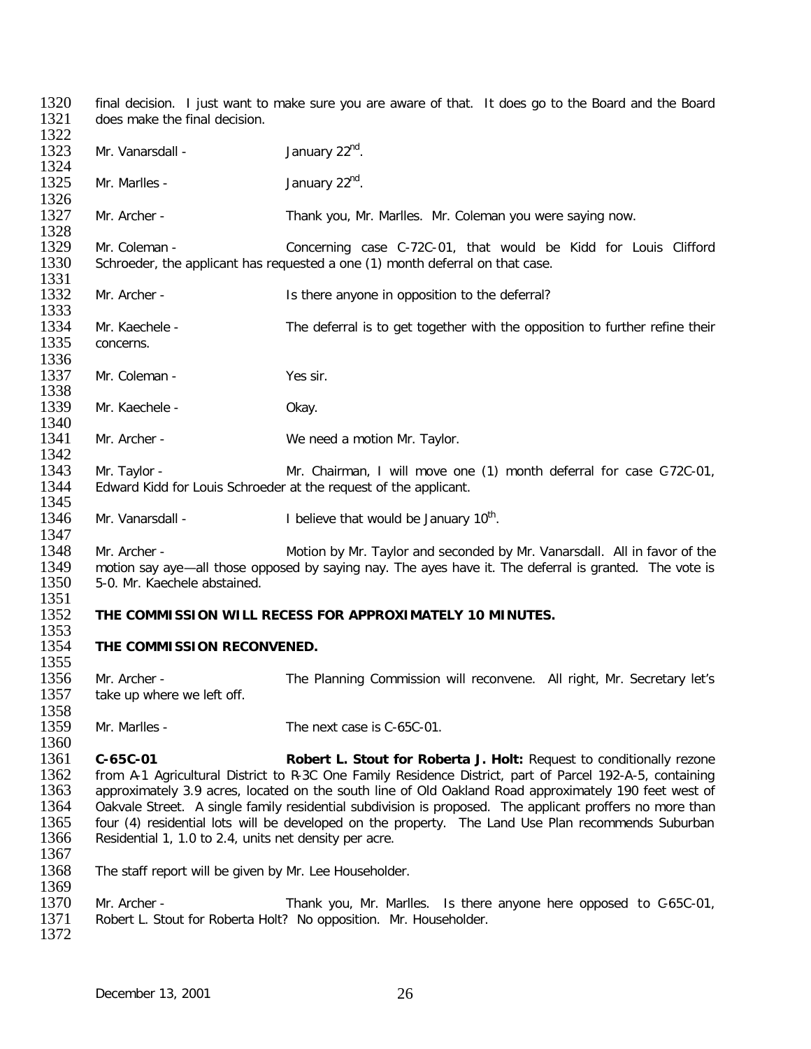1320 final decision. I just want to make sure you are aware of that. It does go to the Board and the Board 1321 does make the final decision. does make the final decision. 1322<br>1323 Mr. Vanarsdall -  $\mu$  January 22<sup>nd</sup>. 1324<br>1325 Mr. Marlles -  $\mu$  1325  $\mu$  1325  $\mu$  1335  $\mu$  1335  $\mu$  1335  $\mu$  1335  $\mu$  1335  $\mu$  1335  $\mu$  1335  $\mu$  1335  $\mu$  1335  $\mu$  1335  $\mu$  1335  $\mu$  1335  $\mu$  1335  $\mu$  1335  $\mu$  1335  $\mu$  1335  $\mu$  1335  $\mu$  1335  $\mu$  13 1326<br>1327 Mr. Archer - Thank you, Mr. Marlles. Mr. Coleman you were saying now. 1328<br>1329 1329 Mr. Coleman - Concerning case C-72C-01, that would be Kidd for Louis Clifford 1330 Schroeder, the applicant has requested a one (1) month deferral on that case. Schroeder, the applicant has requested a one (1) month deferral on that case. 1331<br>1332 Mr. Archer - The Is there anyone in opposition to the deferral? 1333<br>1334 1334 Mr. Kaechele - The deferral is to get together with the opposition to further refine their<br>1335 concerns. concerns. 1336<br>1337 Mr. Coleman - Yes sir. 1338<br>1339 Mr. Kaechele - Okay. 1340<br>1341 Mr. Archer - We need a motion Mr. Taylor. 1342<br>1343 1343 Mr. Taylor - Mr. Chairman, I will move one (1) month deferral for case C-72C-01,<br>1344 Edward Kidd for Louis Schroeder at the request of the applicant. Edward Kidd for Louis Schroeder at the request of the applicant. 1345<br>1346 Mr. Vanarsdall -  $\blacksquare$  I believe that would be January 10<sup>th</sup>. 1347<br>1348 1348 Mr. Archer - Motion by Mr. Taylor and seconded by Mr. Vanarsdall. All in favor of the<br>1349 motion say ave—all those opposed by saving nay. The aves have it. The deferral is granted. The vote is 1349 motion say aye—all those opposed by saying nay. The ayes have it. The deferral is granted. The vote is 1350 5-0. Mr. Kaechele abstained. 1350 5-0. Mr. Kaechele abstained. 1351<br>1352 1352 **THE COMMISSION WILL RECESS FOR APPROXIMATELY 10 MINUTES.** 1353<br>1354 **THE COMMISSION RECONVENED.** 1355<br>1356 1356 Mr. Archer - The Planning Commission will reconvene. All right, Mr. Secretary let's 1357 take up where we left off. take up where we left off. 1358<br>1359 Mr. Marlles - The next case is C-65C-01. 1360<br>1361 1361 **C-65C-01 Robert L. Stout for Roberta J. Holt:** Request to conditionally rezone 1362 from A-1 Agricultural District to R-3C One Family Residence District, part of Parcel 192-A-5, containing<br>1363 approximately 3.9 acres, located on the south line of Old Oakland Road approximately 190 feet west of 1363 approximately 3.9 acres, located on the south line of Old Oakland Road approximately 190 feet west of 1364 Oakvale Street. A single family residential subdivision is proposed. The applicant proffers no more than 1364 Oakvale Street. A single family residential subdivision is proposed. The applicant proffers no more than<br>1365 four (4) residential lots will be developed on the property. The Land Use Plan recommends Suburban 1365 four (4) residential lots will be developed on the property. The Land Use Plan recommends Suburban 1366 Residential 1, 1.0 to 2.4, units net density per acre. Residential 1, 1.0 to 2.4, units net density per acre. 1367 1368 The staff report will be given by Mr. Lee Householder. 1369<br>1370 1370 Mr. Archer - Thank you, Mr. Marlles. Is there anyone here opposed to C-65C-01,<br>1371 Robert L. Stout for Roberta Holt? No opposition. Mr. Householder. Robert L. Stout for Roberta Holt? No opposition. Mr. Householder. 1372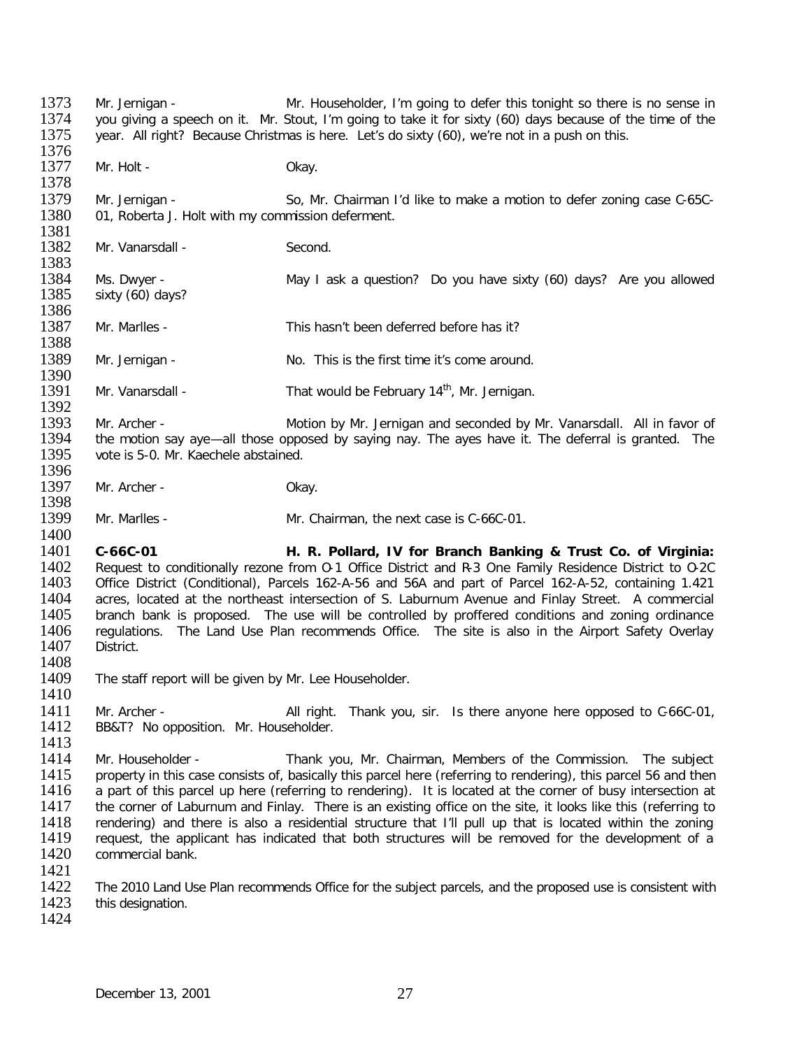1373 Mr. Jernigan - Mr. Householder, I'm going to defer this tonight so there is no sense in<br>1374 vou giving a speech on it. Mr. Stout, I'm going to take it for sixty (60) days because of the time of the 1374 you giving a speech on it. Mr. Stout, I'm going to take it for sixty (60) days because of the time of the<br>1375 vear. All right? Because Christmas is here. Let's do sixty (60), we're not in a push on this. year. All right? Because Christmas is here. Let's do sixty (60), we're not in a push on this. 1376<br>1377 Mr. Holt - Chay. 1378<br>1379 1379 Mr. Jernigan - So, Mr. Chairman I'd like to make a motion to defer zoning case C-65C-<br>1380 01. Roberta J. Holt with my commission deferment. 01, Roberta J. Holt with my commission deferment. 1381<br>1382 Mr. Vanarsdall - Second. 1383<br>1384 1384 Ms. Dwyer - The May I ask a question? Do you have sixty (60) days? Are you allowed<br>1385 sixty (60) days? sixty (60) days? 1386<br>1387 Mr. Marlles - This hasn't been deferred before has it? 1388<br>1389 Mr. Jernigan - No. This is the first time it's come around. 1390<br>1391 Mr. Vanarsdall - That would be February  $14<sup>th</sup>$ , Mr. Jernigan. 1392<br>1393 1393 Mr. Archer - Motion by Mr. Jernigan and seconded by Mr. Vanarsdall. All in favor of 1394 the motion say ave-all those opposed by saving nay. The aves have it. The deferral is granted. The 1394 the motion say aye—all those opposed by saying nay. The ayes have it. The deferral is granted. The 1395 vote is 5-0. Mr. Kaechele abstained. vote is 5-0. Mr. Kaechele abstained. 1396<br>1397 Mr. Archer - Okay. 1398<br>1399 Mr. Marlles - Mr. Chairman, the next case is C-66C-01. 1400<br>1401 1401 **C-66C-01 H. R. Pollard, IV for Branch Banking & Trust Co. of Virginia:** 1402 Request to conditionally rezone from 0-1 Office District and R-3 One Family Residence District to 0-2C<br>1403 Office District (Conditional), Parcels 162-A-56 and 56A and part of Parcel 162-A-52, containing 1.421 1403 Office District (Conditional), Parcels 162-A-56 and 56A and part of Parcel 162-A-52, containing 1.421<br>1404 acres, located at the northeast intersection of S. Laburnum Avenue and Finlav Street. A commercial 1404 acres, located at the northeast intersection of S. Laburnum Avenue and Finlay Street. A commercial 1405 branch bank is proposed. The use will be controlled by proffered conditions and zoning ordinance 1405 branch bank is proposed. The use will be controlled by proffered conditions and zoning ordinance<br>1406 regulations. The Land Use Plan recommends Office. The site is also in the Airport Safety Overlay 1406 regulations. The Land Use Plan recommends Office. The site is also in the Airport Safety Overlay<br>1407 District. District. 1408<br>1409 The staff report will be given by Mr. Lee Householder. 1410 1411 Mr. Archer - All right. Thank you, sir. Is there anyone here opposed to C-66C-01,<br>1412 BB&T? No opposition. Mr. Householder. BB&T? No opposition. Mr. Householder. 1413<br>1414 1414 Mr. Householder - Thank you, Mr. Chairman, Members of the Commission. The subject 1415 property in this case consists of basically this parcel here (referring to rendering), this parcel 56 and then 1415 property in this case consists of, basically this parcel here (referring to rendering), this parcel 56 and then<br>1416 a part of this parcel up here (referring to rendering). It is located at the corner of busy intersec 1416 a part of this parcel up here (referring to rendering). It is located at the corner of busy intersection at 1417 the corner of Laburnum and Finlay. There is an existing office on the site, it looks like this (referrin 1417 the corner of Laburnum and Finlay. There is an existing office on the site, it looks like this (referring to 1418 rendering) and there is also a residential structure that I'll pull up that is located within the zonin 1418 rendering) and there is also a residential structure that I'll pull up that is located within the zoning<br>1419 request, the applicant has indicated that both structures will be removed for the development of a 1419 request, the applicant has indicated that both structures will be removed for the development of a<br>1420 commercial bank. commercial bank. 1421<br>1422 1422 The 2010 Land Use Plan recommends Office for the subject parcels, and the proposed use is consistent with<br>1423 this designation. this designation. 1424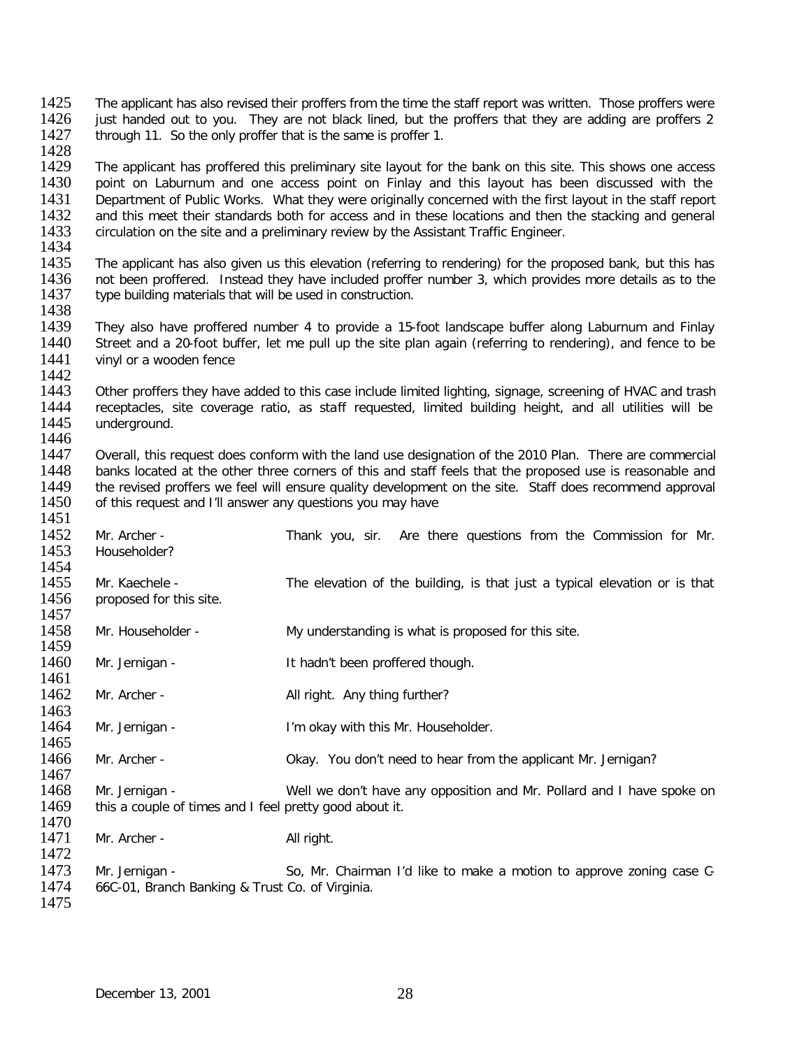- 1425 The applicant has also revised their proffers from the time the staff report was written. Those proffers were<br>1426 iust handed out to you. They are not black lined, but the proffers that they are adding are proffers 2 1426 just handed out to you. They are not black lined, but the proffers that they are adding are proffers 2<br>1427 through 11. So the only proffer that is the same is proffer 1. through 11. So the only proffer that is the same is proffer 1.
- 1428<br>1429 1429 The applicant has proffered this preliminary site layout for the bank on this site. This shows one access<br>1430 Doint on Laburnum and one access point on Finlay and this layout has been discussed with the 1430 point on Laburnum and one access point on Finlay and this layout has been discussed with the 1431 Department of Public Works. What they were originally concerned with the first layout in the staff report 1431 Department of Public Works. What they were originally concerned with the first layout in the staff report<br>1432 and this meet their standards both for access and in these locations and then the stacking and general 1432 and this meet their standards both for access and in these locations and then the stacking and general 1433 circulation on the site and a preliminary review by the Assistant Traffic Engineer. circulation on the site and a preliminary review by the Assistant Traffic Engineer.
- 1434<br>1435 1435 The applicant has also given us this elevation (referring to rendering) for the proposed bank, but this has<br>1436 not been proffered. Instead they have included proffer number 3, which provides more details as to the 1436 not been proffered. Instead they have included proffer number 3, which provides more details as to the 1437 two building materials that will be used in construction. type building materials that will be used in construction.
- 1438<br>1439 1439 They also have proffered number 4 to provide a 15-foot landscape buffer along Laburnum and Finlay<br>1440 Street and a 20-foot buffer, let me pull up the site plan again (referring to rendering), and fence to be Street and a 20-foot buffer, let me pull up the site plan again (referring to rendering), and fence to be 1441 vinyl or a wooden fence
- 
- 1442<br>1443 1443 Other proffers they have added to this case include limited lighting, signage, screening of HVAC and trash<br>1444 Treceptacles, site coverage ratio, as staff requested, limited building height, and all utilities will be 1444 receptacles, site coverage ratio, as staff requested, limited building height, and all utilities will be <br>1445 underground. underground.
- 1446<br>1447 1447 Overall, this request does conform with the land use designation of the 2010 Plan. There are commercial 1448 banks located at the other three corners of this and staff feels that the proposed use is reasonable and 1448 banks located at the other three corners of this and staff feels that the proposed use is reasonable and<br>1449 the revised proffers we feel will ensure quality development on the site. Staff does recommend approval 1449 the revised proffers we feel will ensure quality development on the site. Staff does recommend approval 1450 of this request and I'll answer any questions you may have of this request and I'll answer any questions you may have
- 1451<br>1452 1452 Mr. Archer - Thank you, sir. Are there questions from the Commission for Mr.<br>1453 Householder? Householder? 1454<br>1455 1455 Mr. Kaechele - The elevation of the building, is that just a typical elevation or is that 1456 proposed for this site. proposed for this site. 1457<br>1458 Mr. Householder - My understanding is what is proposed for this site. 1459<br>1460 Mr. Jernigan - The Muslim Human Human It hadn't been proffered though. 1461<br>1462 Mr. Archer - All right. Any thing further? 1463<br>1464 Mr. Jernigan - I'm okay with this Mr. Householder. 1465<br>1466 Mr. Archer - Chay. You don't need to hear from the applicant Mr. Jernigan? 1467 1468 Mr. Jernigan - Well we don't have any opposition and Mr. Pollard and I have spoke on<br>1469 this a couple of times and I feel pretty good about it. this a couple of times and I feel pretty good about it. 1470<br>1471 Mr. Archer - All right. 1472 1473 Mr. Jernigan - So, Mr. Chairman I'd like to make a motion to approve zoning case C-<br>1474 66C-01. Branch Banking & Trust Co. of Virginia. 66C-01, Branch Banking & Trust Co. of Virginia. 1475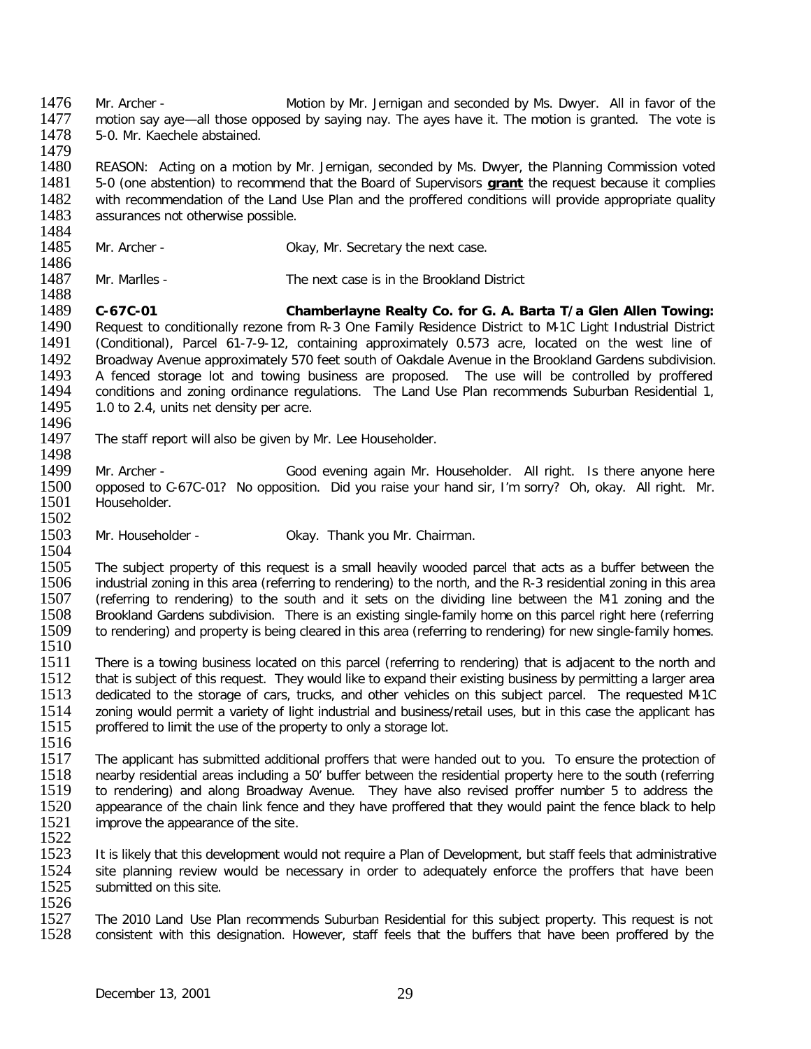1476 Mr. Archer - Motion by Mr. Jernigan and seconded by Ms. Dwyer. All in favor of the 1477 motion say ave-all those opposed by saving nay. The aves have it. The motion is granted. The vote is 1477 motion say aye—all those opposed by saying nay. The ayes have it. The motion is granted. The vote is 1478 5-0. Mr. Kaechele abstained. 5-0. Mr. Kaechele abstained.

1479<br>1480 1480 REASON: Acting on a motion by Mr. Jernigan, seconded by Ms. Dwyer, the Planning Commission voted 1481 5-0 (one abstention) to recommend that the Board of Supervisors **grant** the request because it complies 1481 5-0 (one abstention) to recommend that the Board of Supervisors **grant** the request because it complies 1482 with recommendation of the Land Use Plan and the profered conditions will provide appropriate quality 1482 with recommendation of the Land Use Plan and the proffered conditions will provide appropriate quality 1483 assurances not otherwise possible. assurances not otherwise possible.

- 1484<br>1485 Mr. Archer - Chay, Mr. Secretary the next case.
- 1486<br>1487 1487 Mr. Marlles - The next case is in the Brookland District

1488<br>1489 1489 **C-67C-01 Chamberlayne Realty Co. for G. A. Barta T/a Glen Allen Towing:** 1490 Request to conditionally rezone from R-3 One Family Residence District to M-1C Light Industrial District<br>1491 (Conditional), Parcel 61-7-9-12, containing approximately 0.573 acre, located on the west line of 1491 (Conditional), Parcel 61-7-9-12, containing approximately 0.573 acre, located on the west line of 1492 Broadway Avenue approximately 570 feet south of Oakdale Avenue in the Brookland Gardens subdivision.<br>1493 A fenced storage lot and towing business are proposed. The use will be controlled by proffered 1493 The fenced storage lot and towing business are proposed. The use will be controlled by proffered 1494 Theorditions and zoning ordinance requidations. The Land Use Plan recommends Suburban Residential 1. 1494 conditions and zoning ordinance regulations. The Land Use Plan recommends Suburban Residential 1, 1495 1.0 to 2.4, units net density per acre. 1.0 to 2.4, units net density per acre.

1496<br>1497 The staff report will also be given by Mr. Lee Householder.

1498<br>1499 Mr. Archer - Good evening again Mr. Householder. All right. Is there anyone here 1500 opposed to C-67C-01? No opposition. Did you raise your hand sir, I'm sorry? Oh, okay. All right. Mr.<br>1501 Householder. Householder.

 $\frac{1502}{1503}$ Mr. Householder - **Okay. Thank you Mr. Chairman.** 

1504<br>1505 1505 The subject property of this request is a small heavily wooded parcel that acts as a buffer between the<br>1506 industrial zoning in this area (referring to rendering) to the north, and the R-3 residential zoning in this 1506 industrial zoning in this area (referring to rendering) to the north, and the R-3 residential zoning in this area<br>1507 (referring to rendering) to the south and it sets on the dividing line between the M-1 zoning and 1507 (referring to rendering) to the south and it sets on the dividing line between the M-1 zoning and the 1508 Brookland Gardens subdivision. There is an existing single-family home on this parcel right here (referring 1508 Brookland Gardens subdivision. There is an existing single-family home on this parcel right here (referring<br>1509 to rendering) and property is being cleared in this area (referring to rendering) for new single-family to rendering) and property is being cleared in this area (referring to rendering) for new single-family homes.

1510<br>1511 1511 There is a towing business located on this parcel (referring to rendering) that is adjacent to the north and<br>1512 that is subiect of this request. They would like to expand their existing business by permitting a larg 1512 that is subject of this request. They would like to expand their existing business by permitting a larger area<br>1513 dedicated to the storage of cars, trucks, and other vehicles on this subject parcel. The requested Mdedicated to the storage of cars, trucks, and other vehicles on this subject parcel. The requested M-1C 1514 zoning would permit a variety of light industrial and business/retail uses, but in this case the applicant has<br>1515 proffered to limit the use of the property to only a storage lot. proffered to limit the use of the property to only a storage lot.

1516<br>1517 1517 The applicant has submitted additional proffers that were handed out to you. To ensure the protection of<br>1518 nearby residential areas including a 50' buffer between the residential property here to the south (referri 1518 nearby residential areas including a 50' buffer between the residential property here to the south (referring<br>1519 to rendering) and along Broadway Ayenue. They have also revised proffer number 5 to address the 1519 to rendering) and along Broadway Avenue. They have also revised proffer number 5 to address the 1520 appearance of the chain link fence and they have proffered that they would paint the fence black to help 1520 appearance of the chain link fence and they have proffered that they would paint the fence black to help 1521 improve the appearance of the site. improve the appearance of the site.

1522<br>1523 It is likely that this development would not require a Plan of Development, but staff feels that administrative 1524 site planning review would be necessary in order to adequately enforce the proffers that have been<br>1525 submitted on this site. submitted on this site.

1526<br>1527 1527 The 2010 Land Use Plan recommends Suburban Residential for this subject property. This request is not 1528 consistent with this designation. However, staff feels that the buffers that have been proffered by the consistent with this designation. However, staff feels that the buffers that have been proffered by the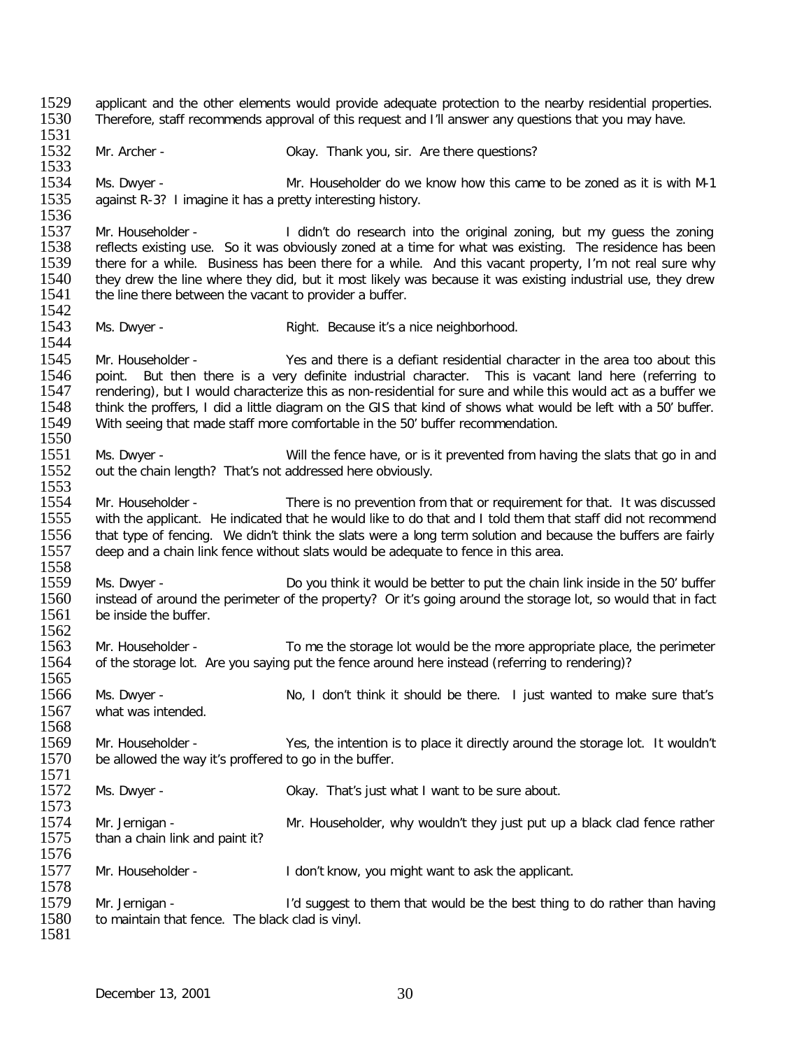1529 applicant and the other elements would provide adequate protection to the nearby residential properties.<br>1530 Therefore, staff recommends approval of this request and I'll answer any questions that you may have. Therefore, staff recommends approval of this request and I'll answer any questions that you may have. 1531<br>1532 Mr. Archer - Changer Mr. Archer - Okay. Thank you, sir. Are there questions? 1533<br>1534 1534 Ms. Dwyer - Mr. Householder do we know how this came to be zoned as it is with M-1<br>1535 against R-3? Limagine it has a pretty interesting history. against R-3? I imagine it has a pretty interesting history. 1536<br>1537 1537 Mr. Householder - I didn't do research into the original zoning, but my guess the zoning<br>1538 Freflects existing use. So it was obviously zoned at a time for what was existing. The residence has been 1538 reflects existing use. So it was obviously zoned at a time for what was existing. The residence has been<br>1539 there for a while. Business has been there for a while. And this vacant property. I'm not real sure why 1539 there for a while. Business has been there for a while. And this vacant property, I'm not real sure why<br>1540 they drew the line where they did, but it most likely was because it was existing industrial use, they drew 1540 they drew the line where they did, but it most likely was because it was existing industrial use, they drew<br>1541 the line there between the vacant to provider a buffer. the line there between the vacant to provider a buffer. 1542<br>1543 Ms. Dwyer - The Right. Because it's a nice neighborhood. 1544<br>1545 1545 Mr. Householder - Yes and there is a defiant residential character in the area too about this 1546 point. But then there is a very definite industrial character. This is vacant land here (referring to 1546 point. But then there is a very definite industrial character. This is vacant land here (referring to 1547 rendering), but I would characterize this as non-residential for sure and while this would act as a buffer we 1547 rendering), but I would characterize this as non-residential for sure and while this would act as a buffer we<br>1548 think the proffers, I did a little diagram on the GIS that kind of shows what would be left with a 50' 1548 think the proffers, I did a little diagram on the GIS that kind of shows what would be left with a 50' buffer.<br>1549 With seeing that made staff more comfortable in the 50' buffer recommendation. With seeing that made staff more comfortable in the 50' buffer recommendation.  $\frac{1550}{1551}$ 1551 Ms. Dwyer - Will the fence have, or is it prevented from having the slats that go in and 1552 out the chain length? That's not addressed here obviously. out the chain length? That's not addressed here obviously. 1553<br>1554 1554 Mr. Householder - There is no prevention from that or requirement for that. It was discussed<br>1555 with the applicant. He indicated that he would like to do that and I told them that staff did not recommend with the applicant. He indicated that he would like to do that and I told them that staff did not recommend 1556 that type of fencing. We didn't think the slats were a long term solution and because the buffers are fairly 1557 deep and a chain link fence without slats would be adequate to fence in this area. deep and a chain link fence without slats would be adequate to fence in this area. 1558<br>1559 1559 Ms. Dwyer - Do you think it would be better to put the chain link inside in the 50' buffer<br>1560 instead of around the perimeter of the property? Or it's going around the storage lot, so would that in fact 1560 instead of around the perimeter of the property? Or it's going around the storage lot, so would that in fact<br>1561 be inside the buffer. be inside the buffer. 1562<br>1563 1563 Mr. Householder - To me the storage lot would be the more appropriate place, the perimeter 1564 of the storage lot. Are vou saving put the fence around here instead (referring to rendering)? of the storage lot. Are you saying put the fence around here instead (referring to rendering)? 1565<br>1566 Ms. Dwyer - No, I don't think it should be there. I just wanted to make sure that's 1567 what was intended. 1568<br>1569 1569 Mr. Householder - Yes, the intention is to place it directly around the storage lot. It wouldn't 1570 be allowed the way it's proffered to go in the buffer. be allowed the way it's proffered to go in the buffer. 1571<br>1572 Ms. Dwyer - Changel Ms. Dwyer - Changel Ms. Dwyer - Okay. That's just what I want to be sure about. 1573<br>1574 1574 Mr. Jernigan - Mr. Householder, why wouldn't they just put up a black clad fence rather<br>1575 than a chain link and paint it? than a chain link and paint it? 1576 1577 Mr. Householder - I don't know, you might want to ask the applicant. 1578<br>1579 1579 Mr. Jernigan - I'd suggest to them that would be the best thing to do rather than having<br>1580 to maintain that fence. The black clad is vinyl. to maintain that fence. The black clad is vinyl. 1581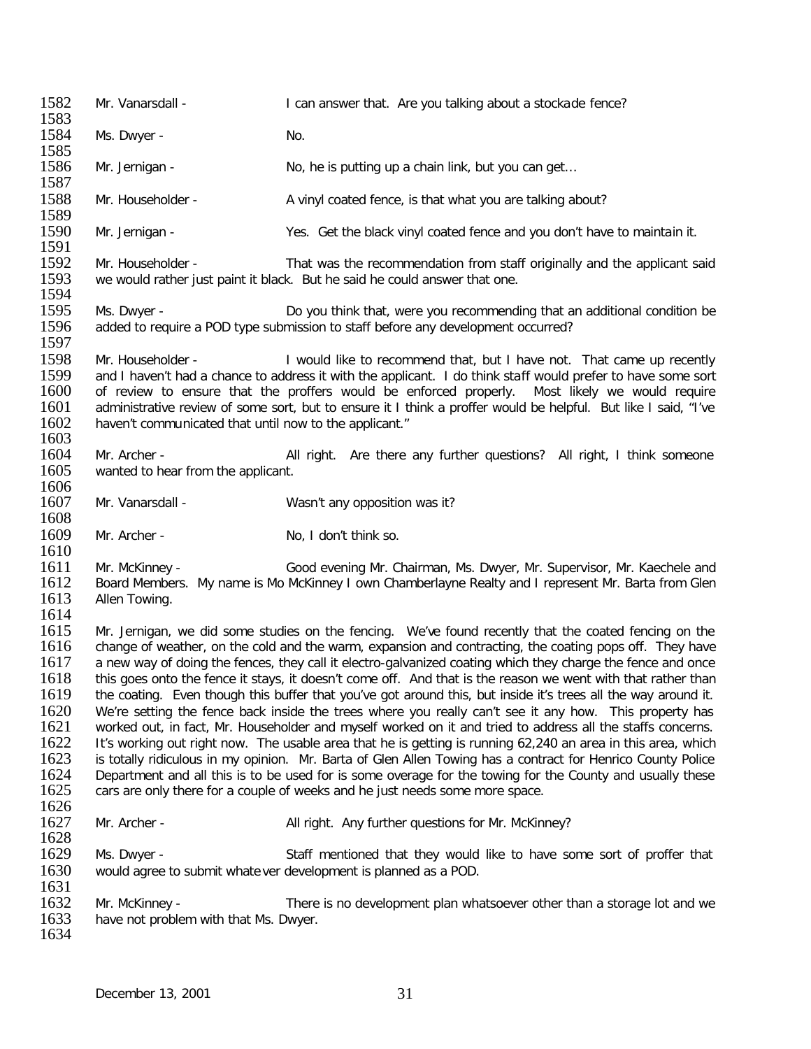1582 Mr. Vanarsdall - I can answer that. Are you talking about a stockade fence? 1583<br>1584 Ms. Dwyer - No. 1585<br>1586 Mr. Jernigan - No, he is putting up a chain link, but you can get... 1587<br>1588 Mr. Householder - A vinyl coated fence, is that what you are talking about? 1589<br>1590 Mr. Jernigan - Yes. Get the black vinyl coated fence and you don't have to maintain it. 1591<br>1592 1592 Mr. Householder - That was the recommendation from staff originally and the applicant said<br>1593 we would rather just paint it black. But he said he could answer that one. we would rather just paint it black. But he said he could answer that one. 1594<br>1595 1595 Ms. Dwyer - Do you think that, were you recommending that an additional condition be<br>1596 added to require a POD type submission to staff before any development occurred? added to require a POD type submission to staff before any development occurred? 1597<br>1598 1598 Mr. Householder - I would like to recommend that, but I have not. That came up recently 1599 and I haven't had a chance to address it with the applicant. I do think staff would prefer to have some sort 1599 and I haven't had a chance to address it with the applicant. I do think staff would prefer to have some sort<br>1600 of review to ensure that the proffers would be enforced properly. Most likely we would require 1600 of review to ensure that the proffers would be enforced properly. Most likely we would require<br>1601 administrative review of some sort, but to ensure it I think a proffer would be helpful. But like I said, "I've 1601 administrative review of some sort, but to ensure it I think a proffer would be helpful. But like I said, "I've 1602 haven't communicated that until now to the applicant." haven't communicated that until now to the applicant." 1603<br>1604 1604 Mr. Archer - **All right.** Are there any further questions? All right, I think someone 1605 wanted to hear from the applicant. wanted to hear from the applicant. 1606<br>1607 Mr. Vanarsdall - Wasn't any opposition was it? 1608<br>1609 Mr. Archer - No. I don't think so. 1610<br>1611 1611 Mr. McKinney - Good evening Mr. Chairman, Ms. Dwyer, Mr. Supervisor, Mr. Kaechele and<br>1612 Board Members. My name is Mo McKinney I own Chamberlayne Realty and I represent Mr. Barta from Glen 1612 Board Members. My name is Mo McKinney I own Chamberlayne Realty and I represent Mr. Barta from Glen<br>1613 Hellen Towing. Allen Towing. 1614<br>1615 1615 Mr. Jernigan, we did some studies on the fencing. We've found recently that the coated fencing on the 1616<br>1616 Change of weather, on the cold and the warm, expansion and contracting, the coating pops off. They have 1616 change of weather, on the cold and the warm, expansion and contracting, the coating pops off. They have 1617 a new way of doing the fences, they call it electro-galvanized coating which they charge the fence and once 1617 a new way of doing the fences, they call it electro-galvanized coating which they charge the fence and once<br>1618 this goes onto the fence it stavs, it doesn't come off. And that is the reason we went with that rather 1618 this goes onto the fence it stays, it doesn't come off. And that is the reason we went with that rather than<br>1619 the coating. Even though this buffer that you've got around this, but inside it's trees all the way aro the coating. Even though this buffer that you've got around this, but inside it's trees all the way around it. 1620 We're setting the fence back inside the trees where you really can't see it any how. This property has 1621 worked out, in fact, Mr. Householder and myself worked on it and tried to address all the staffs concerns. 1621 worked out, in fact, Mr. Householder and myself worked on it and tried to address all the staffs concerns.<br>1622 It's working out right now. The usable area that he is getting is running 62.240 an area in this area, wh 1622 It's working out right now. The usable area that he is getting is running 62,240 an area in this area, which<br>1623 is totally ridiculous in my opinion. Mr. Barta of Glen Allen Towing has a contract for Henrico County P 1623 is totally ridiculous in my opinion. Mr. Barta of Glen Allen Towing has a contract for Henrico County Police<br>1624 Department and all this is to be used for is some overage for the towing for the County and usually the 1624 Department and all this is to be used for is some overage for the towing for the County and usually these<br>1625 cars are only there for a couple of weeks and he just needs some more space. cars are only there for a couple of weeks and he just needs some more space. 1626<br>1627 Mr. Archer - All right. Any further questions for Mr. McKinney? 1628<br>1629 1629 Ms. Dwyer - Staff mentioned that they would like to have some sort of proffer that 1630 would agree to submit whatever development is planned as a POD. would agree to submit whate ver development is planned as a POD. 1631<br>1632 1632 Mr. McKinney - There is no development plan whatsoever other than a storage lot and we<br>1633 have not problem with that Ms. Dwyer. have not problem with that Ms. Dwyer. 1634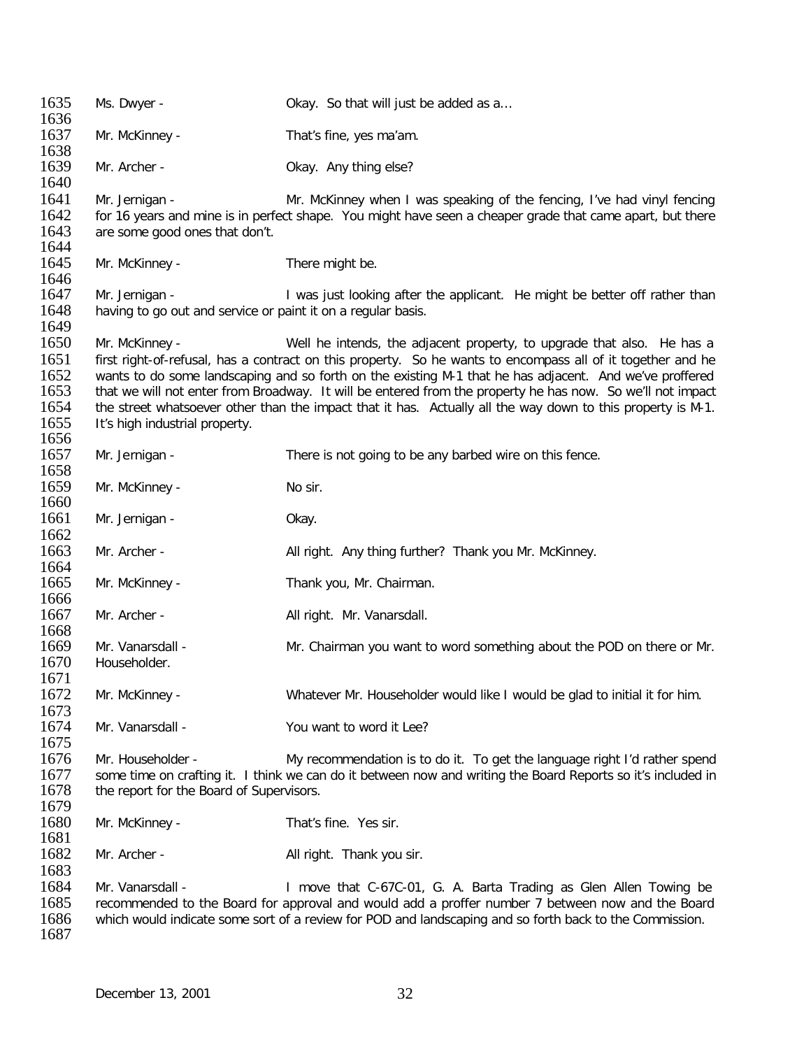1635 Ms. Dwyer - Channel Okay. So that will just be added as a... 1636<br>1637 Mr. McKinney - That's fine, yes ma'am. 1638<br>1639 Mr. Archer - Case Collection Collection Changelse? 1640<br>1641 1641 Mr. Jernigan - Mr. McKinney when I was speaking of the fencing, I've had vinyl fencing<br>1642 for 16 years and mine is in perfect shape. You might have seen a cheaper grade that came apart, but there 1642 for 16 years and mine is in perfect shape. You might have seen a cheaper grade that came apart, but there<br>1643 are some good ones that don't. are some good ones that don't. 1644<br>1645 Mr. McKinney - There might be. 1646<br>1647 1647 Mr. Jernigan - I was just looking after the applicant. He might be better off rather than<br>1648 having to go out and service or paint it on a regular basis. having to go out and service or paint it on a regular basis. 1649<br>1650 Mr. McKinney - The intends, the adjacent property, to upgrade that also. He has a 1651 first right-of-refusal, has a contract on this property. So he wants to encompass all of it together and he<br>1652 wants to do some landscaping and so forth on the existing M-1 that he has adiacent. And we've proffered 1652 wants to do some landscaping and so forth on the existing M-1 that he has adjacent. And we've proffered<br>1653 that we will not enter from Broadway. It will be entered from the property he has now. So we'll not impact 1653 that we will not enter from Broadway. It will be entered from the property he has now. So we'll not impact<br>1654 the street whatsoever other than the impact that it has. Actually all the way down to this property is M-1654 the street whatsoever other than the impact that it has. Actually all the way down to this property is M-1.<br>1655 It's high industrial property. It's high industrial property. 1656<br>1657 Mr. Jernigan - There is not going to be any barbed wire on this fence. 1658 1659 Mr. McKinney - No sir. 1660<br>1661 Mr. Jernigan - Okay. 1662<br>1663 Mr. Archer - **All right.** Any thing further? Thank you Mr. McKinney. 1664<br>1665 Mr. McKinney - Thank you, Mr. Chairman. 1666<br>1667 Mr. Archer - All right. Mr. Vanarsdall. 1668<br>1669 1669 Mr. Vanarsdall - Sand Mr. Chairman you want to word something about the POD on there or Mr.<br>1670 Householder. Householder. 1671<br>1672 Mr. McKinney - Whatever Mr. Householder would like I would be glad to initial it for him. 1673<br>1674 Mr. Vanarsdall - You want to word it Lee? 1675<br>1676 1676 Mr. Householder - My recommendation is to do it. To get the language right I'd rather spend<br>1677 some time on crafting it. I think we can do it between now and writing the Board Reports so it's included in some time on crafting it. I think we can do it between now and writing the Board Reports so it's included in 1678 the report for the Board of Supervisors. 1679<br>1680 Mr. McKinney - That's fine. Yes sir. 1681<br>1682 Mr. Archer - All right. Thank you sir. 1683<br>1684 1684 Mr. Vanarsdall - I move that C-67C-01, G. A. Barta Trading as Glen Allen Towing be<br>1685 Fecommended to the Board for approval and would add a proffer number 7 between now and the Board 1685 recommended to the Board for approval and would add a proffer number 7 between now and the Board<br>1686 which would indicate some sort of a review for POD and landscaping and so forth back to the Commission. which would indicate some sort of a review for POD and landscaping and so forth back to the Commission. 1687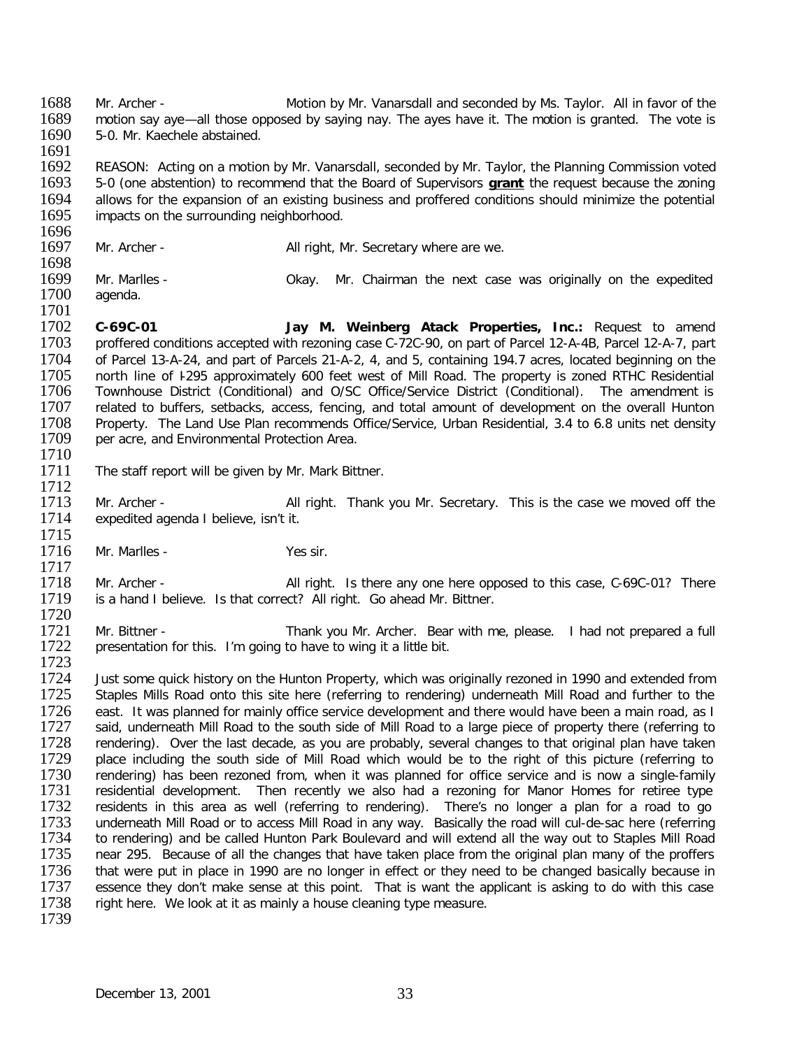1688 Mr. Archer - Motion by Mr. Vanarsdall and seconded by Ms. Taylor. All in favor of the 1689 motion say ave-all those opposed by saving nay. The aves have it. The motion is granted. The vote is 1689 motion say aye—all those opposed by saying nay. The ayes have it. The motion is granted. The vote is 1690 5-0. Mr. Kaechele abstained. 5-0. Mr. Kaechele abstained.

1691<br>1692 1692 REASON: Acting on a motion by Mr. Vanarsdall, seconded by Mr. Taylor, the Planning Commission voted 1693 5-0 (one abstention) to recommend that the Board of Supervisors **grant** the request because the zoning 1693 5-0 (one abstention) to recommend that the Board of Supervisors **grant** the request because the zoning<br>1694 allows for the expansion of an existing business and proffered conditions should minimize the potential 1694 allows for the expansion of an existing business and proffered conditions should minimize the potential 1695 impacts on the surrounding neighborhood. impacts on the surrounding neighborhood.

- 1696<br>1697 Mr. Archer - All right, Mr. Secretary where are we.
- 1698<br>1699 1699 Mr. Marlles - Okay. Mr. Chairman the next case was originally on the expedited agenda.
- 1701<br>1702 1702 **C-69C-01 Jay M. Weinberg Atack Properties, Inc.:** Request to amend 1703 proffered conditions accepted with rezoning case C-72C-90, on part of Parcel 12-A-4B, Parcel 12-A-7, part<br>1704 of Parcel 13-A-24, and part of Parcels 21-A-2, 4, and 5, containing 194.7 acres, located beginning on the 1704 of Parcel 13-A-24, and part of Parcels 21-A-2, 4, and 5, containing 194.7 acres, located beginning on the<br>1705 north line of 1295 approximately 600 feet west of Mill Road. The property is zoned RTHC Residential 1705 north line of I-295 approximately 600 feet west of Mill Road. The property is zoned RTHC Residential 1706 Townhouse District (Conditional) and O/SC Office/Service District (Conditional). The amendment is 1706 Townhouse District (Conditional) and O/SC Office/Service District (Conditional). The amendment is 1707 related to buffers, setbacks, access, fencing, and total amount of development on the overall Hunton 1707 related to buffers, setbacks, access, fencing, and total amount of development on the overall Hunton<br>1708 Property. The Land Use Plan recommends Office/Service. Urban Residential. 3.4 to 6.8 units net density 1708 Property. The Land Use Plan recommends Office/Service, Urban Residential, 3.4 to 6.8 units net density 1709 per acre, and Environmental Protection Area. per acre, and Environmental Protection Area.
- 1710<br>1711 The staff report will be given by Mr. Mark Bittner.
- 1712<br>1713 1713 Mr. Archer - All right. Thank you Mr. Secretary. This is the case we moved off the 1714 expedited agenda I believe, isn't it. expedited agenda I believe, isn't it.
- 1715<br>1716 Mr. Marlles - Yes sir.

1717<br>1718 1718 Mr. Archer - All right. Is there any one here opposed to this case, C-69C-01? There 1719 is a hand I believe. Is that correct? All right. Go ahead Mr. Bittner. is a hand I believe. Is that correct? All right. Go ahead Mr. Bittner.

1720<br>1721 1721 Mr. Bittner - Thank you Mr. Archer. Bear with me, please. I had not prepared a full 1722 presentation for this. I'm going to have to wing it a little bit. presentation for this. I'm going to have to wing it a little bit.

1723<br>1724 1724 Just some quick history on the Hunton Property, which was originally rezoned in 1990 and extended from<br>1725 Staples Mills Road onto this site here (referring to rendering) underneath Mill Road and further to the Staples Mills Road onto this site here (referring to rendering) underneath Mill Road and further to the 1726 east. It was planned for mainly office service development and there would have been a main road, as I<br>1727 said, underneath Mill Road to the south side of Mill Road to a large piece of property there (referring to 1727 said, underneath Mill Road to the south side of Mill Road to a large piece of property there (referring to<br>1728 rendering). Over the last decade, as you are probably, several changes to that original plan have taken 1728 rendering). Over the last decade, as you are probably, several changes to that original plan have taken<br>1729 place including the south side of Mill Road which would be to the right of this picture (referring to 1729 place including the south side of Mill Road which would be to the right of this picture (referring to 1730 rendering) has been rezoned from, when it was planned for office service and is now a single-family 1730 rendering) has been rezoned from, when it was planned for office service and is now a single-family<br>1731 residential development. Then recently we also had a rezoning for Manor Homes for retiree type 1731 residential development. Then recently we also had a rezoning for Manor Homes for retiree type<br>1732 residents in this area as well (referring to rendering). There's no longer a plan for a road to go 1732 residents in this area as well (referring to rendering). There's no longer a plan for a road to go<br>1733 underneath Mill Road or to access Mill Road in any way. Basically the road will cul-de-sac here (referring 1733 underneath Mill Road or to access Mill Road in any way. Basically the road will cul-de-sac here (referring<br>1734 to rendering) and be called Hunton Park Boulevard and will extend all the way out to Staples Mill Road 1734 to rendering) and be called Hunton Park Boulevard and will extend all the way out to Staples Mill Road<br>1735 near 295. Because of all the changes that have taken place from the original plan many of the proffers near 295. Because of all the changes that have taken place from the original plan many of the proffers 1736 that were put in place in 1990 are no longer in effect or they need to be changed basically because in 1737 essence they don't make sense at this point. That is want the applicant is asking to do with this case 1737 essence they don't make sense at this point. That is want the applicant is asking to do with this case 1738 right here. We look at it as mainly a house cleaning type measure. right here. We look at it as mainly a house cleaning type measure. 1739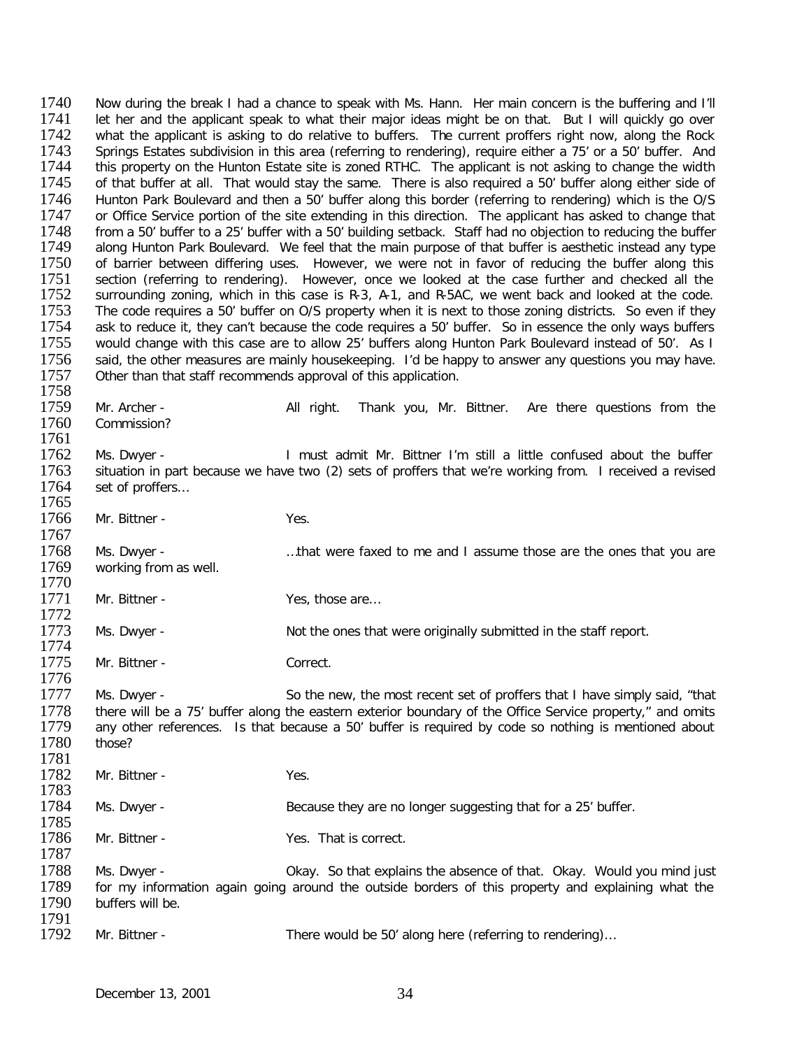1740 Now during the break I had a chance to speak with Ms. Hann. Her main concern is the buffering and I'll<br>1741 Let her and the applicant speak to what their maior ideas might be on that. But I will quickly go over 1741 let her and the applicant speak to what their major ideas might be on that. But I will quickly go over 1742 what the applicant is asking to do relative to buffers. The current proffers right now, along the Rock 1742 what the applicant is asking to do relative to buffers. The current proffers right now, along the Rock<br>1743 Springs Estates subdivision in this area (referring to rendering), require either a 75' or a 50' buffer. And 1743 Springs Estates subdivision in this area (referring to rendering), require either a 75' or a 50' buffer. And<br>1744 this property on the Hunton Estate site is zoned RTHC. The applicant is not asking to change the width 1744 this property on the Hunton Estate site is zoned RTHC. The applicant is not asking to change the width 1745 of that buffer at all. That would stav the same. There is also required a 50' buffer along either side of 1745 of that buffer at all. That would stay the same. There is also required a 50' buffer along either side of<br>1746 Hunton Park Boulevard and then a 50' buffer along this border (referring to rendering) which is the O/S 1746 Hunton Park Boulevard and then a 50' buffer along this border (referring to rendering) which is the O/S<br>1747 or Office Service portion of the site extending in this direction. The applicant has asked to change that 1747 or Office Service portion of the site extending in this direction. The applicant has asked to change that 1748 from a 50' buffer to a 25' buffer with a 50' building setback. Staff had no objection to reducing the buff 1748 from a 50' buffer to a 25' buffer with a 50' building setback. Staff had no objection to reducing the buffer<br>1749 along Hunton Park Boulevard. We feel that the main purpose of that buffer is aesthetic instead any type 1749 along Hunton Park Boulevard. We feel that the main purpose of that buffer is aesthetic instead any type<br>1750 of barrier between differing uses. However, we were not in favor of reducing the buffer along this 1750 of barrier between differing uses. However, we were not in favor of reducing the buffer along this<br>1751 section (referring to rendering). However, once we looked at the case further and checked all the 1751 section (referring to rendering). However, once we looked at the case further and checked all the 1752 surrounding zoning, which in this case is R-3. A-1, and R-5AC, we went back and looked at the code. 1752 surrounding zoning, which in this case is R-3, A-1, and R-5AC, we went back and looked at the code.<br>1753 The code requires a 50' buffer on O/S property when it is next to those zoning districts. So even if they 1753 The code requires a 50' buffer on O/S property when it is next to those zoning districts. So even if they<br>1754 ask to reduce it, they can't because the code requires a 50' buffer. So in essence the only ways buffers 1754 ask to reduce it, they can't because the code requires a 50' buffer. So in essence the only ways buffers<br>1755 would change with this case are to allow 25' buffers along Hunton Park Boulevard instead of 50'. As I 1755 would change with this case are to allow 25' buffers along Hunton Park Boulevard instead of 50'. As I<br>1756 said, the other measures are mainly housekeeping. I'd be happy to answer any questions you may have. 1756 said, the other measures are mainly housekeeping. I'd be happy to answer any questions you may have.<br>1757 Other than that staff recommends approval of this application. Other than that staff recommends approval of this application.

1758<br>1759 1759 Mr. Archer - All right. Thank you, Mr. Bittner. Are there questions from the 1760 Commission? Commission? 1761<br>1762 1762 Ms. Dwyer - I must admit Mr. Bittner I'm still a little confused about the buffer<br>1763 situation in part because we have two (2) sets of proffers that we're working from. I received a revised situation in part because we have two (2) sets of proffers that we're working from. I received a revised 1764 set of proffers… 1765<br>1766 Mr. Bittner - Yes. 1767<br>1768 1768 Ms. Dwyer - …..that were faxed to me and I assume those are the ones that you are<br>1769 working from as well. working from as well. 1770<br>1771 Mr. Bittner - Yes, those are… 1772<br>1773 Ms. Dwyer - Not the ones that were originally submitted in the staff report. 1774<br>1775 Mr. Bittner - Correct. 1776<br>1777 Ms. Dwyer - So the new, the most recent set of proffers that I have simply said, "that 1778 there will be a 75' buffer along the eastern exterior boundary of the Office Service property," and omits<br>1779 any other references. Is that because a 50' buffer is required by code so nothing is mentioned about any other references. Is that because a 50' buffer is required by code so nothing is mentioned about those? 1780 1781<br>1782 Mr. Bittner - Yes. 1783<br>1784 Ms. Dwyer - Because they are no longer suggesting that for a 25' buffer. 1785<br>1786 Mr. Bittner - Yes. That is correct. 1787 1788 Ms. Dwyer - Chay. So that explains the absence of that. Okay. Would you mind just 1789 for my information again going around the outside borders of this property and explaining what the 1789 for my information again going around the outside borders of this property and explaining what the 1790 buffers will be. buffers will be. 1791<br>1792 Mr. Bittner - There would be 50' along here (referring to rendering)...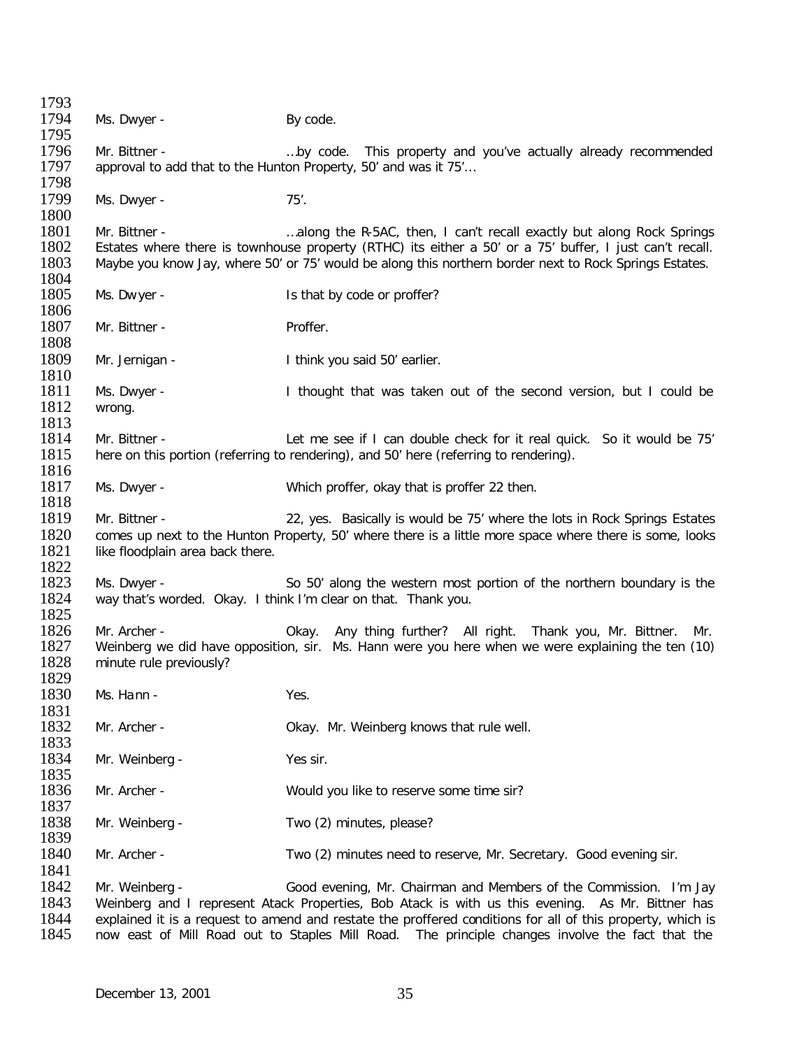| 1793         |                                  |                                                                                                                                         |
|--------------|----------------------------------|-----------------------------------------------------------------------------------------------------------------------------------------|
| 1794         | Ms. Dwyer -                      | By code.                                                                                                                                |
| 1795         |                                  |                                                                                                                                         |
| 1796         | Mr. Bittner -                    | by code. This property and you've actually already recommended                                                                          |
| 1797         |                                  | approval to add that to the Hunton Property, 50' and was it 75'                                                                         |
| 1798         |                                  |                                                                                                                                         |
| 1799         | Ms. Dwyer -                      | $75'$ .                                                                                                                                 |
| 1800         |                                  |                                                                                                                                         |
| 1801         | Mr. Bittner -                    | along the R-5AC, then, I can't recall exactly but along Rock Springs                                                                    |
| 1802         |                                  | Estates where there is townhouse property (RTHC) its either a 50' or a 75' buffer, I just can't recall.                                 |
| 1803         |                                  | Maybe you know Jay, where 50' or 75' would be along this northern border next to Rock Springs Estates.                                  |
| 1804         |                                  |                                                                                                                                         |
| 1805         | Ms. Dwyer -                      | Is that by code or proffer?                                                                                                             |
| 1806         |                                  |                                                                                                                                         |
| 1807         | Mr. Bittner -                    | Proffer.                                                                                                                                |
| 1808         |                                  |                                                                                                                                         |
| 1809         | Mr. Jernigan -                   | I think you said 50' earlier.                                                                                                           |
| 1810         |                                  |                                                                                                                                         |
| 1811         | Ms. Dwyer -                      | I thought that was taken out of the second version, but I could be                                                                      |
| 1812         | wrong.                           |                                                                                                                                         |
| 1813         |                                  |                                                                                                                                         |
| 1814         | Mr. Bittner -                    | Let me see if I can double check for it real quick. So it would be 75'                                                                  |
| 1815         |                                  | here on this portion (referring to rendering), and 50' here (referring to rendering).                                                   |
| 1816         |                                  |                                                                                                                                         |
| 1817         | Ms. Dwyer -                      | Which proffer, okay that is proffer 22 then.                                                                                            |
| 1818         |                                  |                                                                                                                                         |
| 1819         | Mr. Bittner -                    | 22, yes. Basically is would be 75' where the lots in Rock Springs Estates                                                               |
| 1820         |                                  | comes up next to the Hunton Property, 50' where there is a little more space where there is some, looks                                 |
| 1821<br>1822 | like floodplain area back there. |                                                                                                                                         |
| 1823         | Ms. Dwyer -                      |                                                                                                                                         |
| 1824         |                                  | So 50' along the western most portion of the northern boundary is the<br>way that's worded. Okay. I think I'm clear on that. Thank you. |
| 1825         |                                  |                                                                                                                                         |
| 1826         | Mr. Archer -                     | Okay. Any thing further? All right. Thank you, Mr. Bittner.<br>Mr.                                                                      |
| 1827         |                                  | Weinberg we did have opposition, sir. Ms. Hann were you here when we were explaining the ten (10)                                       |
| 1828         | minute rule previously?          |                                                                                                                                         |
| 1829         |                                  |                                                                                                                                         |
| 1830         | Ms. Hann -                       | Yes.                                                                                                                                    |
| 1831         |                                  |                                                                                                                                         |
| 1832         | Mr. Archer -                     | Okay. Mr. Weinberg knows that rule well.                                                                                                |
| 1833         |                                  |                                                                                                                                         |
| 1834         | Mr. Weinberg -                   | Yes sir.                                                                                                                                |
| 1835         |                                  |                                                                                                                                         |
| 1836         | Mr. Archer -                     | Would you like to reserve some time sir?                                                                                                |
| 1837         |                                  |                                                                                                                                         |
| 1838         | Mr. Weinberg -                   | Two (2) minutes, please?                                                                                                                |
| 1839         |                                  |                                                                                                                                         |
| 1840         | Mr. Archer -                     | Two (2) minutes need to reserve, Mr. Secretary. Good evening sir.                                                                       |
| 1841         |                                  |                                                                                                                                         |
| 1842         | Mr. Weinberg -                   | Good evening, Mr. Chairman and Members of the Commission. I'm Jay                                                                       |
| 1843         |                                  | Weinberg and I represent Atack Properties, Bob Atack is with us this evening. As Mr. Bittner has                                        |
| 1844         |                                  | explained it is a request to amend and restate the proffered conditions for all of this property, which is                              |
| 1845         |                                  | now east of Mill Road out to Staples Mill Road. The principle changes involve the fact that the                                         |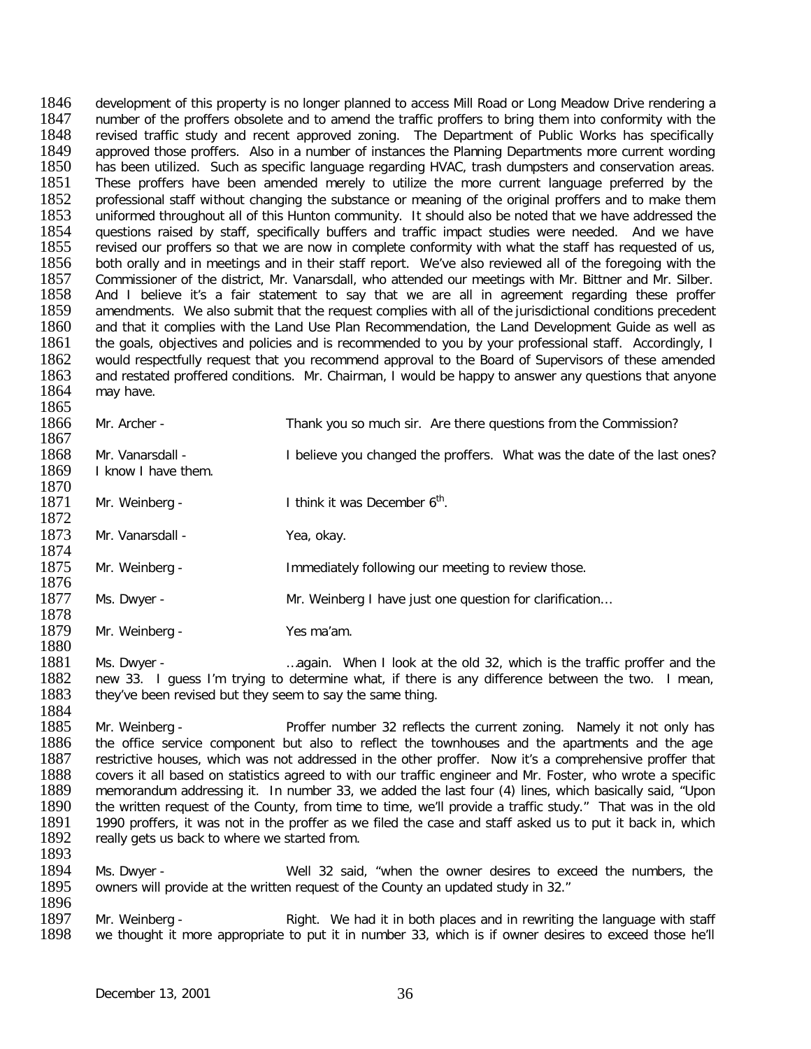1846 development of this property is no longer planned to access Mill Road or Long Meadow Drive rendering a<br>1847 unimber of the proffers obsolete and to amend the traffic proffers to bring them into conformity with the 1847 number of the proffers obsolete and to amend the traffic proffers to bring them into conformity with the<br>1848 revised traffic study and recent approved zoning. The Department of Public Works has specifically 1848 Frevised traffic study and recent approved zoning. The Department of Public Works has specifically 1849 approved those proffers. Also in a number of instances the Planning Departments more current wording 1849 approved those proffers. Also in a number of instances the Planning Departments more current wording 1850<br>1850 has been utilized. Such as specific language regarding HVAC, trash dumpsters and conservation areas. 1850 has been utilized. Such as specific language regarding HVAC, trash dumpsters and conservation areas.<br>1851 These proffers have been amended merely to utilize the more current language preferred by the 1851 These proffers have been amended merely to utilize the more current language preferred by the 1852 professional staff without changing the substance or meaning of the original proffers and to make them 1852 professional staff without changing the substance or meaning of the original proffers and to make them<br>1853 uniformed throughout all of this Hunton community. It should also be noted that we have addressed the 1853 uniformed throughout all of this Hunton community. It should also be noted that we have addressed the 1854 uniformed the 1854 unestions raised by staff, specifically buffers and traffic impact studies were needed. And 1854 questions raised by staff, specifically buffers and traffic impact studies were needed. And we have lawe<br>1855 revised our proffers so that we are now in complete conformity with what the staff has requested of us. 1855 revised our proffers so that we are now in complete conformity with what the staff has requested of us,<br>1856 both orally and in meetings and in their staff report. We've also reviewed all of the foregoing with the 1856 both orally and in meetings and in their staff report. We've also reviewed all of the foregoing with the<br>1857 Commissioner of the district. Mr. Vanarsdall, who attended our meetings with Mr. Bittner and Mr. Silber. 1857 Commissioner of the district, Mr. Vanarsdall, who attended our meetings with Mr. Bittner and Mr. Silber.<br>1858 And I believe it's a fair statement to say that we are all in agreement regarding these proffer 1858 And I believe it's a fair statement to say that we are all in agreement regarding these proffer<br>1859 amendments. We also submit that the request complies with all of the iurisdictional conditions precedent 1859 amendments. We also submit that the request complies with all of the jurisdictional conditions precedent<br>1860 and that it complies with the Land Use Plan Recommendation, the Land Development Guide as well as 1860 and that it complies with the Land Use Plan Recommendation, the Land Development Guide as well as as well<br>1861 the goals, objectives and policies and is recommended to you by your professional staff. Accordingly, I 1861 the goals, objectives and policies and is recommended to you by your professional staff. Accordingly, I<br>1862 would respectfully request that you recommend approval to the Board of Supervisors of these amended 1862 would respectfully request that you recommend approval to the Board of Supervisors of these amended<br>1863 and restated proffered conditions. Mr. Chairman, I would be happy to answer any questions that anyone 1863 and restated proffered conditions. Mr. Chairman, I would be happy to answer any questions that anyone 1864 may have. may have. 1865

| 100J |                                                           |                                                                                                   |
|------|-----------------------------------------------------------|---------------------------------------------------------------------------------------------------|
| 1866 | Mr. Archer -                                              | Thank you so much sir. Are there questions from the Commission?                                   |
| 1867 |                                                           |                                                                                                   |
| 1868 | Mr. Vanarsdall -                                          | I believe you changed the proffers. What was the date of the last ones?                           |
| 1869 | I know I have them.                                       |                                                                                                   |
| 1870 |                                                           |                                                                                                   |
| 1871 | Mr. Weinberg -                                            | I think it was December 6 <sup>th</sup> .                                                         |
| 1872 |                                                           |                                                                                                   |
| 1873 | Mr. Vanarsdall -                                          | Yea, okay.                                                                                        |
| 1874 |                                                           |                                                                                                   |
| 1875 | Mr. Weinberg -                                            | Immediately following our meeting to review those.                                                |
| 1876 |                                                           |                                                                                                   |
| 1877 | Ms. Dwyer -                                               | Mr. Weinberg I have just one question for clarification                                           |
| 1878 |                                                           |                                                                                                   |
| 1879 | Mr. Weinberg -                                            | Yes ma'am.                                                                                        |
| 1880 |                                                           |                                                                                                   |
| 1881 | Ms. Dwyer -                                               | again. When I look at the old 32, which is the traffic proffer and the                            |
| 1882 |                                                           | new 33. I guess I'm trying to determine what, if there is any difference between the two. I mean, |
| 1883 | they've been revised but they seem to say the same thing. |                                                                                                   |
| 1884 |                                                           |                                                                                                   |

1885 Mr. Weinberg - Proffer number 32 reflects the current zoning. Namely it not only has 1886 the office service component but also to reflect the townhouses and the apartments and the age 1886 the office service component but also to reflect the townhouses and the apartments and the age<br>1887 Festrictive houses, which was not addressed in the other proffer. Now it's a comprehensive proffer that 1887 bestrictive houses, which was not addressed in the other proffer. Now it's a comprehensive proffer that 1888 covers it all based on statistics agreed to with our traffic engineer and Mr. Foster, who wrote a specific 1888 covers it all based on statistics agreed to with our traffic engineer and Mr. Foster, who wrote a specific<br>1889 memorandum addressing it. In number 33, we added the last four (4) lines, which basically said, "Upon 1889 memorandum addressing it. In number 33, we added the last four (4) lines, which basically said, "Upon 1890 the written request of the County, from time to time, we'll provide a traffic study." That was in the old 1890 the written request of the County, from time to time, we'll provide a traffic study." That was in the old<br>1891 1990 proffers, it was not in the proffer as we filed the case and staff asked us to put it back in, which 1891 1990 proffers, it was not in the proffer as we filed the case and staff asked us to put it back in, which<br>1892 really gets us back to where we started from. really gets us back to where we started from. 1893

1894 Ms. Dwyer - Well 32 said, "when the owner desires to exceed the numbers, the 1895 owners will provide at the written request of the County an updated study in 32." owners will provide at the written request of the County an updated study in 32."

1896<br>1897 1897 Mr. Weinberg - Right. We had it in both places and in rewriting the language with staff<br>1898 we thought it more appropriate to put it in number 33, which is if owner desires to exceed those he'll we thought it more appropriate to put it in number 33, which is if owner desires to exceed those he'll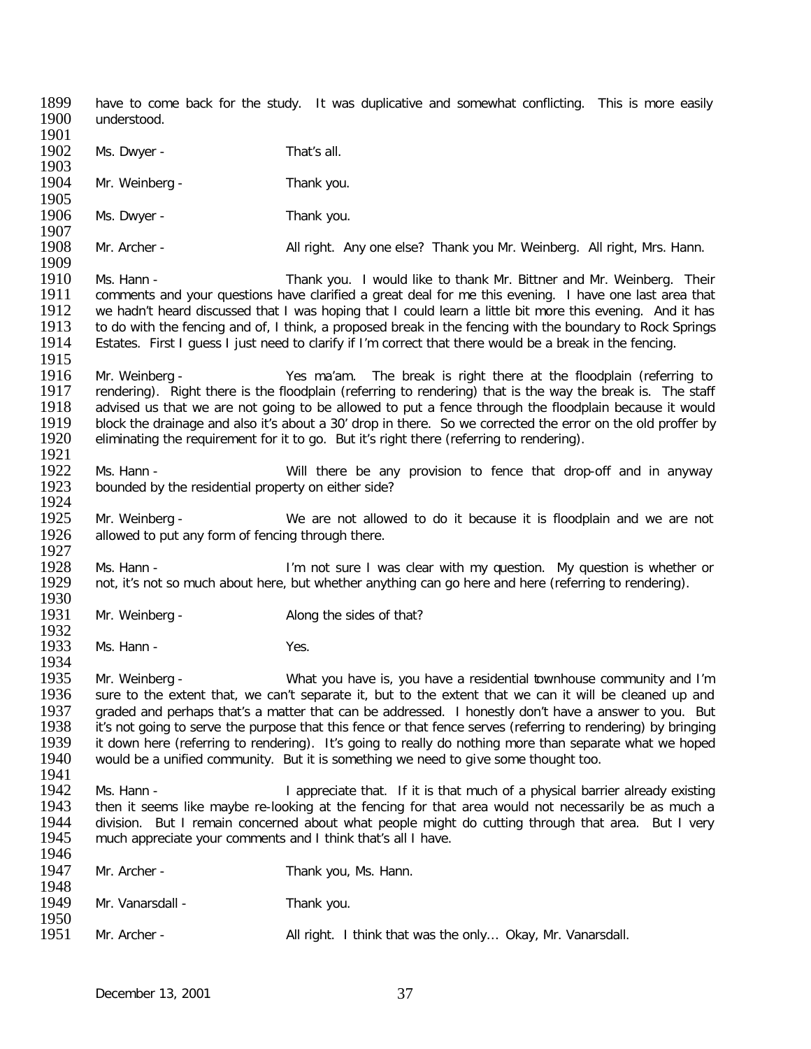1899 have to come back for the study. It was duplicative and somewhat conflicting. This is more easily 1900 understood. understood. 1901<br>1902 Ms. Dwyer - That's all. 1903<br>1904 Mr. Weinberg - Thank you. 1905<br>1906 Ms. Dwyer - Thank you. 1907<br>1908 Mr. Archer - All right. Any one else? Thank you Mr. Weinberg. All right, Mrs. Hann. 1909<br>1910 1910 Ms. Hann - Thank you. I would like to thank Mr. Bittner and Mr. Weinberg. Their<br>1911 Comments and your questions have clarified a great deal for me this evening. I have one last area that 1911 comments and your questions have clarified a great deal for me this evening. I have one last area that 1912 we hadn't heard discussed that I was hoping that I could learn a little bit more this evening. And it has 1912 we hadn't heard discussed that I was hoping that I could learn a little bit more this evening. And it has<br>1913 to do with the fencing and of. I think, a proposed break in the fencing with the boundary to Rock Springs 1913 to do with the fencing and of, I think, a proposed break in the fencing with the boundary to Rock Springs<br>1914 Estates. First I quess I just need to clarify if I'm correct that there would be a break in the fencing. Estates. First I guess I just need to clarify if I'm correct that there would be a break in the fencing. 1915<br>1916 1916 Mr. Weinberg - The Sma'am. The break is right there at the floodplain (referring to 1917 rendering). Right there is the floodplain (referring to rendering). Right there is the floodplain (referring to rendering) that 1917 rendering). Right there is the floodplain (referring to rendering) that is the way the break is. The staff<br>1918 advised us that we are not going to be allowed to put a fence through the floodplain because it would 1918 advised us that we are not going to be allowed to put a fence through the floodplain because it would<br>1919 block the drainage and also it's about a 30' drop in there. So we corrected the error on the old proffer by 1919 block the drainage and also it's about a 30' drop in there. So we corrected the error on the old proffer by<br>1920 eliminating the requirement for it to go. But it's right there (referring to rendering). eliminating the requirement for it to go. But it's right there (referring to rendering). 1921<br>1922 1922 Ms. Hann - Will there be any provision to fence that drop-off and in anyway<br>1923 bounded by the residential property on either side? bounded by the residential property on either side? 1924<br>1925 1925 Mr. Weinberg - We are not allowed to do it because it is floodplain and we are not 1926 allowed to put any form of fencing through there. allowed to put any form of fencing through there. 1927<br>1928 1928 Ms. Hann - I'm not sure I was clear with my question. My question is whether or 1929 not, it's not so much about here, but whether anything can go here and here (referring to rendering). not, it's not so much about here, but whether anything can go here and here (referring to rendering). 1930<br>1931 Mr. Weinberg - Along the sides of that? 1932<br>1933 Ms. Hann - Yes. 1934<br>1935 1935 Mr. Weinberg - What you have is, you have a residential townhouse community and I'm<br>1936 Sure to the extent that, we can't separate it, but to the extent that we can it will be cleaned up and sure to the extent that, we can't separate it, but to the extent that we can it will be cleaned up and 1937 graded and perhaps that's a matter that can be addressed. I honestly don't have a answer to you. But 1938 it's not going to serve the purpose that this fence or that fence serves (referring to rendering) by bringing 1938 it's not going to serve the purpose that this fence or that fence serves (referring to rendering) by bringing<br>1939 it down here (referring to rendering). It's going to really do nothing more than separate what we hope 1939 it down here (referring to rendering). It's going to really do nothing more than separate what we hoped 1940 vould be a unified community. But it is something we need to give some thought too. would be a unified community. But it is something we need to give some thought too. 1941<br>1942 1942 Ms. Hann - I appreciate that. If it is that much of a physical barrier already existing<br>1943 then it seems like maybe re-looking at the fencing for that area would not necessarily be as much a 1943 then it seems like maybe re-looking at the fencing for that area would not necessarily be as much a<br>1944 division. But I remain concerned about what people might do cutting through that area. But I very 1944 division. But I remain concerned about what people might do cutting through that area. But I very 1945 much appreciate vour comments and I think that's all I have. much appreciate your comments and I think that's all I have. 1946 1947 Mr. Archer - Thank you, Ms. Hann. 1948<br>1949 Mr. Vanarsdall - Thank you. 1950<br>1951 1951 Mr. Archer - All right. I think that was the only... Okay, Mr. Vanarsdall.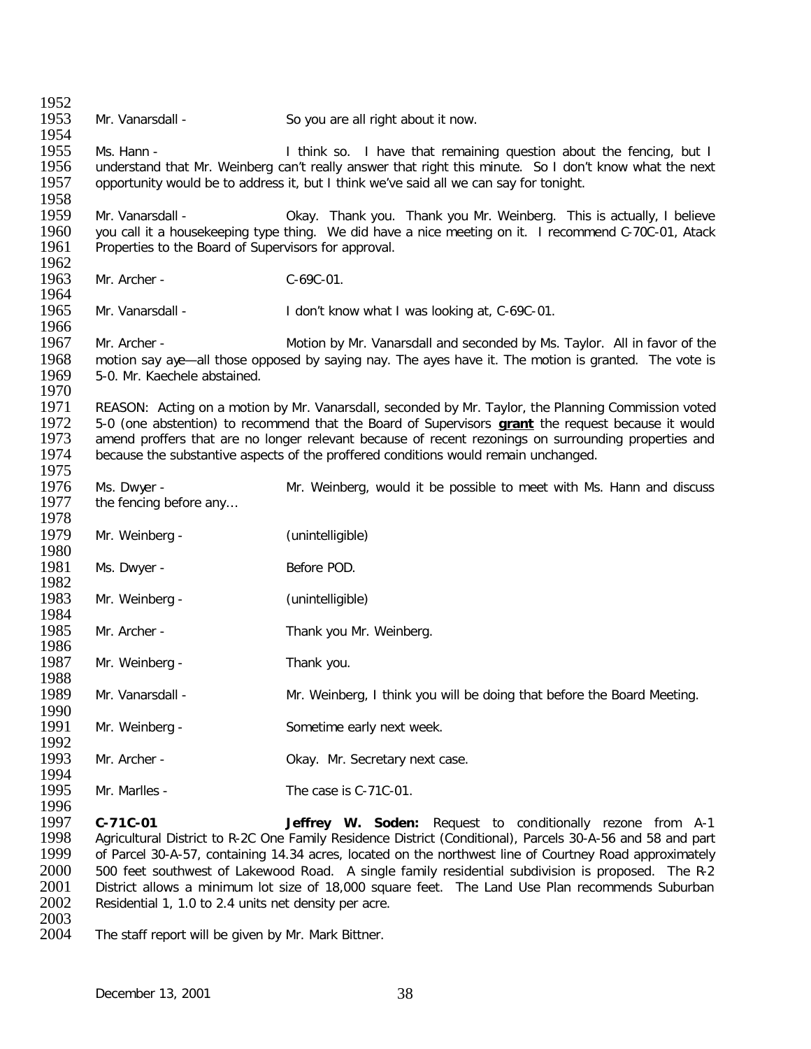1952<br>1953 Mr. Vanarsdall - So you are all right about it now. 1954<br>1955 1955 Ms. Hann - I think so. I have that remaining question about the fencing, but I<br>1956 I understand that Mr. Weinberg can't really answer that right this minute. So I don't know what the next 1956 understand that Mr. Weinberg can't really answer that right this minute. So I don't know what the next 1957 opportunity would be to address it, but I think we've said all we can say for tonight. opportunity would be to address it, but I think we've said all we can say for tonight. 1958<br>1959 1959 Mr. Vanarsdall - Okay. Thank you. Thank you Mr. Weinberg. This is actually, I believe<br>1960 vou call it a housekeeping type thing. We did have a nice meeting on it. I recommend C-70C-01. Atack 1960 you call it a housekeeping type thing. We did have a nice meeting on it. I recommend C-70C-01, Atack 1961<br>1961 Properties to the Board of Supervisors for approval. Properties to the Board of Supervisors for approval. 1962<br>1963 Mr. Archer - C-69C-01. 1964<br>1965 Mr. Vanarsdall - I don't know what I was looking at, C-69C-01. 1966<br>1967 Mr. Archer - Motion by Mr. Vanarsdall and seconded by Ms. Taylor. All in favor of the 1968 motion say aye—all those opposed by saying nay. The ayes have it. The motion is granted. The vote is 1969 5-0. Mr. Kaechele abstained. 5-0. Mr. Kaechele abstained. 1970<br>1971 1971 REASON: Acting on a motion by Mr. Vanarsdall, seconded by Mr. Taylor, the Planning Commission voted 1972 5-0 (one abstention) to recommend that the Board of Supervisors are at the request because it would 1972 5-0 (one abstention) to recommend that the Board of Supervisors **grant** the request because it would 1973 amend proffers that are no longer relevant because of recent rezonings on surrounding properties and 1974 because the substantive aspects of the proffered conditions would remain unchanged. because the substantive aspects of the proffered conditions would remain unchanged. 1975<br>1976 1976 Ms. Dwyer - Mr. Weinberg, would it be possible to meet with Ms. Hann and discuss 1977 the fencing before any... the fencing before any... 1978<br>1979 Mr. Weinberg - (unintelligible) 1980<br>1981 Ms. Dwyer - Before POD. 1982<br>1983 Mr. Weinberg - (unintelligible) 1984<br>1985 Mr. Archer - Thank you Mr. Weinberg. 1986<br>1987 Mr. Weinberg - Thank you. 1988<br>1989 Mr. Vanarsdall - Mr. Weinberg, I think you will be doing that before the Board Meeting. 1990<br>1991 Mr. Weinberg - Sometime early next week. 1992<br>1993 Mr. Archer - Casselling Collection Collection Change. Mr. Secretary next case. 1994<br>1995  $Mr.$  Marlles -  $\qquad \qquad$  The case is C-71C-01. 1996<br>1997 1997 **C-71C-01 Jeffrey W. Soden:** Request to conditionally rezone from A-1 1998 Agricultural District to R-2C One Family Residence District (Conditional), Parcels 30-A-56 and 58 and part<br>1999 of Parcel 30-A-57, containing 14.34 acres, located on the northwest line of Courtney Road approximately of Parcel 30-A-57, containing 14.34 acres, located on the northwest line of Courtney Road approximately

- 2000 500 feet southwest of Lakewood Road. A single family residential subdivision is proposed. The R-2<br>2001 District allows a minimum lot size of 18.000 square feet. The Land Use Plan recommends Suburban 2001 District allows a minimum lot size of 18,000 square feet. The Land Use Plan recommends Suburban 2002 Residential 1, 1.0 to 2.4 units net density per acre. Residential 1, 1.0 to 2.4 units net density per acre.
- 2003<br>2004 The staff report will be given by Mr. Mark Bittner.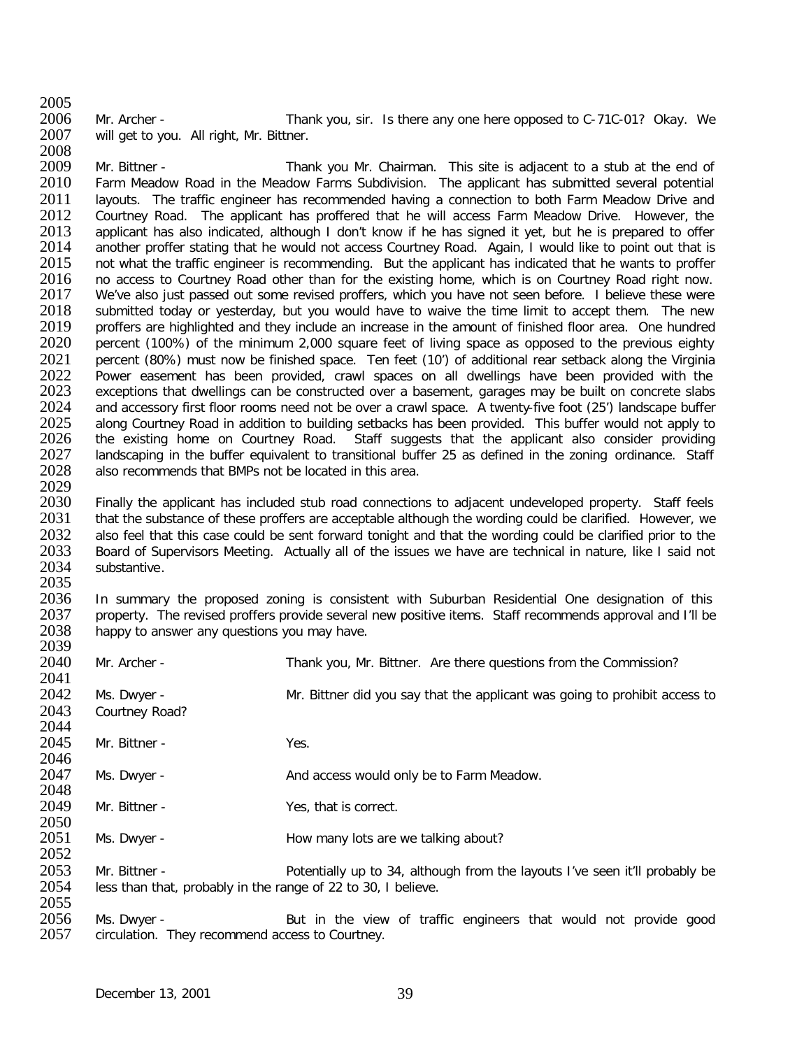2005<br>2006 2006 Mr. Archer - Thank you, sir. Is there any one here opposed to C-71C-01? Okay. We<br>2007 will get to you. All right. Mr. Bittner. will get to you. All right, Mr. Bittner.

2008<br>2009 2009 Mr. Bittner - Thank you Mr. Chairman. This site is adjacent to a stub at the end of 2010 Farm Meadow Road in the Meadow Farms Subdivision. The applicant has submitted several potential 2010 Farm Meadow Road in the Meadow Farms Subdivision. The applicant has submitted several potential 2011 Iavouts. The traffic engineer has recommended having a connection to both Farm Meadow Drive and 2011 Iayouts. The traffic engineer has recommended having a connection to both Farm Meadow Drive and 2012 Courtney Road. The applicant has proffered that he will access Farm Meadow Drive. However, the 2012 Courtney Road. The applicant has proffered that he will access Farm Meadow Drive. However, the 2013 applicant has also indicated, although I don't know if he has signed it vet, but he is prepared to offer 2013 applicant has also indicated, although I don't know if he has signed it yet, but he is prepared to offer<br>2014 another proffer stating that he would not access Courtney Road. Again. I would like to point out that is 2014 another proffer stating that he would not access Courtney Road. Again, I would like to point out that is<br>2015 on twhat the traffic engineer is recommending. But the applicant has indicated that he wants to proffer 2015 ont what the traffic engineer is recommending. But the applicant has indicated that he wants to proffer<br>2016 on access to Courtney Road other than for the existing home, which is on Courtney Road right now. 2016 no access to Courtney Road other than for the existing home, which is on Courtney Road right now.<br>2017 We've also just passed out some revised proffers, which you have not seen before. I believe these were 2017 We've also just passed out some revised proffers, which you have not seen before. I believe these were<br>2018 Submitted today or vesterday, but you would have to waive the time limit to accept them. The new 2018 submitted today or yesterday, but you would have to waive the time limit to accept them. The new<br>2019 proffers are highlighted and they include an increase in the amount of finished floor area. One hundred 2019 proffers are highlighted and they include an increase in the amount of finished floor area. One hundred<br>2020 percent (100%) of the minimum 2.000 square feet of living space as opposed to the previous eighty 2020 percent (100%) of the minimum 2,000 square feet of living space as opposed to the previous eighty<br>2021 percent (80%) must now be finished space. Ten feet (10') of additional rear setback along the Virginia 2021 percent (80%) must now be finished space. Ten feet (10') of additional rear setback along the Virginia<br>2022 Power easement has been provided, crawl spaces on all dwellings have been provided with the 2022 Power easement has been provided, crawl spaces on all dwellings have been provided with the<br>2023 exceptions that dwellings can be constructed over a basement, garages may be built on concrete slabs 2023 exceptions that dwellings can be constructed over a basement, garages may be built on concrete slabs<br>2024 and accessory first floor rooms need not be over a crawl space. A twenty-five foot (25') landscape buffer 2024 and accessory first floor rooms need not be over a crawl space. A twenty-five foot (25') landscape buffer<br>2025 along Courtney Road in addition to building setbacks has been provided. This buffer would not apply to 2025 along Courtney Road in addition to building setbacks has been provided. This buffer would not apply to 2026 the existing home on Courtney Road. Staff suggests that the applicant also consider providing 2026 the existing home on Courtney Road. Staff suggests that the applicant also consider providing<br>2027 Iandscaping in the buffer equivalent to transitional buffer 25 as defined in the zoning ordinance. Staff 2027 Iandscaping in the buffer equivalent to transitional buffer 25 as defined in the zoning ordinance. Staff<br>2028 Ialso recommends that BMPs not be located in this area. also recommends that BMPs not be located in this area.

2029 2030 Finally the applicant has included stub road connections to adjacent undeveloped property. Staff feels<br>2031 that the substance of these proffers are acceptable although the wording could be clarified. However, we 2031 that the substance of these proffers are acceptable although the wording could be clarified. However, we<br>2032 also feel that this case could be sent forward tonight and that the wording could be clarified prior to the 2032 also feel that this case could be sent forward tonight and that the wording could be clarified prior to the<br>2033 Board of Supervisors Meeting. Actually all of the issues we have are technical in nature, like I said no 2033 Board of Supervisors Meeting. Actually all of the issues we have are technical in nature, like I said not<br>2034 Substantive. substantive.

2035<br>2036 2036 In summary the proposed zoning is consistent with Suburban Residential One designation of this<br>2037 property. The revised proffers provide several new positive items. Staff recommends approval and I'll be 2037 property. The revised proffers provide several new positive items. Staff recommends approval and I'll be 2038 happy to answer any questions you may have. happy to answer any questions you may have. 2039

| 2040 | Mr. Archer -                                                  | Thank you, Mr. Bittner. Are there questions from the Commission?            |
|------|---------------------------------------------------------------|-----------------------------------------------------------------------------|
| 2041 |                                                               |                                                                             |
| 2042 | Ms. Dwyer -                                                   | Mr. Bittner did you say that the applicant was going to prohibit access to  |
| 2043 | Courtney Road?                                                |                                                                             |
| 2044 |                                                               |                                                                             |
| 2045 | Mr. Bittner -                                                 | Yes.                                                                        |
| 2046 |                                                               |                                                                             |
| 2047 | Ms. Dwyer -                                                   | And access would only be to Farm Meadow.                                    |
| 2048 |                                                               |                                                                             |
| 2049 | Mr. Bittner -                                                 | Yes, that is correct.                                                       |
| 2050 |                                                               |                                                                             |
| 2051 | Ms. Dwyer -                                                   | How many lots are we talking about?                                         |
| 2052 |                                                               |                                                                             |
| 2053 | Mr. Bittner -                                                 | Potentially up to 34, although from the layouts I've seen it'll probably be |
| 2054 | less than that, probably in the range of 22 to 30, I believe. |                                                                             |
| 2055 |                                                               |                                                                             |
| 2056 | Ms. Dwyer -                                                   | But in the view of traffic engineers that would not provide good            |
| 2057 | circulation. They recommend access to Courtney.               |                                                                             |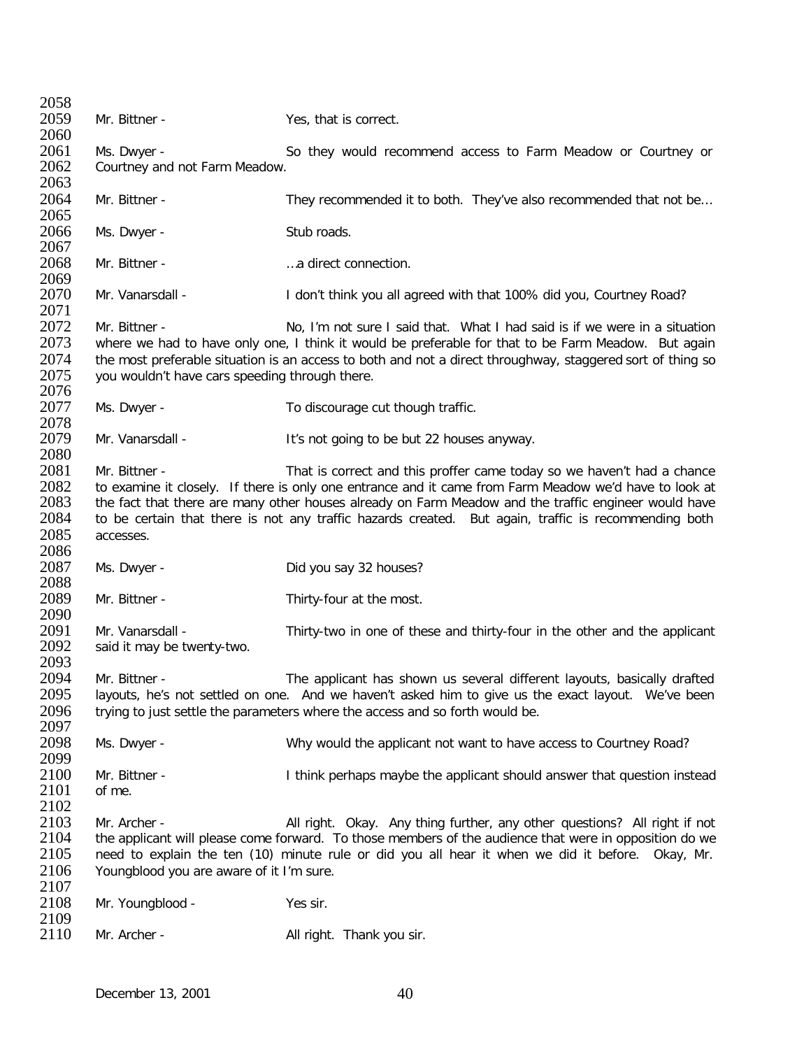2058<br>2059 Mr. Bittner - Yes, that is correct. 2060<br>2061 2061 Ms. Dwyer - So they would recommend access to Farm Meadow or Courtney or 2062 Courtney and not Farm Meadow. Courtney and not Farm Meadow. 2063<br>2064 Mr. Bittner - They recommended it to both. They've also recommended that not be… 2065 Ms. Dwyer - Stub roads. 2067 2068 Mr. Bittner - …a direct connection. 2069<br>2070 Mr. Vanarsdall - **I** don't think you all agreed with that 100% did you, Courtney Road? 2071<br>2072 2072 Mr. Bittner - No, I'm not sure I said that. What I had said is if we were in a situation 2073 where we had to have only one. I think it would be preferable for that to be Farm Meadow. But again 2073 where we had to have only one, I think it would be preferable for that to be Farm Meadow. But again 2074 the most preferable situation is an access to both and not a direct throughway, staggered sort of thing so 2074 the most preferable situation is an access to both and not a direct throughway, staggered sort of thing so 2075 vou wouldn't have cars speeding through there. you wouldn't have cars speeding through there. 2076<br>2077 Ms. Dwyer - To discourage cut though traffic. 2078<br>2079 Mr. Vanarsdall - It's not going to be but 22 houses anyway. 2080<br>2081 2081 Mr. Bittner - That is correct and this proffer came today so we haven't had a chance<br>2082 to examine it closely. If there is only one entrance and it came from Farm Meadow we'd have to look at 2082 to examine it closely. If there is only one entrance and it came from Farm Meadow we'd have to look at 2083 the fact that there are many other houses already on Farm Meadow and the traffic engineer would have 2083 the fact that there are many other houses already on Farm Meadow and the traffic engineer would have<br>2084 to be certain that there is not any traffic hazards created. But again, traffic is recommending both 2084 to be certain that there is not any traffic hazards created. But again, traffic is recommending both 2085 accesses. accesses. 2086<br>2087 Ms. Dwyer - Did you say 32 houses? 2088 Mr. Bittner - Thirty-four at the most. 2090<br>2091 2091 Mr. Vanarsdall - Thirty-two in one of these and thirty-four in the other and the applicant 2092 said it may be twenty-two. said it may be twenty-two. 2093<br>2094 2094 Mr. Bittner - The applicant has shown us several different layouts, basically drafted<br>2095 layouts, he's not settled on one. And we haven't asked him to give us the exact layout. We've been layouts, he's not settled on one. And we haven't asked him to give us the exact layout. We've been 2096 trying to just settle the parameters where the access and so forth would be. 2097<br>2098 Ms. Dwyer - Why would the applicant not want to have access to Courtney Road? 2099<br>2100 2100 Mr. Bittner - Think perhaps maybe the applicant should answer that question instead<br>2101 of me. of me. 2102<br>2103 2103 Mr. Archer - All right. Okay. Any thing further, any other questions? All right if not 2104 the applicant will please come forward. To those members of the audience that were in opposition do we 2104 the applicant will please come forward. To those members of the audience that were in opposition do we<br>2105 eeed to explain the ten (10) minute rule or did you all hear it when we did it before. Okay, Mr. need to explain the ten (10) minute rule or did you all hear it when we did it before. Okay, Mr. 2106 Youngblood you are aware of it I'm sure. 2107<br>2108 Mr. Youngblood - Yes sir. 2109<br>2110 Mr. Archer - All right. Thank you sir.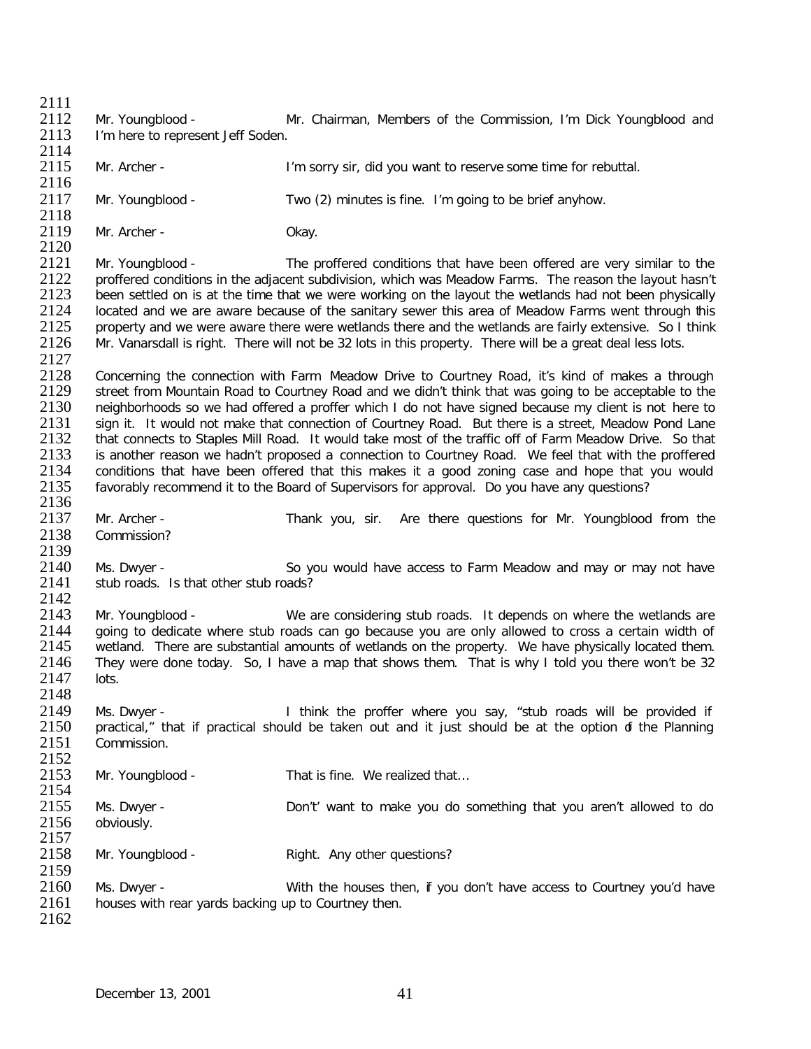$\frac{2111}{2112}$ 2112 Mr. Youngblood - Mr. Chairman, Members of the Commission, I'm Dick Youngblood and 2113 I'm here to represent Jeff Soden. I'm here to represent Jeff Soden. 2114<br>2115 Mr. Archer - I'm sorry sir, did you want to reserve some time for rebuttal. 2116<br>2117 Mr. Youngblood - Two (2) minutes is fine. I'm going to be brief anyhow. 2118<br>2119 Mr. Archer - Chay. 2120<br>2121 2121 Mr. Youngblood - The proffered conditions that have been offered are very similar to the 2122 proffered conditions in the adiacent subdivision, which was Meadow Farms. The reason the lavout hasn't 2122 proffered conditions in the adjacent subdivision, which was Meadow Farms. The reason the layout hasn't 2123 been settled on is at the time that we were working on the layout the wetlands had not been physically 2123 been settled on is at the time that we were working on the layout the wetlands had not been physically 2124 Iocated and we are aware because of the sanitary sewer this area of Meadow Farms went through this 2124 Iocated and we are aware because of the sanitary sewer this area of Meadow Farms went through this 2125 Interval and we were aware there were wetlands there and the wetlands are fairly extensive. So I think 2125 property and we were aware there were wetlands there and the wetlands are fairly extensive. So I think 2126 Mr. Vanarsdall is right. There will not be 32 lots in this property. There will be a great deal less lots. Mr. Vanarsdall is right. There will not be 32 lots in this property. There will be a great deal less lots. 2127<br>2128 2128 Concerning the connection with Farm Meadow Drive to Courtney Road, it's kind of makes a through 2129 street from Mountain Road to Courtney Road and we didn't think that was going to be acceptable to the 2129 street from Mountain Road to Courtney Road and we didn't think that was going to be acceptable to the 2130 neighborhoods so we had offered a proffer which I do not have signed because my client is not here to

2130 neighborhoods so we had offered a proffer which I do not have signed because my client is not here to 2131 sign it. It would not make that connection of Courtney Road. But there is a street. Meadow Pond Lane 2131 sign it. It would not make that connection of Courtney Road. But there is a street, Meadow Pond Lane<br>2132 that connects to Staples Mill Road. It would take most of the traffic off of Farm Meadow Drive. So that 2132 that connects to Staples Mill Road. It would take most of the traffic off of Farm Meadow Drive. So that 2133 is another reason we hadn't proposed a connection to Courtney Road. We feel that with the proffered 2133 is another reason we hadn't proposed a connection to Courtney Road. We feel that with the proffered 2134 conditions that have been offered that this makes it a good zoning case and hope that you would 2134 conditions that have been offered that this makes it a good zoning case and hope that you would<br>2135 favorably recommend it to the Board of Supervisors for approval. Do you have any questions? favorably recommend it to the Board of Supervisors for approval. Do you have any questions?

2136<br>2137 2137 Mr. Archer - Thank you, sir. Are there questions for Mr. Youngblood from the 2138 Commission? Commission?

2139<br>2140 2140 Ms. Dwyer - So you would have access to Farm Meadow and may or may not have 2141 stub roads. Is that other stub roads? stub roads. Is that other stub roads?

2142<br>2143 2143 Mr. Youngblood - We are considering stub roads. It depends on where the wetlands are<br>2144 aoing to dedicate where stub roads can go because you are only allowed to cross a certain width of 2144 going to dedicate where stub roads can go because you are only allowed to cross a certain width of 2145 wetland. There are substantial amounts of wetlands on the property. We have physically located them. 2145 wetland. There are substantial amounts of wetlands on the property. We have physically located them.<br>2146 They were done today. So, I have a map that shows them. That is why I told you there won't be 32 They were done today. So, I have a map that shows them. That is why I told you there won't be 32 2147 lots. 2148

2149 Ms. Dwyer - I think the proffer where you say, "stub roads will be provided if 2150 practical." that if practical should be taken out and it just should be at the option of the Planning 2150 practical," that if practical should be taken out and it just should be at the option of the Planning 2151 Commission. Commission.

2152<br>2153 Mr. Youngblood - That is fine. We realized that...

2154<br>2155 2155 Ms. Dwyer - Don't' want to make you do something that you aren't allowed to do<br>2156 obviously. obviously.

2157<br>2158 Mr. Youngblood - Right. Any other questions?

2159<br>2160 2160 Ms. Dwyer - With the houses then, if you don't have access to Courtney you'd have 2161 houses with rear vards backing up to Courtney then. houses with rear yards backing up to Courtney then. 2162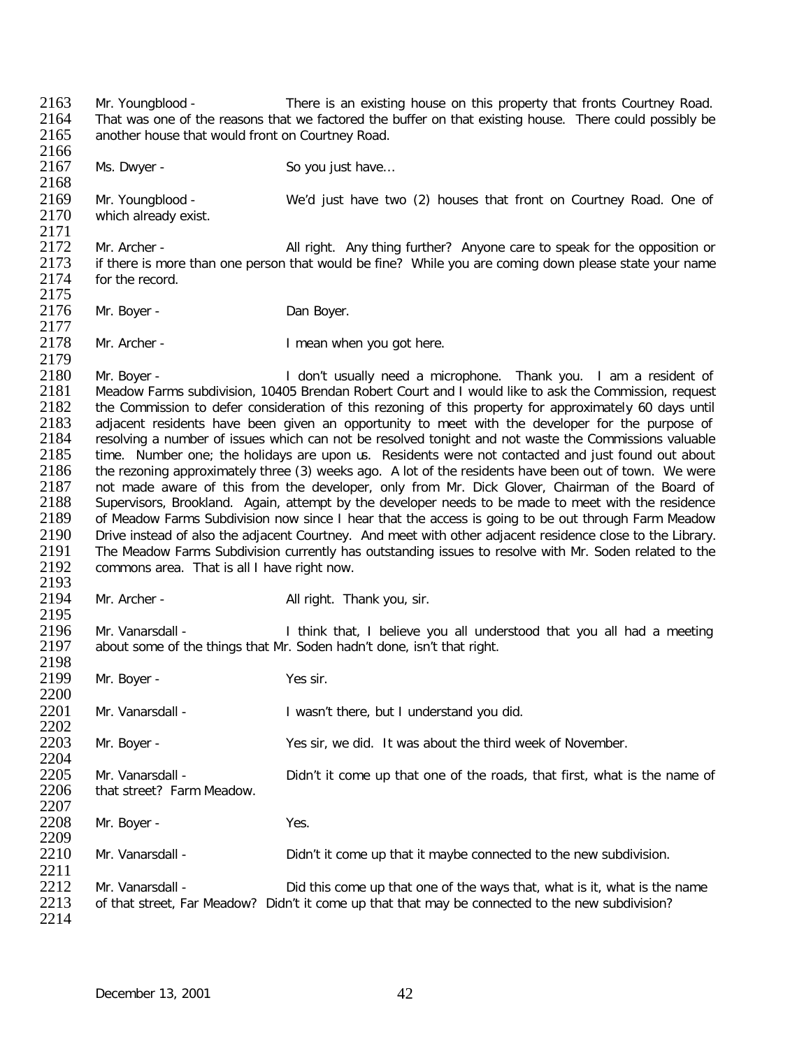2163 Mr. Youngblood - There is an existing house on this property that fronts Courtney Road.<br>2164 That was one of the reasons that we factored the buffer on that existing house. There could possibly be 2164 That was one of the reasons that we factored the buffer on that existing house. There could possibly be 2165 another house that would front on Courtney Road. another house that would front on Courtney Road. 2166<br>2167 Ms. Dwyer - So you just have... 2168<br>2169 2169 Mr. Youngblood - We'd just have two (2) houses that front on Courtney Road. One of 2170 which already exist. which already exist. 2171<br>2172 2172 Mr. Archer - All right. Any thing further? Anyone care to speak for the opposition or 2173 if there is more than one person that would be fine? While you are coming down please state your name 2173 if there is more than one person that would be fine? While you are coming down please state your name 2174 for the record. for the record. 2175<br>2176 Mr. Boyer - **Dan Boyer.** 2177<br>2178 Mr. Archer - The I mean when you got here. 2179<br>2180 2180 Mr. Boyer - I don't usually need a microphone. Thank you. I am a resident of 2181 Meadow Farms subdivision. 10405 Brendan Robert Court and I would like to ask the Commission. request 2181 Meadow Farms subdivision, 10405 Brendan Robert Court and I would like to ask the Commission, request 2182 the Commission to defer consideration of this rezoning of this property for approximately 60 days until 2182 the Commission to defer consideration of this rezoning of this property for approximately 60 days until<br>2183 adiacent residents have been given an opportunity to meet with the developer for the purpose of 2183 adjacent residents have been given an opportunity to meet with the developer for the purpose of 2184 resolving a number of issues which can not be resolved tonight and not waste the Commissions valuable 2184 resolving a number of issues which can not be resolved tonight and not waste the Commissions valuable<br>2185 time. Number one: the holidays are upon is. Residents were not contacted and just found out about 2185 time. Number one; the holidays are upon us. Residents were not contacted and just found out about 2186 the rezoning approximately three (3) weeks ago. A lot of the residents have been out of town. We were the rezoning approximately three (3) weeks ago. A lot of the residents have been out of town. We were 2187 not made aware of this from the developer, only from Mr. Dick Glover, Chairman of the Board of 2188 Supervisors, Brookland. Again, attempt by the developer needs to be made to meet with the residence 2188 Supervisors, Brookland. Again, attempt by the developer needs to be made to meet with the residence<br>2189 of Meadow Farms Subdivision now since I hear that the access is going to be out through Farm Meadow 2189 of Meadow Farms Subdivision now since I hear that the access is going to be out through Farm Meadow<br>2190 Drive instead of also the adiacent Courtney. And meet with other adiacent residence close to the Library. 2190 Drive instead of also the adjacent Courtney. And meet with other adjacent residence close to the Library.<br>2191 The Meadow Farms Subdivision currently has outstanding issues to resolve with Mr. Soden related to the 2191 The Meadow Farms Subdivision currently has outstanding issues to resolve with Mr. Soden related to the 2192 commons area. That is all I have right now. commons area. That is all I have right now. 2193<br>2194 Mr. Archer - All right. Thank you, sir. 2195<br>2196 2196 Mr. Vanarsdall - I think that, I believe you all understood that you all had a meeting 2197 about some of the things that Mr. Soden hadn't done, isn't that right. about some of the things that Mr. Soden hadn't done, isn't that right. 2198<br>2199 Mr. Boyer - Yes sir. 2200 2201 Mr. Vanarsdall - I wasn't there, but I understand you did. 2202<br>2203 Mr. Boyer - Yes sir, we did. It was about the third week of November. 2204<br>2205 2205 Mr. Vanarsdall - Didn't it come up that one of the roads, that first, what is the name of 2206 that street? Farm Meadow. that street? Farm Meadow. 2207<br>2208 Mr. Boyer - Yes. 2209<br>2210 Mr. Vanarsdall - Didn't it come up that it maybe connected to the new subdivision. 2211<br>2212 2212 Mr. Vanarsdall - Did this come up that one of the ways that, what is it, what is the name<br>2213 of that street. Far Meadow? Didn't it come up that that may be connected to the new subdivision? of that street, Far Meadow? Didn't it come up that that may be connected to the new subdivision? 2214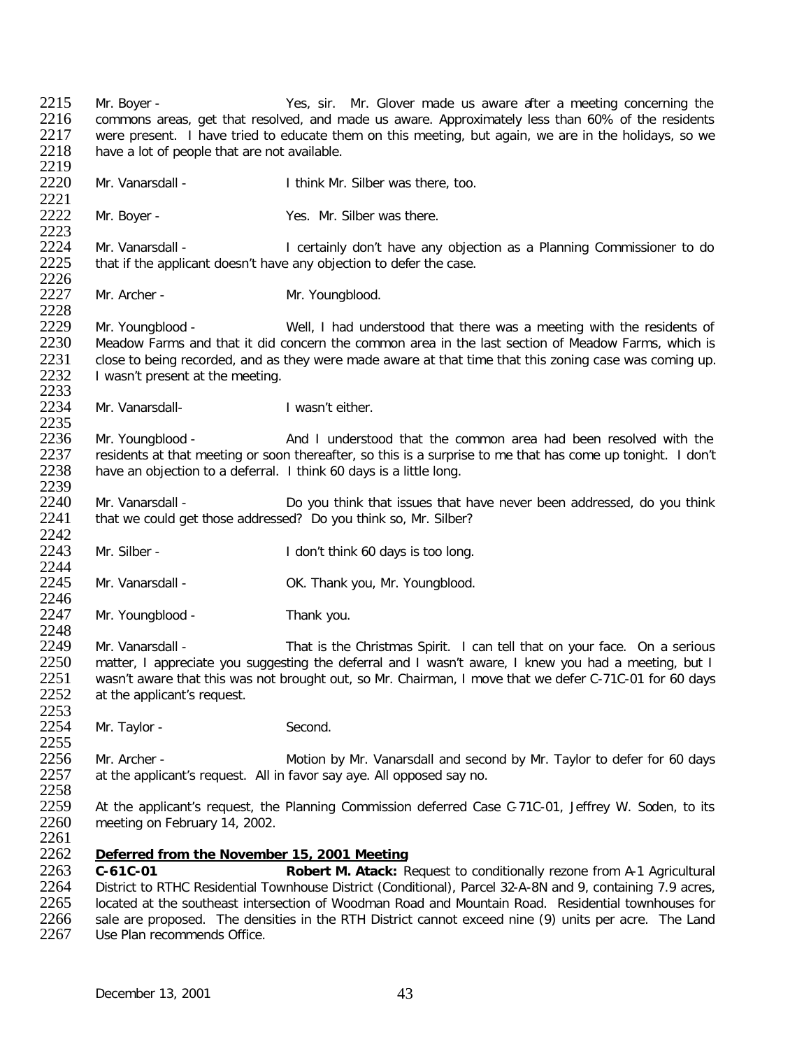2215 Mr. Boyer - Yes, sir. Mr. Glover made us aware after a meeting concerning the<br>2216 commons areas, get that resolved, and made us aware. Approximately less than 60% of the residents 2216 commons areas, get that resolved, and made us aware. Approximately less than 60% of the residents 2217 were present. I have tried to educate them on this meeting, but again, we are in the holidays, so we 2217 were present. I have tried to educate them on this meeting, but again, we are in the holidays, so we 2218 have a lot of people that are not available. have a lot of people that are not available. 2219<br>2220 Mr. Vanarsdall - Think Mr. Silber was there, too. 2221<br>2222 Mr. Boyer - Yes. Mr. Silber was there. 2223<br>2224 2224 Mr. Vanarsdall - I certainly don't have any objection as a Planning Commissioner to do<br>2225 that if the applicant doesn't have any objection to defer the case. that if the applicant doesn't have any objection to defer the case. 2226<br>2227 Mr. Archer - Mr. Youngblood. 2228<br>2229 2229 Mr. Youngblood - Well, I had understood that there was a meeting with the residents of 2230 Meadow Farms and that it did concern the common area in the last section of Meadow Farms, which is 2230 Meadow Farms and that it did concern the common area in the last section of Meadow Farms, which is 2231 close to being recorded, and as they were made aware at that time that this zoning case was coming up. 2231 close to being recorded, and as they were made aware at that time that this zoning case was coming up.<br>2232 liwasn't present at the meeting. I wasn't present at the meeting. 2233<br>2234 Mr. Vanarsdall-<br>
I wasn't either. 2235<br>2236 2236 Mr. Youngblood - And I understood that the common area had been resolved with the 2237 residents at that meeting or soon thereafter, so this is a surprise to me that has come up tonight. I don't 2237 residents at that meeting or soon thereafter, so this is a surprise to me that has come up tonight. I don't 2238 have an objection to a deferral. I think 60 days is a little long. have an objection to a deferral. I think 60 days is a little long. 2239<br>2240 2240 Mr. Vanarsdall - Do you think that issues that have never been addressed, do you think 2241 that we could get those addressed? Do you think so. Mr. Silber? that we could get those addressed? Do you think so, Mr. Silber? 2242<br>2243 Mr. Silber - The Controllectual Health I don't think 60 days is too long. 2244<br>2245 Mr. Vanarsdall - CK. Thank you, Mr. Youngblood. 2246<br>2247 Mr. Youngblood - Thank you. 2248<br>2249 2249 Mr. Vanarsdall - That is the Christmas Spirit. I can tell that on your face. On a serious<br>2250 matter. I appreciate vou suggesting the deferral and I wasn't aware. I knew you had a meeting. but I 2250 matter, I appreciate you suggesting the deferral and I wasn't aware, I knew you had a meeting, but I<br>2251 wasn't aware that this was not brought out, so Mr. Chairman, I move that we defer C-71C-01 for 60 days 2251 wasn't aware that this was not brought out, so Mr. Chairman, I move that we defer C-71C-01 for 60 days 2252 at the applicant's request. at the applicant's request. 2253<br>2254 Mr. Taylor - Second. 2255<br>2256 2256 Mr. Archer - Motion by Mr. Vanarsdall and second by Mr. Taylor to defer for 60 days<br>2257 at the applicant's request. All in favor say ave. All opposed say no. at the applicant's request. All in favor say aye. All opposed say no. 2258<br>2259 2259 At the applicant's request, the Planning Commission deferred Case C-71C-01, Jeffrey W. Soden, to its 2260 meeting on February 14, 2002. meeting on February 14, 2002. 2261<br>2262 **Deferred from the November 15, 2001 Meeting** 2263 **C-61C-01 Robert M. Atack:** Request to conditionally rezone from A-1 Agricultural 2264 District to RTHC Residential Townhouse District (Conditional), Parcel 32-A-8N and 9, containing 7.9 acres,<br>2265 Located at the southeast intersection of Woodman Road and Mountain Road. Residential townhouses for 2265 located at the southeast intersection of Woodman Road and Mountain Road. Residential townhouses for 2266 sale are proposed. The densities in the RTH District cannot exceed nine (9) units per acre. The Land 2266 sale are proposed. The densities in the RTH District cannot exceed nine (9) units per acre. The Land 2267 Use Plan recommends Office. Use Plan recommends Office.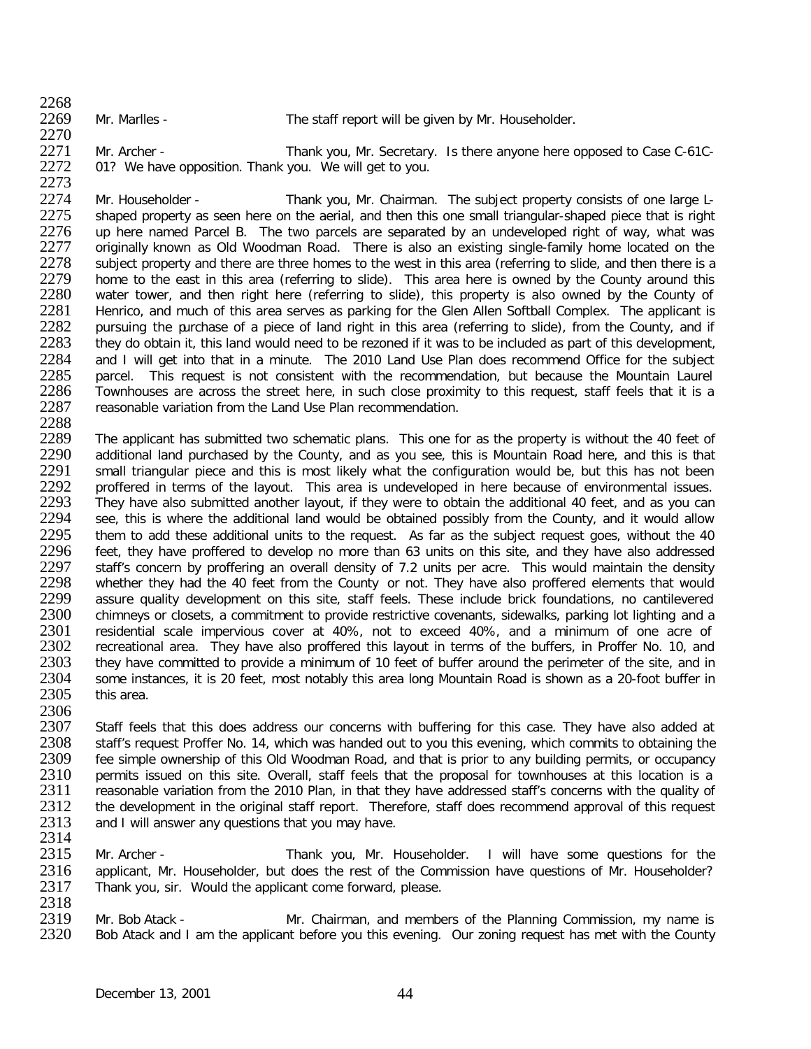2268<br>2269

Mr. Marlles - The staff report will be given by Mr. Householder.

2270<br>2271 2271 Mr. Archer - Thank you, Mr. Secretary. Is there anyone here opposed to Case C-61C-<br>2272 01? We have opposition. Thank you. We will get to you. 01? We have opposition. Thank you. We will get to you.

2273<br>2274 2274 Mr. Householder - Thank you, Mr. Chairman. The subject property consists of one large L-<br>2275 shaped property as seen here on the aerial, and then this one small triangular-shaped piece that is right 2275 shaped property as seen here on the aerial, and then this one small triangular-shaped piece that is right<br>2276 up here named Parcel B. The two parcels are separated by an undeveloped right of way, what was 2276 up here named Parcel B. The two parcels are separated by an undeveloped right of way, what was 2277 criginally known as Old Woodman Road. There is also an existing single-family home located on the 2277 originally known as Old Woodman Road. There is also an existing single-family home located on the 2278 subject property and there are three homes to the west in this area (referring to slide, and then there is a 2278 subject property and there are three homes to the west in this area (referring to slide, and then there is a<br>2279 home to the east in this area (referring to slide). This area here is owned by the County around this 2279 home to the east in this area (referring to slide). This area here is owned by the County around this 2280 water tower, and then right here (referring to slide), this property is also owned by the County of 2280 water tower, and then right here (referring to slide), this property is also owned by the County of 2281 Henrico, and much of this area serves as parking for the Glen Allen Softball Complex. The applicant is 2281 Henrico, and much of this area serves as parking for the Glen Allen Softball Complex. The applicant is 2282 pursuing the purchase of a piece of land right in this area (referring to slide), from the County, and if 2282 pursuing the purchase of a piece of land right in this area (referring to slide), from the County, and if<br>2283 they do obtain it, this land would need to be rezoned if it was to be included as part of this development 2283 they do obtain it, this land would need to be rezoned if it was to be included as part of this development,<br>2284 and I will get into that in a minute. The 2010 Land Use Plan does recommend Office for the subject 2284 and I will get into that in a minute. The 2010 Land Use Plan does recommend Office for the subject 2285 parcel. This request is not consistent with the recommendation, but because the Mountain Laurel 2285 parcel. This request is not consistent with the recommendation, but because the Mountain Laurel<br>2286 Townhouses are across the street here, in such close proximity to this request, staff feels that it is a 2286 Townhouses are across the street here, in such close proximity to this request, staff feels that it is a<br>2287 reasonable variation from the Land Use Plan recommendation. reasonable variation from the Land Use Plan recommendation.

2288<br>2289 2289 The applicant has submitted two schematic plans. This one for as the property is without the 40 feet of 2290 additional land purchased by the County, and as you see, this is Mountain Road here, and this is that 2290 additional land purchased by the County, and as you see, this is Mountain Road here, and this is that 2291 small triangular piece and this is most likely what the configuration would be, but this has not been 2291 small triangular piece and this is most likely what the configuration would be, but this has not been<br>2292 proffered in terms of the lavout. This area is undeveloped in here because of environmental issues. 2292 proffered in terms of the layout. This area is undeveloped in here because of environmental issues.<br>2293 They have also submitted another layout, if they were to obtain the additional 40 feet, and as you can 2293 They have also submitted another layout, if they were to obtain the additional 40 feet, and as you can<br>2294 See, this is where the additional land would be obtained possibly from the County, and it would allow 2294 see, this is where the additional land would be obtained possibly from the County, and it would allow<br>2295 them to add these additional units to the request. As far as the subject request goes, without the 40 2295 them to add these additional units to the request. As far as the subject request goes, without the 40<br>2296 feet, they have proffered to develop no more than 63 units on this site, and they have also addressed 2296 feet, they have proffered to develop no more than 63 units on this site, and they have also addressed<br>2297 staff's concern by proffering an overall density of 7.2 units per acre. This would maintain the density 2297 staff's concern by proffering an overall density of 7.2 units per acre. This would maintain the density<br>2298 whether they had the 40 feet from the County or not. They have also proffered elements that would 2298 whether they had the 40 feet from the County or not. They have also proffered elements that would<br>2299 assure quality development on this site, staff feels. These include brick foundations, no cantilevered 2299 assure quality development on this site, staff feels. These include brick foundations, no cantilevered 2300 chimneys or closets, a commitment to provide restrictive covenants, sidewalks, parking lot lighting and a 2300 chimneys or closets, a commitment to provide restrictive covenants, sidewalks, parking lot lighting and a<br>2301 cresidential scale impervious cover at 40%, not to exceed 40%, and a minimum of one acre of 2301 residential scale impervious cover at 40%, not to exceed 40%, and a minimum of one acre of 2302 recreational area. They have also proffered this layout in terms of the buffers, in Proffer No. 10, and 2302 recreational area. They have also proffered this layout in terms of the buffers, in Proffer No. 10, and 2303 they have committed to provide a minimum of 10 feet of buffer around the perimeter of the site, and in 2303 they have committed to provide a minimum of 10 feet of buffer around the perimeter of the site, and in<br>2304 some instances, it is 20 feet, most notably this area long Mountain Road is shown as a 20-foot buffer in 2304 some instances, it is 20 feet, most notably this area long Mountain Road is shown as a 20-foot buffer in 2305 this area. this area.

2306<br>2307 2307 Staff feels that this does address our concerns with buffering for this case. They have also added at 2308 staff's request Proffer No. 14, which was handed out to you this evening, which commits to obtaining the 2308 staff's request Proffer No. 14, which was handed out to you this evening, which commits to obtaining the<br>2309 fee simple ownership of this Old Woodman Road, and that is prior to any building permits, or occupancy 2309 fee simple ownership of this Old Woodman Road, and that is prior to any building permits, or occupancy<br>2310 permits issued on this site. Overall, staff feels that the proposal for townhouses at this location is a 2310 permits issued on this site. Overall, staff feels that the proposal for townhouses at this location is a<br>2311 reasonable variation from the 2010 Plan, in that they have addressed staff's concerns with the quality of 2311 reasonable variation from the 2010 Plan, in that they have addressed staff's concerns with the quality of<br>2312 the development in the original staff report. Therefore, staff does recommend approval of this request 2312 the development in the original staff report. Therefore, staff does recommend approval of this request 2313 and I will answer any questions that you may have. and I will answer any questions that you may have.

2314<br>2315 Mr. Archer - Thank you, Mr. Householder. I will have some questions for the 2316 applicant, Mr. Householder, but does the rest of the Commission have questions of Mr. Householder?<br>2317 Thank vou, sir. Would the applicant come forward, please. Thank you, sir. Would the applicant come forward, please.

2318<br>2319 2319 Mr. Bob Atack - Mr. Chairman, and members of the Planning Commission, my name is<br>2320 Bob Atack and I am the applicant before you this evening. Our zoning request has met with the County Bob Atack and I am the applicant before you this evening. Our zoning request has met with the County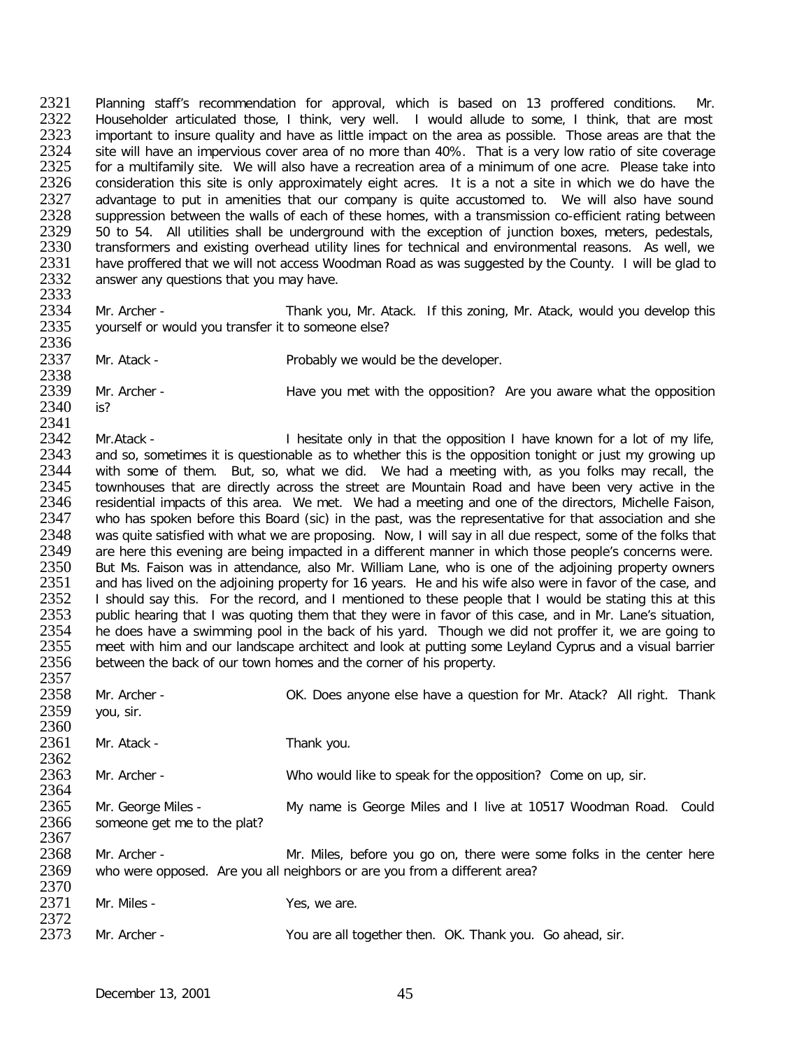2321 Planning staff's recommendation for approval, which is based on 13 proffered conditions. Mr.<br>2322 Householder articulated those. I think, very well. I would allude to some. I think, that are most 2322 Householder articulated those, I think, very well. I would allude to some, I think, that are most 2323 important to insure quality and have as little impact on the area as possible. Those areas are that the 2323 important to insure quality and have as little impact on the area as possible. Those areas are that the 2324 site will have an impervious cover area of no more than 40%. That is a very low ratio of site coverage 2324 site will have an impervious cover area of no more than 40%. That is a very low ratio of site coverage<br>2325 for a multifamily site. We will also have a recreation area of a minimum of one acre. Please take into 2325 for a multifamily site. We will also have a recreation area of a minimum of one acre. Please take into 2326 consideration this site is only approximately eight acres. It is a not a site in which we do have the 2326 consideration this site is only approximately eight acres. It is a not a site in which we do have the 2327 advantage to put in amenities that our company is quite accustomed to. We will also have sound 2327 advantage to put in amenities that our company is quite accustomed to. We will also have sound<br>2328 suppression between the walls of each of these homes, with a transmission co-efficient rating between 2328 suppression between the walls of each of these homes, with a transmission co-efficient rating between<br>2329 50 to 54. All utilities shall be underground with the exception of junction boxes, meters, pedestals, 2329 50 to 54. All utilities shall be underground with the exception of junction boxes, meters, pedestals, 2330 transformers and existing overhead utility lines for technical and environmental reasons. As well, we 2330 transformers and existing overhead utility lines for technical and environmental reasons. As well, we<br>2331 have proffered that we will not access Woodman Road as was suggested by the County. I will be glad to 2331 have proffered that we will not access Woodman Road as was suggested by the County. I will be glad to 2332 answer any questions that you may have. answer any questions that you may have.

2333<br>2334 2334 Mr. Archer - Thank you, Mr. Atack. If this zoning, Mr. Atack, would you develop this 2335 vourself or would you transfer it to someone else? yourself or would you transfer it to someone else?

2336<br>2337

Mr. Atack - Probably we would be the developer.

2338<br>2339 Mr. Archer - **Have you met with the opposition?** Are you aware what the opposition 2340 is?

2341<br>2342 2342 Mr.Atack - I hesitate only in that the opposition I have known for a lot of my life,<br>2343 and so, sometimes it is questionable as to whether this is the opposition tonight or just my growing up 2343 and so, sometimes it is questionable as to whether this is the opposition tonight or just my growing up<br>2344 with some of them. But, so, what we did. We had a meeting with, as you folks may recall, the 2344 with some of them. But, so, what we did. We had a meeting with, as you folks may recall, the 2345 townhouses that are directly across the street are Mountain Road and have been very active in the 2345 townhouses that are directly across the street are Mountain Road and have been very active in the 2346 residential impacts of this area. We met. We had a meeting and one of the directors. Michelle Faison, 2346 residential impacts of this area. We met. We had a meeting and one of the directors, Michelle Faison, 2347 who has spoken before this Board (sic) in the past, was the representative for that association and she 2347 who has spoken before this Board (sic) in the past, was the representative for that association and she<br>2348 was quite satisfied with what we are proposing. Now, I will say in all due respect, some of the folks that 2348 was quite satisfied with what we are proposing. Now, I will say in all due respect, some of the folks that<br>2349 are here this evening are being impacted in a different manner in which those people's concerns were. 2349 are here this evening are being impacted in a different manner in which those people's concerns were.<br>2350 But Ms. Faison was in attendance, also Mr. William Lane, who is one of the adioining property owners 2350 But Ms. Faison was in attendance, also Mr. William Lane, who is one of the adjoining property owners<br>2351 and has lived on the adioining property for 16 years. He and his wife also were in favor of the case, and 2351 and has lived on the adjoining property for 16 years. He and his wife also were in favor of the case, and<br>2352 I should sav this. For the record, and I mentioned to these people that I would be stating this at this 2352 I should say this. For the record, and I mentioned to these people that I would be stating this at this<br>2353 public hearing that I was quoting them that they were in favor of this case, and in Mr. Lane's situation, 2353 public hearing that I was quoting them that they were in favor of this case, and in Mr. Lane's situation,<br>2354 be does have a swimming pool in the back of his vard. Though we did not proffer it, we are going to 2354 he does have a swimming pool in the back of his yard. Though we did not proffer it, we are going to 2355 meet with him and our landscape architect and look at putting some Levland Cyprus and a visual barrier 2355 meet with him and our landscape architect and look at putting some Leyland Cyprus and a visual barrier<br>2356 between the back of our town homes and the corner of his property. between the back of our town homes and the corner of his property.

2357<br>2358 Mr. Archer - **OK. Does anyone else have a question for Mr. Atack?** All right. Thank 2359 you, sir. 2360<br>2361 Mr. Atack - Thank you. 2362<br>2363 2363 Mr. Archer - Who would like to speak for the opposition? Come on up, sir. 2364<br>2365 2365 Mr. George Miles - My name is George Miles and I live at 10517 Woodman Road. Could 2366 someone get me to the plat? someone get me to the plat? 2367<br>2368 Mr. Archer - The Mr. Miles, before you go on, there were some folks in the center here 2369 who were opposed. Are you all neighbors or are you from a different area? 2370<br>2371 Mr. Miles - Yes, we are. 2372<br>2373 2373 Mr. Archer - You are all together then. OK. Thank you. Go ahead, sir.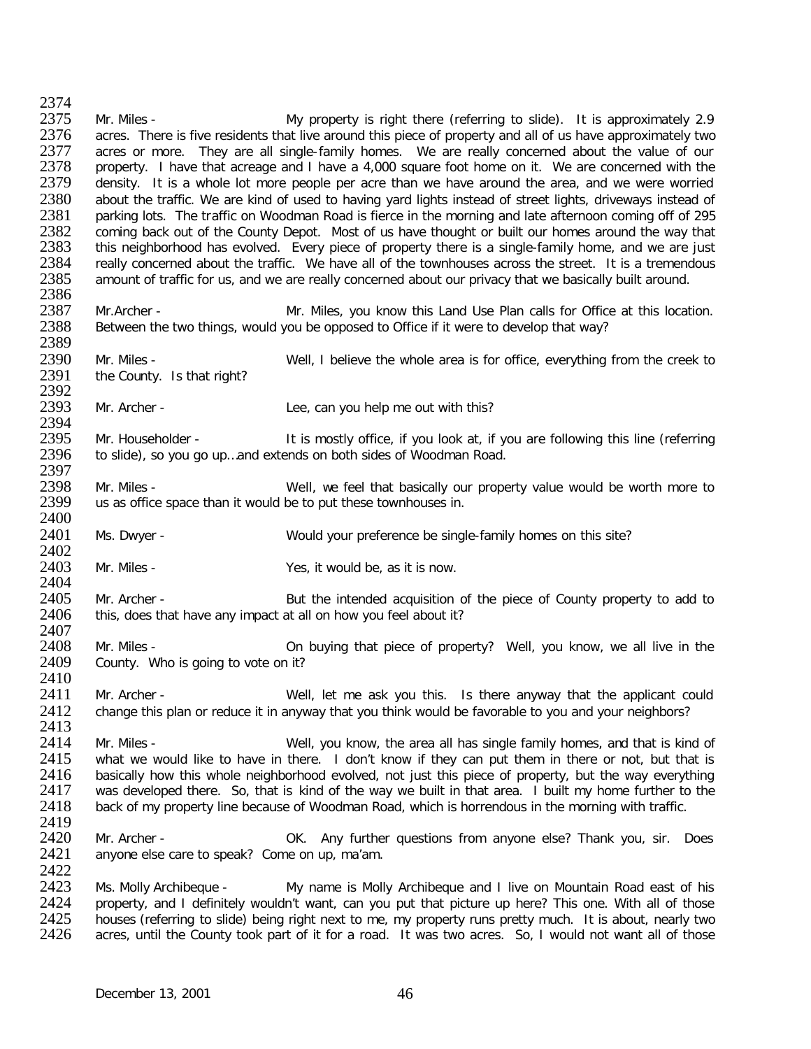2374<br>2375 2375 Mr. Miles - My property is right there (referring to slide). It is approximately 2.9<br>2376 acres. There is five residents that live around this piece of property and all of us have approximately two 2376 acres. There is five residents that live around this piece of property and all of us have approximately two<br>2377 acres or more. They are all single-family homes. We are really concerned about the value of our 2377 acres or more. They are all single-family homes. We are really concerned about the value of our<br>2378 property. I have that acreage and I have a 4.000 square foot home on it. We are concerned with the 2378 property. I have that acreage and I have a 4,000 square foot home on it. We are concerned with the 2379 density. It is a whole lot more people per acre than we have around the area, and we were worried 2379 density. It is a whole lot more people per acre than we have around the area, and we were worried 2380 about the traffic. We are kind of used to having vard lights instead of street lights, driveways instead of 2380 about the traffic. We are kind of used to having yard lights instead of street lights, driveways instead of 295<br>2381 parking lots. The traffic on Woodman Road is fierce in the morning and late afternoon coming off of 2381 parking lots. The traffic on Woodman Road is fierce in the morning and late afternoon coming off of 295<br>2382 coming back out of the County Depot. Most of us have thought or built our homes around the way that 2382 coming back out of the County Depot. Most of us have thought or built our homes around the way that 2383 this neighborhood has evolved. Every piece of property there is a single-family home, and we are just 2383 this neighborhood has evolved. Every piece of property there is a single-family home, and we are just 2384 really concerned about the traffic. We have all of the townhouses across the street. It is a tremendous 2384 really concerned about the traffic. We have all of the townhouses across the street. It is a tremendous 2385 amount of traffic for us, and we are really concerned about our privacy that we basically built around. amount of traffic for us, and we are really concerned about our privacy that we basically built around. 2386<br>2387 2387 Mr.Archer - Mr. Miles, you know this Land Use Plan calls for Office at this location.<br>2388 Between the two things, would you be opposed to Office if it were to develop that way? Between the two things, would you be opposed to Office if it were to develop that way? 2389<br>2390 2390 Mr. Miles - Well, I believe the whole area is for office, everything from the creek to 2391 the County. Is that right? the County. Is that right? 2392<br>2393 Mr. Archer - Lee, can you help me out with this? 2394<br>2395 2395 Mr. Householder - It is mostly office, if you look at, if you are following this line (referring 2396 to slide), so you go up and extends on both sides of Woodman Road. to slide), so you go up...and extends on both sides of Woodman Road. 2397<br>2398 2398 Mr. Miles - Well, we feel that basically our property value would be worth more to 2399 us as office space than it would be to put these townhouses in. us as office space than it would be to put these townhouses in. 2400<br>2401 Ms. Dwyer - Would your preference be single-family homes on this site? 2402<br>2403 Mr. Miles - Yes, it would be, as it is now. 2404<br>2405 2405 Mr. Archer - But the intended acquisition of the piece of County property to add to 2406 this, does that have any impact at all on how you feel about it? this, does that have any impact at all on how you feel about it? 2407<br>2408 2408 Mr. Miles - On buying that piece of property? Well, you know, we all live in the 2409 County. Who is going to vote on it? County. Who is going to vote on it? 2410<br>2411 Mr. Archer - Well, let me ask you this. Is there anyway that the applicant could 2412 change this plan or reduce it in anyway that you think would be favorable to you and your neighbors? 2413<br>2414 2414 Mr. Miles - Well, you know, the area all has single family homes, and that is kind of 2415 what we would like to have in there. I don't know if they can put them in there or not. but that is 2415 what we would like to have in there. I don't know if they can put them in there or not, but that is 2416 basically how this whole neighborhood evolved, not just this piece of property, but the way everything 2416 basically how this whole neighborhood evolved, not just this piece of property, but the way everything 2417 was developed there. So, that is kind of the way we built in that area. I built my home further to the 2417 was developed there. So, that is kind of the way we built in that area. I built my home further to the 2418 back of my property line because of Woodman Road, which is horrendous in the morning with traffic. back of my property line because of Woodman Road, which is horrendous in the morning with traffic. 2419<br>2420 2420 Mr. Archer - OK. Any further questions from anyone else? Thank you, sir. Does 2421 anyone else care to speak? Come on up, ma'am. anyone else care to speak? Come on up, ma'am. 2422<br>2423 2423 Ms. Molly Archibeque - My name is Molly Archibeque and I live on Mountain Road east of his<br>2424 Droperty, and I definitely wouldn't want, can you put that picture up here? This one. With all of those 2424 property, and I definitely wouldn't want, can you put that picture up here? This one. With all of those 2425 houses (referring to slide) being right next to me, my property runs pretty much. It is about, nearly two 2425 houses (referring to slide) being right next to me, my property runs pretty much. It is about, nearly two<br>2426 acres, until the County took part of it for a road. It was two acres. So, I would not want all of those acres, until the County took part of it for a road. It was two acres. So, I would not want all of those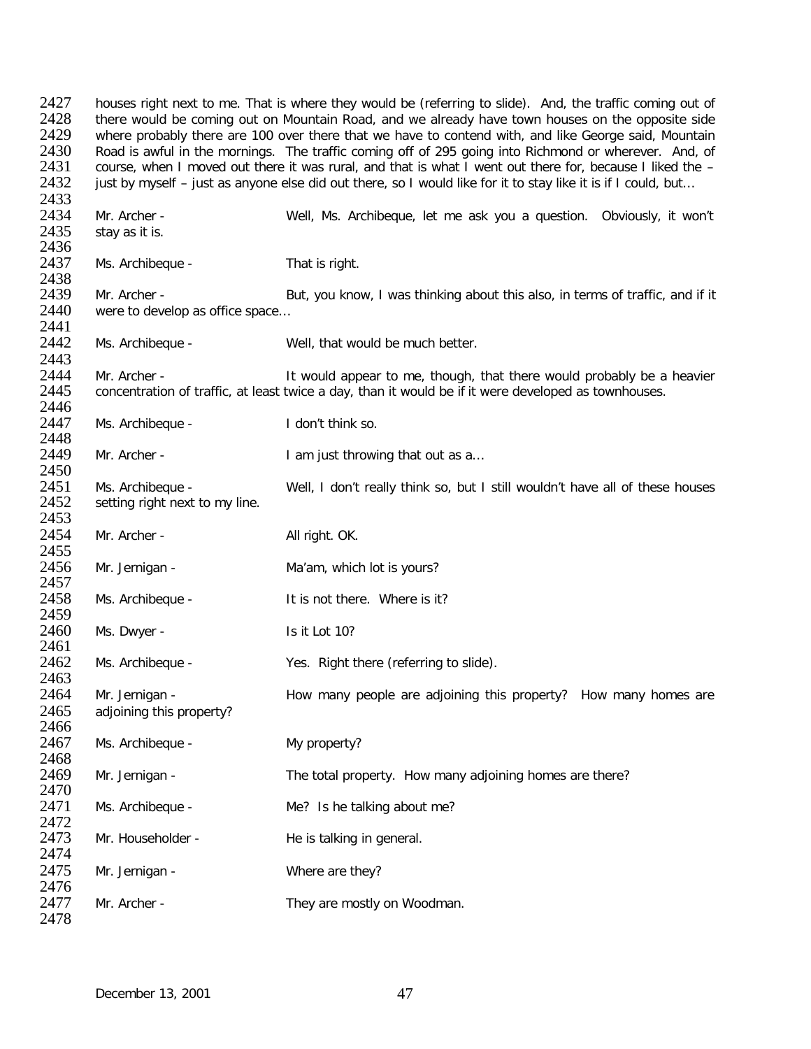2427 houses right next to me. That is where they would be (referring to slide). And, the traffic coming out of<br>2428 there would be coming out on Mountain Road, and we already have town houses on the opposite side 2428 there would be coming out on Mountain Road, and we already have town houses on the opposite side<br>2429 Twhere probably there are 100 over there that we have to contend with, and like George said. Mountain 2429 where probably there are 100 over there that we have to contend with, and like George said, Mountain 2430 Road is awful in the mornings. The traffic coming off of 295 going into Richmond or wherever. And, of 2430 Road is awful in the mornings. The traffic coming off of 295 going into Richmond or wherever. And, of 2431 course, when I moved out there it was rural, and that is what I went out there for, because I liked the -2431 course, when I moved out there it was rural, and that is what I went out there for, because I liked the –<br>2432 iust by myself – just as anyone else did out there, so I would like for it to stay like it is if I could, just by myself – just as anyone else did out there, so I would like for it to stay like it is if I could, but... 2433<br>2434 2434 Mr. Archer - Well, Ms. Archibeque, let me ask you a question. Obviously, it won't stay as it is. 2436<br>2437 Ms. Archibeque - That is right. 2438<br>2439 2439 Mr. Archer - But, you know, I was thinking about this also, in terms of traffic, and if it 2440 were to develop as office space... were to develop as office space... 2441<br>2442 Ms. Archibeque - Well, that would be much better. 2443<br>2444 2444 Mr. Archer - It would appear to me, though, that there would probably be a heavier<br>2445 concentration of traffic, at least twice a day, than it would be if it were developed as townhouses. concentration of traffic, at least twice a day, than it would be if it were developed as townhouses. 2446<br>2447 Ms. Archibeque - I don't think so. 2448<br>2449 Mr. Archer - The Communist Heather I am just throwing that out as a... 2450 2451 Ms. Archibeque - Well, I don't really think so, but I still wouldn't have all of these houses 2452 setting right next to my line. setting right next to my line. 2453 2454 Mr. Archer - All right. OK. 2455<br>2456 Mr. Jernigan - Ma'am, which lot is yours? 2457<br>2458 Ms. Archibeque - The Mass of there. Where is it? 2459<br>2460 Ms. Dwyer - Is it Lot 10? 2461<br>2462 Ms. Archibeque - Yes. Right there (referring to slide). 2463<br>2464 Mr. Jernigan - The How many people are adjoining this property? How many homes are 2465 adjoining this property? 2466<br>2467 Ms. Archibeque - My property? 2468<br>2469 Mr. Jernigan - The total property. How many adjoining homes are there? 2470<br>2471 Ms. Archibeque - Me? Is he talking about me? 2472<br>2473 Mr. Householder - He is talking in general. 2474 2475 Mr. Jernigan - Where are they? 2476<br>2477 Mr. Archer - They are mostly on Woodman. 2478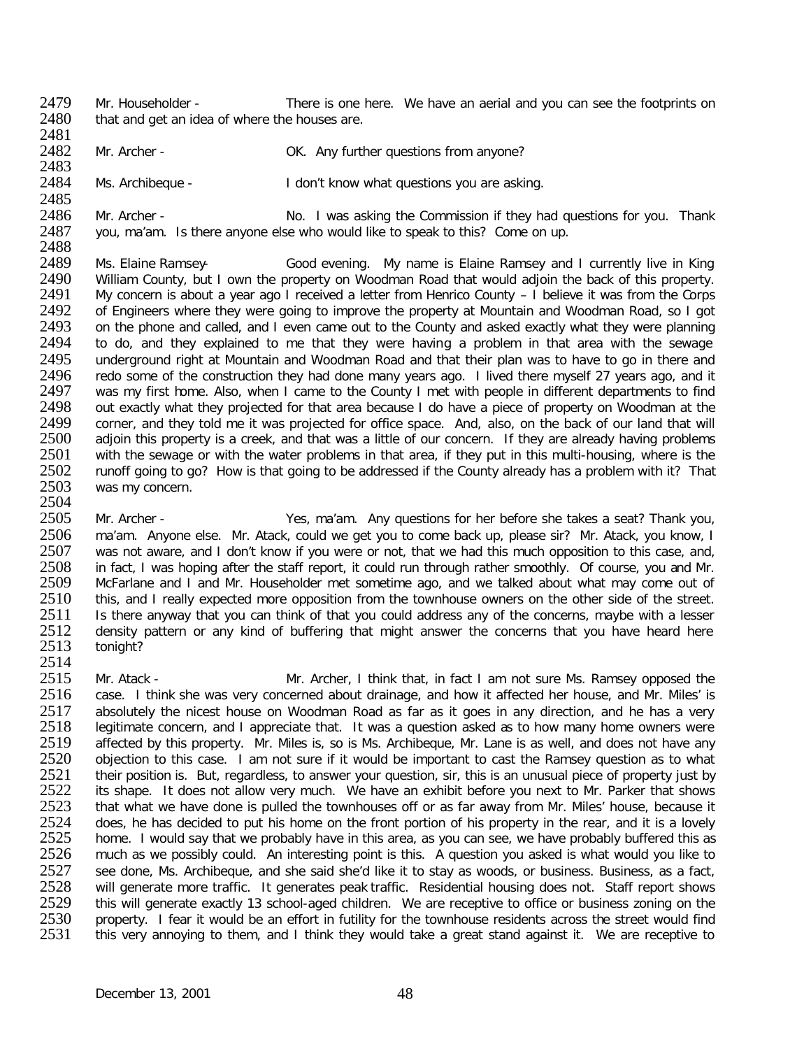2479 Mr. Householder - There is one here. We have an aerial and you can see the footprints on 2480 that and get an idea of where the houses are. that and get an idea of where the houses are.

2481<br>2482 Mr. Archer - CARED COMET Any further questions from anyone?

2483<br>2484 Ms. Archibeque - The Man't know what questions you are asking.

2485<br>2486 2486 Mr. Archer - No. I was asking the Commission if they had questions for you. Thank 2487 vou. ma'am. Is there anyone else who would like to speak to this? Come on up. you, ma'am. Is there anyone else who would like to speak to this? Come on up.

2488<br>2489 2489 Ms. Elaine Ramsey- Good evening. My name is Elaine Ramsey and I currently live in King<br>2490 William County, but I own the property on Woodman Road that would adioin the back of this property. 2490 William County, but I own the property on Woodman Road that would adjoin the back of this property.<br>2491 My concern is about a vear ago I received a letter from Henrico County – I believe it was from the Corps 2491 My concern is about a year ago I received a letter from Henrico County – I believe it was from the Corps<br>2492 of Engineers where they were going to improve the property at Mountain and Woodman Road, so I got 2492 of Engineers where they were going to improve the property at Mountain and Woodman Road, so I got 2493 on the phone and called, and I even came out to the County and asked exactly what they were planning 2493 on the phone and called, and I even came out to the County and asked exactly what they were planning<br>2494 to do, and they explained to me that they were having a problem in that area with the sewage 2494 to do, and they explained to me that they were having a problem in that area with the sewage<br>2495 underground right at Mountain and Woodman Road and that their plan was to have to go in there and 2495 underground right at Mountain and Woodman Road and that their plan was to have to go in there and<br>2496 redo some of the construction they had done many years ago. I lived there myself 27 years ago, and it 2496 redo some of the construction they had done many years ago. I lived there myself 27 years ago, and it 2497 was my first home. Also, when I came to the County I met with people in different departments to find 2497 was my first home. Also, when I came to the County I met with people in different departments to find<br>2498 out exactly what they projected for that area because I do have a piece of property on Woodman at the 2498 out exactly what they projected for that area because I do have a piece of property on Woodman at the 2499 corner, and they told me it was projected for office space. And, also, on the back of our land that will 2499 corner, and they told me it was projected for office space. And, also, on the back of our land that will<br>2500 adioin this property is a creek, and that was a little of our concern. If they are already having problems 2500 adjoin this property is a creek, and that was a little of our concern. If they are already having problems<br>2501 with the sewage or with the water problems in that area, if they put in this multi-housing, where is the 2501 with the sewage or with the water problems in that area, if they put in this multi-housing, where is the<br>2502 runoff going to go? How is that going to be addressed if the County already has a problem with it? That 2502 runoff going to go? How is that going to be addressed if the County already has a problem with it? That <br>2503 was my concern. was my concern.

2504<br>2505 2505 Mr. Archer - Yes, ma'am. Any questions for her before she takes a seat? Thank you, 2506 ma'am. Anyone else. Mr. Atack, could we get you to come back up, please sir? Mr. Atack, you know, I<br>2507 was not aware, and I don't know if you were or not, that we had this much opposition to this case, and, 2507 was not aware, and I don't know if you were or not, that we had this much opposition to this case, and, <br>2508 in fact. I was hoping after the staff report, it could run through rather smoothly. Of course, you and Mr 2508 in fact, I was hoping after the staff report, it could run through rather smoothly. Of course, you and Mr.<br>2509 McFarlane and I and Mr. Householder met sometime ago, and we talked about what may come out of 2509 McFarlane and I and Mr. Householder met sometime ago, and we talked about what may come out of 2510 this, and I really expected more opposition from the townhouse owners on the other side of the street. 2510 this, and I really expected more opposition from the townhouse owners on the other side of the street.<br>2511 Is there anyway that you can think of that you could address any of the concerns, maybe with a lesser 2511 Is there anyway that you can think of that you could address any of the concerns, maybe with a lesser<br>2512 density pattern or any kind of buffering that might answer the concerns that you have heard here 2512 density pattern or any kind of buffering that might answer the concerns that you have heard here<br>2513 tonight? tonight?

2514<br>2515 2515 Mr. Atack - Mr. Archer, I think that, in fact I am not sure Ms. Ramsey opposed the<br>2516 case. I think she was very concerned about drainage, and how it affected her house, and Mr. Miles' is case. I think she was very concerned about drainage, and how it affected her house, and Mr. Miles' is 2517 absolutely the nicest house on Woodman Road as far as it goes in any direction, and he has a very<br>2518 legitimate concern, and I appreciate that. It was a question asked as to how many home owners were 2518 legitimate concern, and I appreciate that. It was a question asked as to how many home owners were<br>2519 affected by this property. Mr. Miles is, so is Ms. Archibeque, Mr. Lane is as well, and does not have any 2519 affected by this property. Mr. Miles is, so is Ms. Archibeque, Mr. Lane is as well, and does not have any<br>2520 objection to this case. I am not sure if it would be important to cast the Ramsey question as to what 2520 objection to this case. I am not sure if it would be important to cast the Ramsey question as to what 2521 their position is. But, regardless, to answer your question, sir, this is an unusual piece of property just by 2521 their position is. But, regardless, to answer your question, sir, this is an unusual piece of property just by<br>2522 its shape. It does not allow very much. We have an exhibit before you next to Mr. Parker that shows 2522 its shape. It does not allow very much. We have an exhibit before you next to Mr. Parker that shows<br>2523 that what we have done is pulled the townhouses off or as far away from Mr. Miles' house, because it 2523 that what we have done is pulled the townhouses off or as far away from Mr. Miles' house, because it 2524 does, he has decided to put his home on the front portion of his property in the rear, and it is a lovely 2524 does, he has decided to put his home on the front portion of his property in the rear, and it is a lovely<br>2525 home. I would say that we probably have in this area, as you can see, we have probably buffered this as 2525 home. I would say that we probably have in this area, as you can see, we have probably buffered this as <br>2526 much as we possibly could. An interesting point is this. A question you asked is what would you like to 2526 much as we possibly could. An interesting point is this. A question you asked is what would you like to 2527 see done. Ms. Archibeque, and she said she'd like it to stay as woods, or business. Business, as a fact, 2527 see done, Ms. Archibeque, and she said she'd like it to stay as woods, or business. Business, as a fact, <br>2528 will generate more traffic. It generates peak traffic. Residential housing does not. Staff report shows 2528 will generate more traffic. It generates peak traffic. Residential housing does not. Staff report shows<br>2529 this will generate exactly 13 school-aged children. We are receptive to office or business zoning on the 2529 this will generate exactly 13 school-aged children. We are receptive to office or business zoning on the<br>2530 property. I fear it would be an effort in futility for the townhouse residents across the street would find 2530 property. I fear it would be an effort in futility for the townhouse residents across the street would find<br>2531 this very annoving to them, and I think they would take a great stand against it. We are receptive to this very annoying to them, and I think they would take a great stand against it. We are receptive to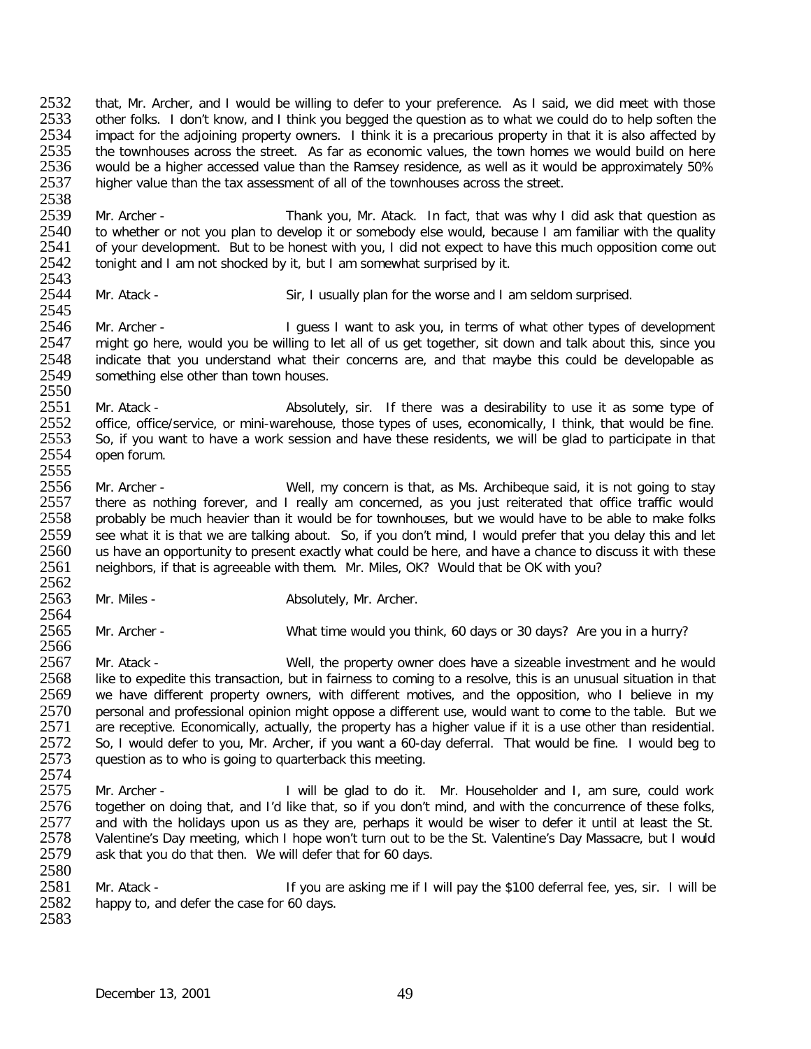2532 that, Mr. Archer, and I would be willing to defer to your preference. As I said, we did meet with those<br>2533 other folks. I don't know, and I think you begged the question as to what we could do to help soften the 2533 other folks. I don't know, and I think you begged the question as to what we could do to help soften the<br>2534 impact for the adioining property owners. I think it is a precarious property in that it is also affected b 2534 impact for the adjoining property owners. I think it is a precarious property in that it is also affected by<br>2535 the townhouses across the street. As far as economic values, the town homes we would build on here 2535 the townhouses across the street. As far as economic values, the town homes we would build on here<br>2536 would be a higher accessed value than the Ramsey residence, as well as it would be approximately 50% 2536 would be a higher accessed value than the Ramsey residence, as well as it would be approximately 50%<br>2537 higher value than the tax assessment of all of the townhouses across the street. higher value than the tax assessment of all of the townhouses across the street.

2538<br>2539 2539 Mr. Archer - Thank you, Mr. Atack. In fact, that was why I did ask that question as<br>2540 to whether or not you plan to develop it or somebody else would, because I am familiar with the quality 2540 to whether or not you plan to develop it or somebody else would, because I am familiar with the quality<br>2541 of vour development. But to be honest with you, I did not expect to have this much opposition come out 2541 of your development. But to be honest with you, I did not expect to have this much opposition come out <br>2542 tonight and I am not shocked by it, but I am somewhat surprised by it. tonight and I am not shocked by it, but I am somewhat surprised by it.

2543<br>2544 Mr. Atack - Sir, I usually plan for the worse and I am seldom surprised.

2545<br>2546 2546 Mr. Archer - I guess I want to ask you, in terms of what other types of development<br>2547 might go here, would you be willing to let all of us get together, sit down and talk about this, since you 2547 might go here, would you be willing to let all of us get together, sit down and talk about this, since you<br>2548 indicate that you understand what their concerns are, and that maybe this could be developable as 2548 indicate that you understand what their concerns are, and that maybe this could be developable as 2549 something else other than town houses. something else other than town houses.

2550<br>2551 2551 Mr. Atack - <br>2552 office, office/service, or mini-warehouse, those types of uses, economically, I think, that would be fine 2552 office, office/service, or mini-warehouse, those types of uses, economically, I think, that would be fine.<br>2553 So, if you want to have a work session and have these residents, we will be glad to participate in that 2553 So, if you want to have a work session and have these residents, we will be glad to participate in that 2554 open forum. open forum.

2555<br>2556 2556 Mr. Archer - Well, my concern is that, as Ms. Archibeque said, it is not going to stay<br>2557 there as nothing forever, and I really am concerned, as you just reiterated that office traffic would 2557 there as nothing forever, and I really am concerned, as you just reiterated that office traffic would<br>2558 probably be much heavier than it would be for townhouses, but we would have to be able to make folks 2558 probably be much heavier than it would be for townhouses, but we would have to be able to make folks<br>2559 see what it is that we are talking about. So, if you don't mind. I would prefer that you delay this and let 2559 see what it is that we are talking about. So, if you don't mind, I would prefer that you delay this and let<br>2560 us have an opportunity to present exactly what could be here, and have a chance to discuss it with these 2560 us have an opportunity to present exactly what could be here, and have a chance to discuss it with these<br>2561 peighbors, if that is agreeable with them. Mr. Miles, OK? Would that be OK with you? neighbors, if that is agreeable with them. Mr. Miles, OK? Would that be OK with you?

2562<br>2563 Mr. Miles - Absolutely, Mr. Archer.

2564<br>2565

Mr. Archer - What time would you think, 60 days or 30 days? Are you in a hurry?

2566<br>2567 2567 Mr. Atack - Well, the property owner does have a sizeable investment and he would<br>2568 like to expedite this transaction, but in fairness to coming to a resolve, this is an unusual situation in that 2568 like to expedite this transaction, but in fairness to coming to a resolve, this is an unusual situation in that<br>2569 ve have different property owners, with different motives, and the opposition, who I believe in my we have different property owners, with different motives, and the opposition, who I believe in my 2570 personal and professional opinion might oppose a different use, would want to come to the table. But we<br>2571 are receptive. Economically, actually, the property has a higher value if it is a use other than residential 2571 are receptive. Economically, actually, the property has a higher value if it is a use other than residential.<br>2572 So, I would defer to you, Mr. Archer, if you want a 60-day deferral. That would be fine. I would beg t 2572 So, I would defer to you, Mr. Archer, if you want a 60-day deferral. That would be fine. I would beg to <br>2573 auestion as to who is going to quarterback this meeting. question as to who is going to quarterback this meeting.

2574<br>2575 2575 Mr. Archer - I will be glad to do it. Mr. Householder and I, am sure, could work<br>2576 together on doing that, and I'd like that, so if you don't mind, and with the concurrence of these folks, 2576 together on doing that, and I'd like that, so if you don't mind, and with the concurrence of these folks,<br>2577 and with the holidavs upon us as thev are, perhaps it would be wiser to defer it until at least the St. 2577 and with the holidays upon us as they are, perhaps it would be wiser to defer it until at least the St.<br>2578 Valentine's Day meeting, which I hope won't turn out to be the St. Valentine's Day Massacre, but I would 2578 Valentine's Day meeting, which I hope won't turn out to be the St. Valentine's Day Massacre, but I would<br>2579 ask that you do that then. We will defer that for 60 days. ask that you do that then. We will defer that for 60 days.

2580<br>2581 2581 Mr. Atack - If you are asking me if I will pay the \$100 deferral fee, yes, sir. I will be 2582 happy to, and defer the case for 60 days. happy to, and defer the case for 60 days. 2583

December 13, 2001 49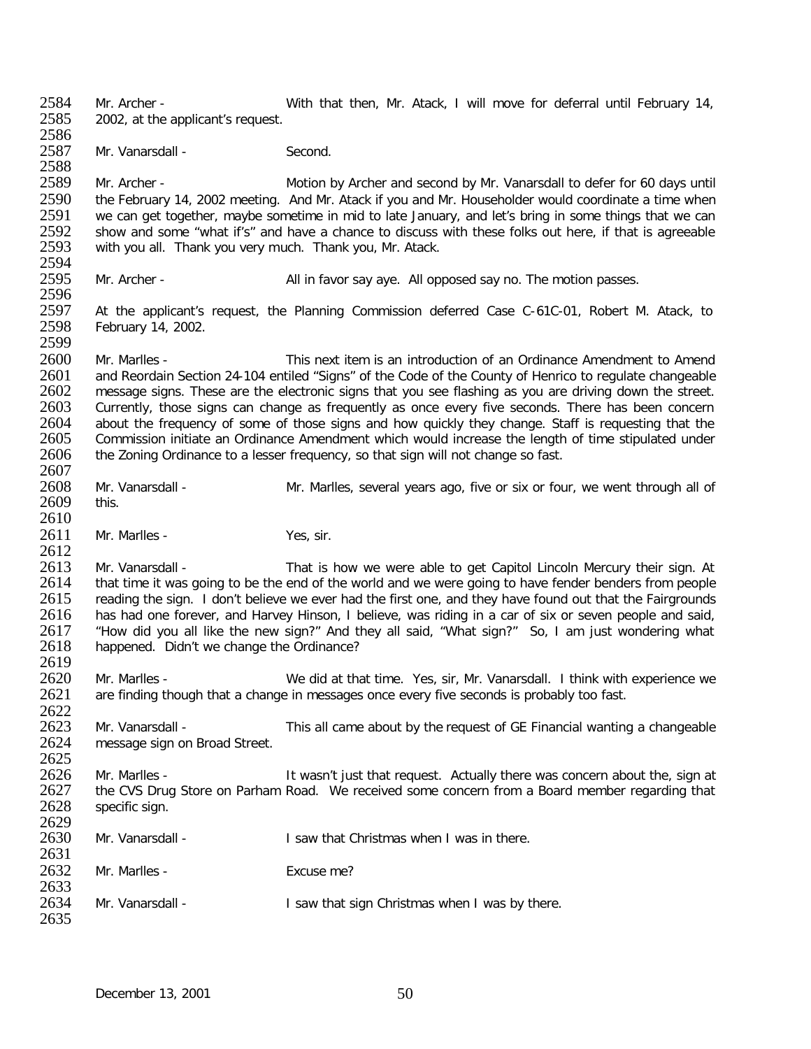2584 Mr. Archer - With that then, Mr. Atack, I will move for deferral until February 14,<br>2585 2002 at the applicant's request. 2002, at the applicant's request. 2586<br>2587 Mr. Vanarsdall - Second. 2588<br>2589 2589 Mr. Archer - Motion by Archer and second by Mr. Vanarsdall to defer for 60 days until<br>2590 the February 14, 2002 meeting. And Mr. Atack if you and Mr. Householder would coordinate a time when 2590 the February 14, 2002 meeting. And Mr. Atack if you and Mr. Householder would coordinate a time when<br>2591 ve can get together, maybe sometime in mid to late January, and let's bring in some things that we can 2591 we can get together, maybe sometime in mid to late January, and let's bring in some things that we can<br>2592 show and some "what if's" and have a chance to discuss with these folks out here, if that is agreeable 2592 show and some "what if's" and have a chance to discuss with these folks out here, if that is agreeable 2593 with you all. Thank you very much. Thank you  $\pi$ . Thank you when thank you when thank wou when the what thes with you all. Thank you very much. Thank you, Mr. Atack. 2594<br>2595 Mr. Archer - All in favor say aye. All opposed say no. The motion passes. 2596<br>2597 2597 At the applicant's request, the Planning Commission deferred Case C-61C-01, Robert M. Atack, to 2598 February 14, 2002. February 14, 2002. 2599<br>2600 2600 Mr. Marlles - This next item is an introduction of an Ordinance Amendment to Amend<br>2601 and Reordain Section 24-104 entiled "Signs" of the Code of the County of Henrico to regulate changeable 2601 and Reordain Section 24-104 entiled "Signs" of the Code of the County of Henrico to regulate changeable<br>2602 message signs. These are the electronic signs that you see flashing as you are driving down the street. 2602 message signs. These are the electronic signs that you see flashing as you are driving down the street.<br>2603 Currently, those signs can change as frequently as once every five seconds. There has been concern 2603 Currently, those signs can change as frequently as once every five seconds. There has been concern<br>2604 about the frequency of some of those signs and how quickly they change. Staff is requesting that the 2604 about the frequency of some of those signs and how quickly they change. Staff is requesting that the 2605 Commission initiate an Ordinance Amendment which would increase the length of time stipulated under 2605 Commission initiate an Ordinance Amendment which would increase the length of time stipulated under 2606 the Zoning Ordinance to a lesser frequency, so that sign will not change so fast. 2606 the Zoning Ordinance to a lesser frequency, so that sign will not change so fast. 2607<br>2608 Mr. Vanarsdall - Mr. Marlles, several years ago, five or six or four, we went through all of 2609 this.  $\frac{2610}{2611}$ Mr. Marlles - Yes, sir. 2612<br>2613 2613 Mr. Vanarsdall - That is how we were able to get Capitol Lincoln Mercury their sign. At 2614 that time it was going to be the end of the world and we were going to have fender benders from people 2614 that time it was going to be the end of the world and we were going to have fender benders from people<br>2615 reading the sign. I don't believe we ever had the first one, and they have found out that the Fairgrounds 2615 reading the sign. I don't believe we ever had the first one, and they have found out that the Fairgrounds<br>2616 has had one forever, and Harvey Hinson, I believe, was riding in a car of six or seven people and said, 2616 has had one forever, and Harvey Hinson, I believe, was riding in a car of six or seven people and said,<br>2617 thow did vou all like the new sign?" And they all said, "What sign?" So, I am just wondering what 2617 "How did you all like the new sign?" And they all said, "What sign?" So, I am just wondering what happened. Didn't we change the Ordinance? 2619<br>2620 2620 Mr. Marlles - We did at that time. Yes, sir, Mr. Vanarsdall. I think with experience we<br>2621 are finding though that a change in messages once every five seconds is probably too fast. are finding though that a change in messages once every five seconds is probably too fast. 2622<br>2623 2623 Mr. Vanarsdall - This all came about by the request of GE Financial wanting a changeable 2624 message sign on Broad Street. message sign on Broad Street. 2625<br>2626 2626 Mr. Marlles - It wasn't just that request. Actually there was concern about the, sign at 2627 the CVS Drug Store on Parham Road. We received some concern from a Board member regarding that 2627 the CVS Drug Store on Parham Road. We received some concern from a Board member regarding that 2628 specific sign. specific sign. 2629<br>2630 Mr. Vanarsdall - **I** saw that Christmas when I was in there. 2631<br>2632 Mr. Marlles - Excuse me? 2633<br>2634 Mr. Vanarsdall - **I** saw that sign Christmas when I was by there. 2635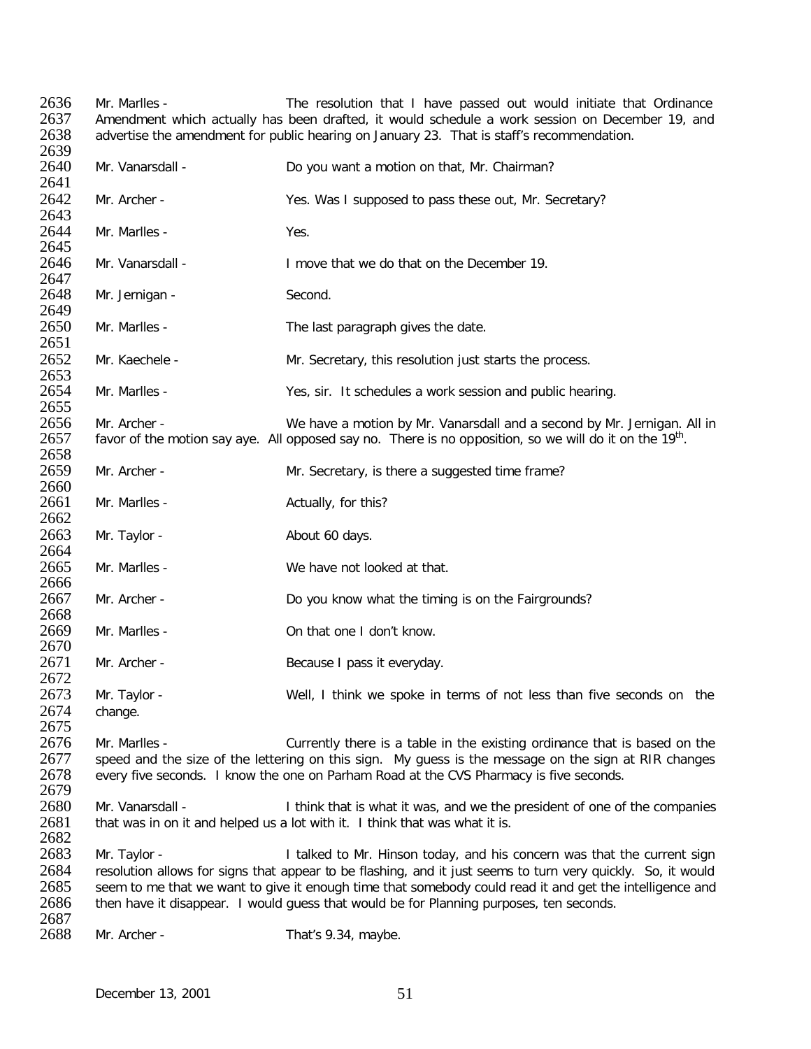2636 Mr. Marlles - The resolution that I have passed out would initiate that Ordinance<br>2637 Amendment which actually has been drafted, it would schedule a work session on December 19, and 2637 – Amendment which actually has been drafted, it would schedule a work session on December 19, and 2638 –<br>2638 – advertise the amendment for public hearing on January 23. That is staff's recommendation. advertise the amendment for public hearing on January 23. That is staff's recommendation. 2639<br>2640 Mr. Vanarsdall - **Do you want a motion on that, Mr. Chairman?** 2641<br>2642 Mr. Archer - Yes. Was I supposed to pass these out, Mr. Secretary? 2643<br>2644 Mr. Marlles - Yes. 2645<br>2646 Mr. Vanarsdall - I move that we do that on the December 19. 2647<br>2648 Mr. Jernigan - Second. 2649<br>2650 Mr. Marlles - The last paragraph gives the date. 2651<br>2652 Mr. Kaechele - Mr. Secretary, this resolution just starts the process. 2653<br>2654 2654 Mr. Marlles - Yes, sir. It schedules a work session and public hearing. 2655<br>2656 2656 Mr. Archer - We have a motion by Mr. Vanarsdall and a second by Mr. Jernigan. All in 2657 favor of the motion say ave. All opposed say no. There is no opposition, so we will do it on the 19<sup>th</sup>. favor of the motion say aye. All opposed say no. There is no opposition, so we will do it on the  $19<sup>th</sup>$ . 2658<br>2659 Mr. Archer - The Mr. Secretary, is there a suggested time frame? 2660<br>2661 Mr. Marlles - Actually, for this? 2662<br>2663 Mr. Taylor - About 60 days. 2664<br>2665 Mr. Marlles - We have not looked at that. 2666<br>2667 Mr. Archer - **Do you know what the timing is on the Fairgrounds?** 2668<br>2669 Mr. Marlles - Case Conthat one I don't know. 2670<br>2671 Mr. Archer - Because I pass it everyday. 2672<br>2673 Mr. Taylor - Well, I think we spoke in terms of not less than five seconds on the 2674 change. 2675<br>2676 2676 Mr. Marlles - Currently there is a table in the existing ordinance that is based on the 2677 speed and the size of the lettering on this sign. My quess is the message on the sign at RIR changes 2677 speed and the size of the lettering on this sign. My guess is the message on the sign at RIR changes 2678 every five seconds. I know the one on Parham Road at the CVS Pharmacy is five seconds. every five seconds. I know the one on Parham Road at the CVS Pharmacy is five seconds. 2679<br>2680 2680 Mr. Vanarsdall - I think that is what it was, and we the president of one of the companies 2681 that was in on it and helped us a lot with it. I think that was what it is. that was in on it and helped us a lot with it. I think that was what it is. 2682<br>2683 Mr. Taylor - The State of Lacked to Mr. Hinson today, and his concern was that the current sign 2684 resolution allows for signs that appear to be flashing, and it just seems to turn very quickly. So, it would<br>2685 seem to me that we want to give it enough time that somebody could read it and get the intelligence and 2685 seem to me that we want to give it enough time that somebody could read it and get the intelligence and 2686 then have it disappear. I would quess that would be for Planning purposes, ten seconds. then have it disappear. I would guess that would be for Planning purposes, ten seconds. 2687<br>2688 Mr. Archer - That's 9.34, maybe.